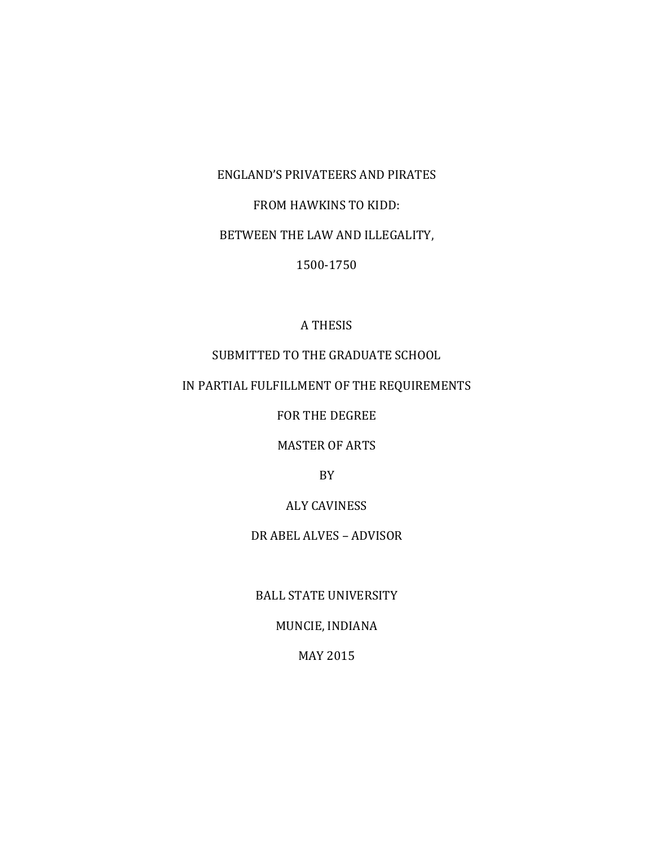# ENGLAND'S PRIVATEERS AND PIRATES

#### FROM HAWKINS TO KIDD:

## BETWEEN THE LAW AND ILLEGALITY,

#### 1500-1750

## A THESIS

# SUBMITTED TO THE GRADUATE SCHOOL

## IN PARTIAL FULFILLMENT OF THE REQUIREMENTS

FOR THE DEGREE

MASTER OF ARTS

BY

## ALY CAVINESS

## DR ABEL ALVES – ADVISOR

BALL STATE UNIVERSITY

#### MUNCIE, INDIANA

#### MAY 2015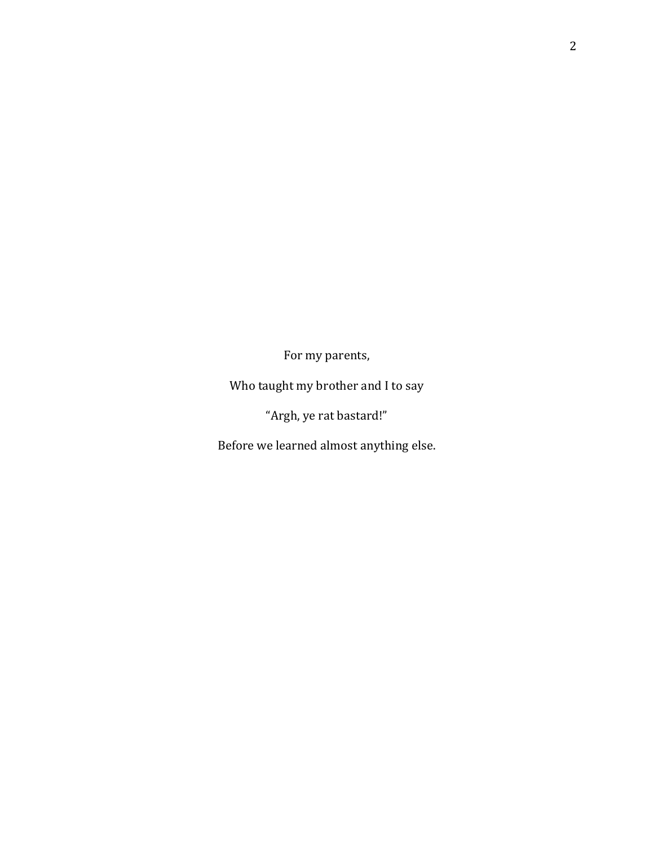For my parents,

Who taught my brother and I to say

"Argh, ye rat bastard!"

Before we learned almost anything else.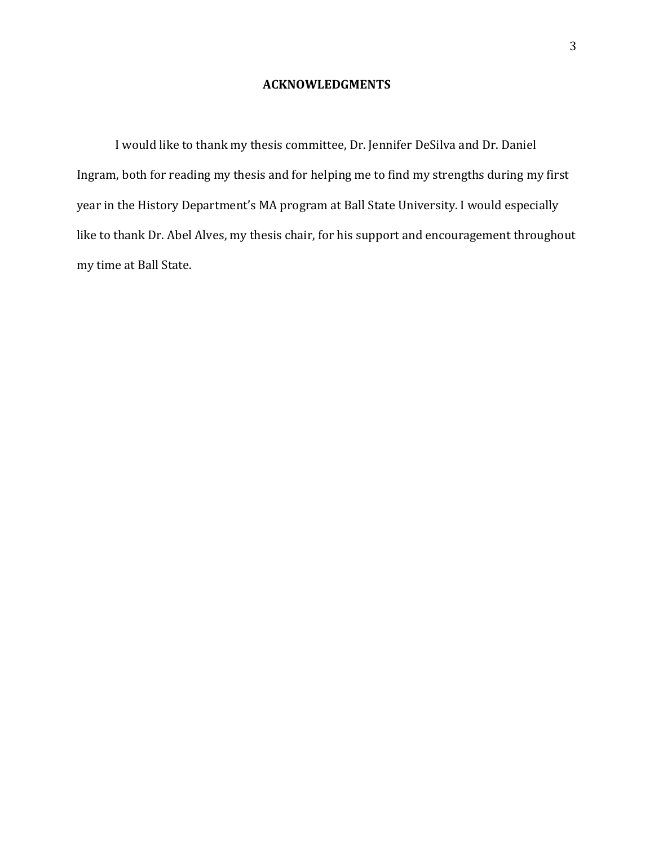#### **ACKNOWLEDGMENTS**

I would like to thank my thesis committee, Dr. Jennifer DeSilva and Dr. Daniel Ingram, both for reading my thesis and for helping me to find my strengths during my first year in the History Department's MA program at Ball State University. I would especially like to thank Dr. Abel Alves, my thesis chair, for his support and encouragement throughout my time at Ball State.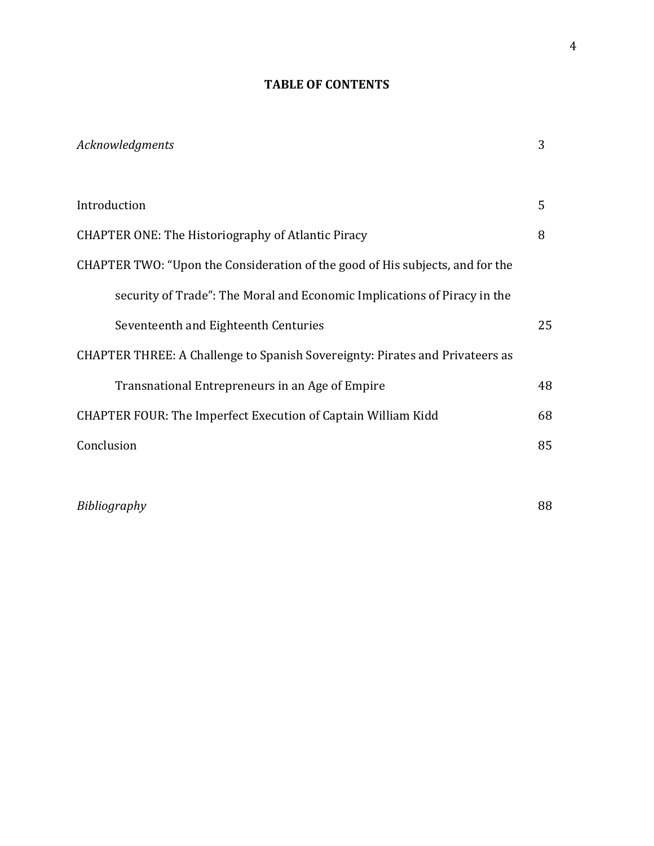# **TABLE OF CONTENTS**

| Acknowledgments                                                               | 3  |
|-------------------------------------------------------------------------------|----|
| Introduction                                                                  | 5  |
| <b>CHAPTER ONE: The Historiography of Atlantic Piracy</b>                     | 8  |
| CHAPTER TWO: "Upon the Consideration of the good of His subjects, and for the |    |
| security of Trade": The Moral and Economic Implications of Piracy in the      |    |
| Seventeenth and Eighteenth Centuries                                          | 25 |
| CHAPTER THREE: A Challenge to Spanish Sovereignty: Pirates and Privateers as  |    |
| Transnational Entrepreneurs in an Age of Empire                               | 48 |
| <b>CHAPTER FOUR: The Imperfect Execution of Captain William Kidd</b>          | 68 |
| Conclusion                                                                    | 85 |
|                                                                               |    |

*Bibliography* 88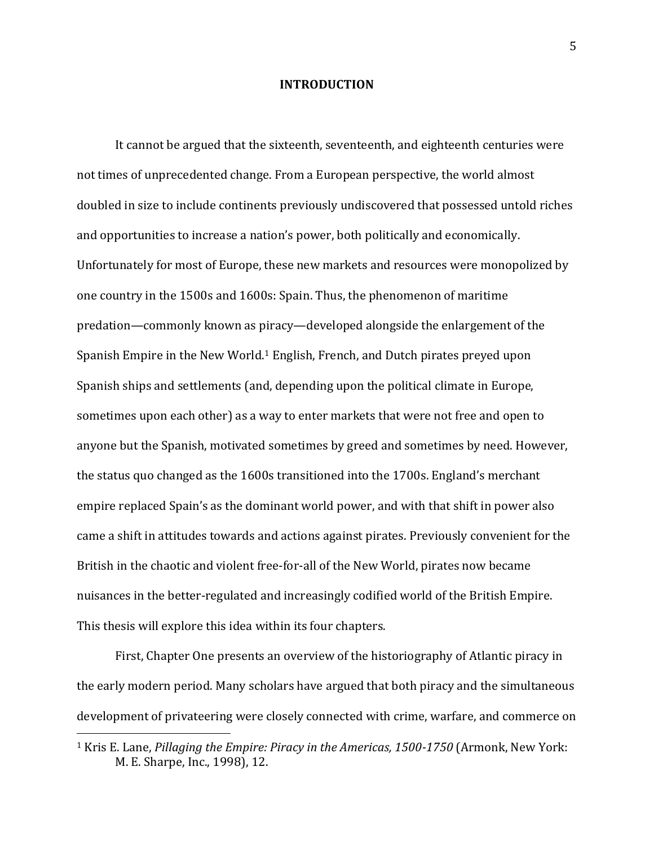#### **INTRODUCTION**

It cannot be argued that the sixteenth, seventeenth, and eighteenth centuries were not times of unprecedented change. From a European perspective, the world almost doubled in size to include continents previously undiscovered that possessed untold riches and opportunities to increase a nation's power, both politically and economically. Unfortunately for most of Europe, these new markets and resources were monopolized by one country in the 1500s and 1600s: Spain. Thus, the phenomenon of maritime predation—commonly known as piracy—developed alongside the enlargement of the Spanish Empire in the New World. <sup>1</sup> English, French, and Dutch pirates preyed upon Spanish ships and settlements (and, depending upon the political climate in Europe, sometimes upon each other) as a way to enter markets that were not free and open to anyone but the Spanish, motivated sometimes by greed and sometimes by need. However, the status quo changed as the 1600s transitioned into the 1700s. England's merchant empire replaced Spain's as the dominant world power, and with that shift in power also came a shift in attitudes towards and actions against pirates. Previously convenient for the British in the chaotic and violent free-for-all of the New World, pirates now became nuisances in the better-regulated and increasingly codified world of the British Empire. This thesis will explore this idea within its four chapters.

First, Chapter One presents an overview of the historiography of Atlantic piracy in the early modern period. Many scholars have argued that both piracy and the simultaneous development of privateering were closely connected with crime, warfare, and commerce on

<sup>1</sup> Kris E. Lane, *Pillaging the Empire: Piracy in the Americas, 1500-1750* (Armonk, New York: M. E. Sharpe, Inc., 1998), 12.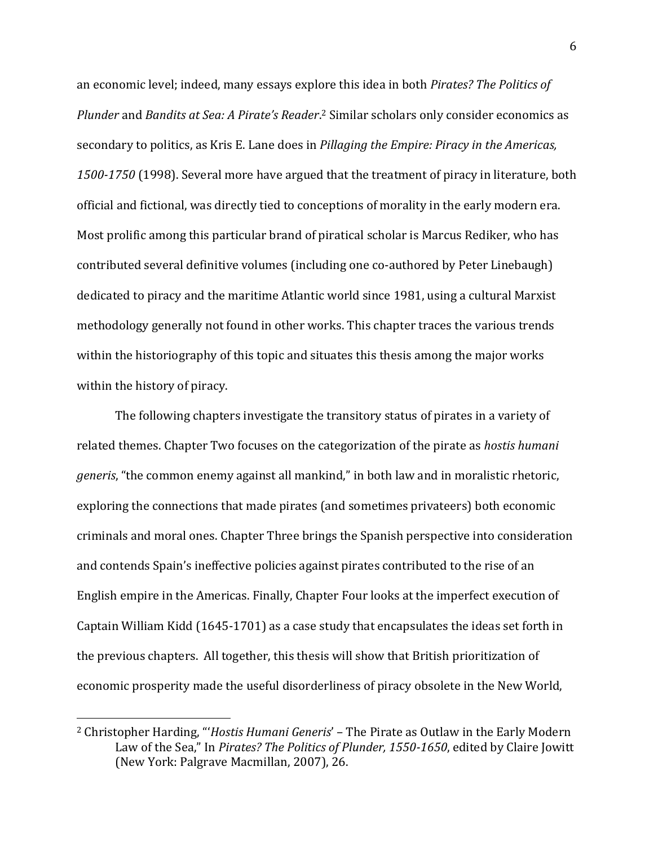an economic level; indeed, many essays explore this idea in both *Pirates? The Politics of Plunder* and *Bandits at Sea: A Pirate's Reader*. <sup>2</sup> Similar scholars only consider economics as secondary to politics, as Kris E. Lane does in *Pillaging the Empire: Piracy in the Americas, 1500-1750* (1998). Several more have argued that the treatment of piracy in literature, both official and fictional, was directly tied to conceptions of morality in the early modern era. Most prolific among this particular brand of piratical scholar is Marcus Rediker, who has contributed several definitive volumes (including one co-authored by Peter Linebaugh) dedicated to piracy and the maritime Atlantic world since 1981, using a cultural Marxist methodology generally not found in other works. This chapter traces the various trends within the historiography of this topic and situates this thesis among the major works within the history of piracy.

The following chapters investigate the transitory status of pirates in a variety of related themes. Chapter Two focuses on the categorization of the pirate as *hostis humani generis*, "the common enemy against all mankind," in both law and in moralistic rhetoric, exploring the connections that made pirates (and sometimes privateers) both economic criminals and moral ones. Chapter Three brings the Spanish perspective into consideration and contends Spain's ineffective policies against pirates contributed to the rise of an English empire in the Americas. Finally, Chapter Four looks at the imperfect execution of Captain William Kidd (1645-1701) as a case study that encapsulates the ideas set forth in the previous chapters. All together, this thesis will show that British prioritization of economic prosperity made the useful disorderliness of piracy obsolete in the New World,

<sup>2</sup> Christopher Harding, "'*Hostis Humani Generis*' – The Pirate as Outlaw in the Early Modern Law of the Sea," In *Pirates? The Politics of Plunder, 1550-1650*, edited by Claire Jowitt (New York: Palgrave Macmillan, 2007), 26.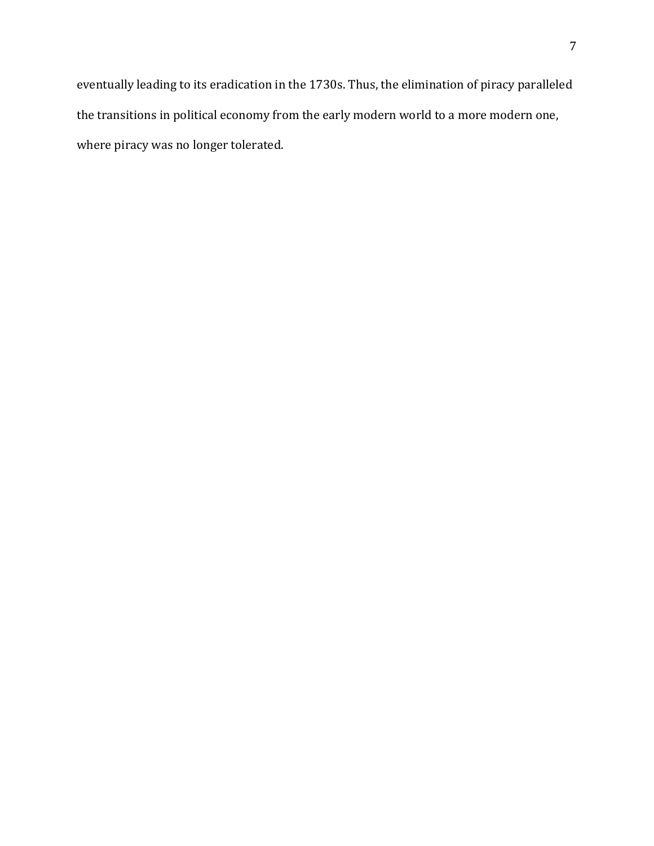eventually leading to its eradication in the 1730s. Thus, the elimination of piracy paralleled the transitions in political economy from the early modern world to a more modern one, where piracy was no longer tolerated.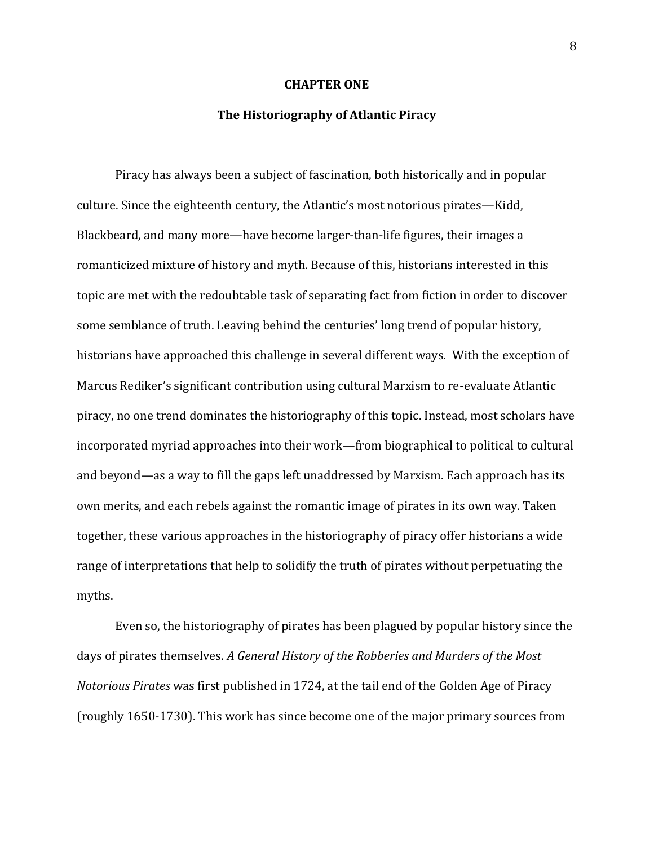#### **CHAPTER ONE**

#### **The Historiography of Atlantic Piracy**

Piracy has always been a subject of fascination, both historically and in popular culture. Since the eighteenth century, the Atlantic's most notorious pirates—Kidd, Blackbeard, and many more—have become larger-than-life figures, their images a romanticized mixture of history and myth. Because of this, historians interested in this topic are met with the redoubtable task of separating fact from fiction in order to discover some semblance of truth. Leaving behind the centuries' long trend of popular history, historians have approached this challenge in several different ways. With the exception of Marcus Rediker's significant contribution using cultural Marxism to re-evaluate Atlantic piracy, no one trend dominates the historiography of this topic. Instead, most scholars have incorporated myriad approaches into their work—from biographical to political to cultural and beyond—as a way to fill the gaps left unaddressed by Marxism. Each approach has its own merits, and each rebels against the romantic image of pirates in its own way. Taken together, these various approaches in the historiography of piracy offer historians a wide range of interpretations that help to solidify the truth of pirates without perpetuating the myths.

Even so, the historiography of pirates has been plagued by popular history since the days of pirates themselves. *A General History of the Robberies and Murders of the Most Notorious Pirates* was first published in 1724, at the tail end of the Golden Age of Piracy (roughly 1650-1730). This work has since become one of the major primary sources from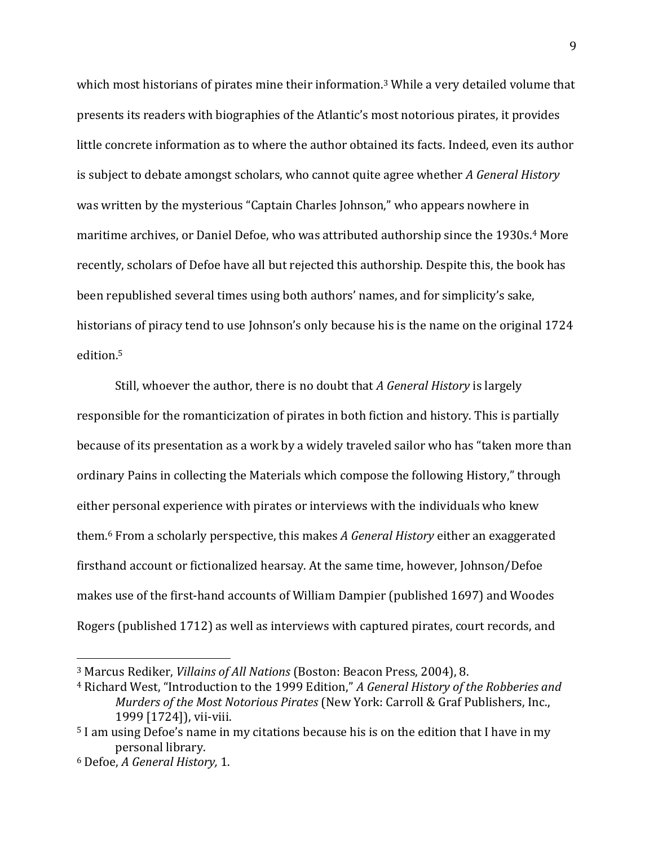which most historians of pirates mine their information.<sup>3</sup> While a very detailed volume that presents its readers with biographies of the Atlantic's most notorious pirates, it provides little concrete information as to where the author obtained its facts. Indeed, even its author is subject to debate amongst scholars, who cannot quite agree whether *A General History* was written by the mysterious "Captain Charles Johnson," who appears nowhere in maritime archives, or Daniel Defoe, who was attributed authorship since the 1930s. <sup>4</sup> More recently, scholars of Defoe have all but rejected this authorship. Despite this, the book has been republished several times using both authors' names, and for simplicity's sake, historians of piracy tend to use Johnson's only because his is the name on the original 1724 edition.<sup>5</sup>

Still, whoever the author, there is no doubt that *A General History* is largely responsible for the romanticization of pirates in both fiction and history. This is partially because of its presentation as a work by a widely traveled sailor who has "taken more than ordinary Pains in collecting the Materials which compose the following History," through either personal experience with pirates or interviews with the individuals who knew them.<sup>6</sup> From a scholarly perspective, this makes *A General History* either an exaggerated firsthand account or fictionalized hearsay. At the same time, however, Johnson/Defoe makes use of the first-hand accounts of William Dampier (published 1697) and Woodes Rogers (published 1712) as well as interviews with captured pirates, court records, and

<sup>3</sup> Marcus Rediker, *Villains of All Nations* (Boston: Beacon Press, 2004), 8.

<sup>4</sup> Richard West, "Introduction to the 1999 Edition," *A General History of the Robberies and Murders of the Most Notorious Pirates* (New York: Carroll & Graf Publishers, Inc., 1999 [1724]), vii-viii.

<sup>5</sup> I am using Defoe's name in my citations because his is on the edition that I have in my personal library.

<sup>6</sup> Defoe, *A General History,* 1.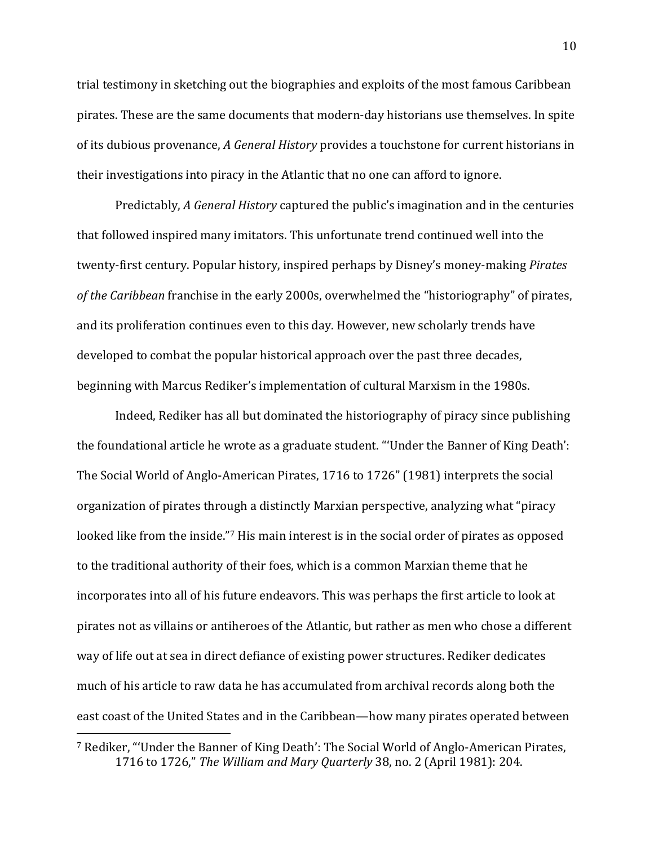trial testimony in sketching out the biographies and exploits of the most famous Caribbean pirates. These are the same documents that modern-day historians use themselves. In spite of its dubious provenance, *A General History* provides a touchstone for current historians in their investigations into piracy in the Atlantic that no one can afford to ignore.

Predictably, *A General History* captured the public's imagination and in the centuries that followed inspired many imitators. This unfortunate trend continued well into the twenty-first century. Popular history, inspired perhaps by Disney's money-making *Pirates of the Caribbean* franchise in the early 2000s, overwhelmed the "historiography" of pirates, and its proliferation continues even to this day. However, new scholarly trends have developed to combat the popular historical approach over the past three decades, beginning with Marcus Rediker's implementation of cultural Marxism in the 1980s.

Indeed, Rediker has all but dominated the historiography of piracy since publishing the foundational article he wrote as a graduate student. "'Under the Banner of King Death': The Social World of Anglo-American Pirates, 1716 to 1726" (1981) interprets the social organization of pirates through a distinctly Marxian perspective, analyzing what "piracy looked like from the inside."<sup>7</sup> His main interest is in the social order of pirates as opposed to the traditional authority of their foes, which is a common Marxian theme that he incorporates into all of his future endeavors. This was perhaps the first article to look at pirates not as villains or antiheroes of the Atlantic, but rather as men who chose a different way of life out at sea in direct defiance of existing power structures. Rediker dedicates much of his article to raw data he has accumulated from archival records along both the east coast of the United States and in the Caribbean—how many pirates operated between

<sup>7</sup> Rediker, "'Under the Banner of King Death': The Social World of Anglo-American Pirates, 1716 to 1726," *The William and Mary Quarterly* 38, no. 2 (April 1981): 204.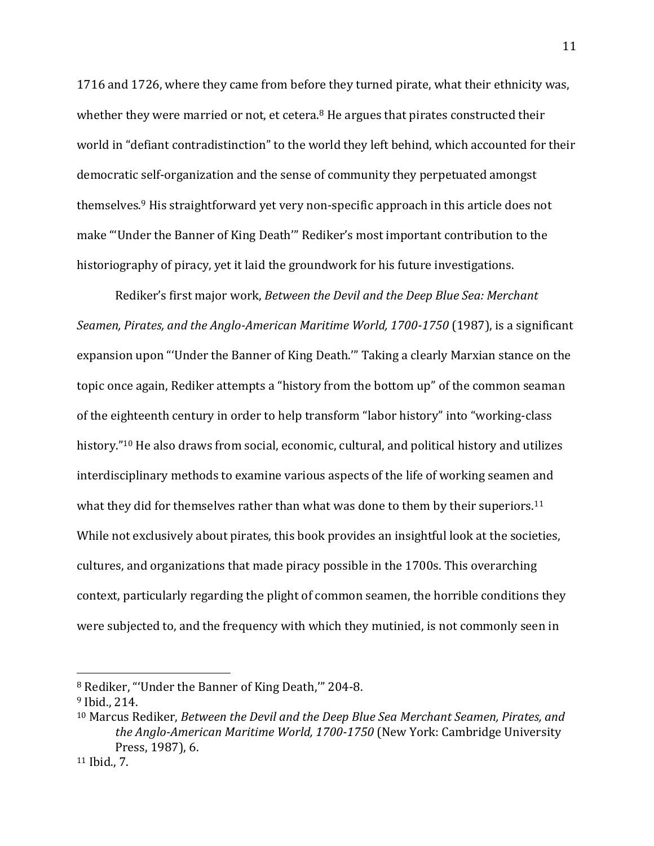1716 and 1726, where they came from before they turned pirate, what their ethnicity was, whether they were married or not, et cetera. $8$  He argues that pirates constructed their world in "defiant contradistinction" to the world they left behind, which accounted for their democratic self-organization and the sense of community they perpetuated amongst themselves.<sup>9</sup> His straightforward yet very non-specific approach in this article does not make "'Under the Banner of King Death'" Rediker's most important contribution to the historiography of piracy, yet it laid the groundwork for his future investigations.

Rediker's first major work, *Between the Devil and the Deep Blue Sea: Merchant Seamen, Pirates, and the Anglo-American Maritime World, 1700-1750* (1987), is a significant expansion upon "'Under the Banner of King Death.'" Taking a clearly Marxian stance on the topic once again, Rediker attempts a "history from the bottom up" of the common seaman of the eighteenth century in order to help transform "labor history" into "working-class history."<sup>10</sup> He also draws from social, economic, cultural, and political history and utilizes interdisciplinary methods to examine various aspects of the life of working seamen and what they did for themselves rather than what was done to them by their superiors.<sup>11</sup> While not exclusively about pirates, this book provides an insightful look at the societies, cultures, and organizations that made piracy possible in the 1700s. This overarching context, particularly regarding the plight of common seamen, the horrible conditions they were subjected to, and the frequency with which they mutinied, is not commonly seen in

<sup>8</sup> Rediker, "'Under the Banner of King Death,'" 204-8.

<sup>9</sup> Ibid., 214.

<sup>10</sup> Marcus Rediker, *Between the Devil and the Deep Blue Sea Merchant Seamen, Pirates, and the Anglo-American Maritime World, 1700-1750* (New York: Cambridge University Press, 1987), 6.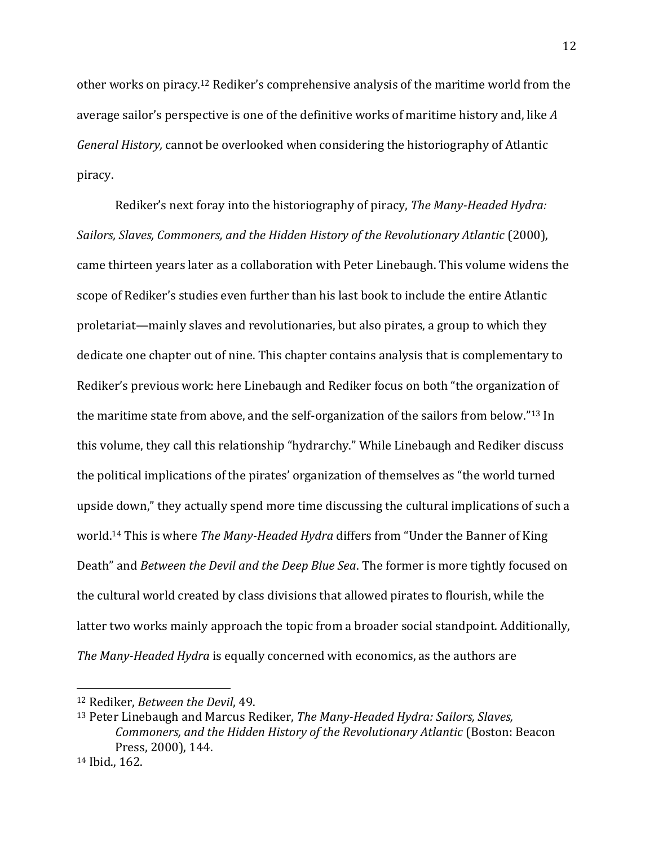other works on piracy.<sup>12</sup> Rediker's comprehensive analysis of the maritime world from the average sailor's perspective is one of the definitive works of maritime history and, like *A General History,* cannot be overlooked when considering the historiography of Atlantic piracy.

Rediker's next foray into the historiography of piracy, *The Many-Headed Hydra: Sailors, Slaves, Commoners, and the Hidden History of the Revolutionary Atlantic* (2000), came thirteen years later as a collaboration with Peter Linebaugh. This volume widens the scope of Rediker's studies even further than his last book to include the entire Atlantic proletariat—mainly slaves and revolutionaries, but also pirates, a group to which they dedicate one chapter out of nine. This chapter contains analysis that is complementary to Rediker's previous work: here Linebaugh and Rediker focus on both "the organization of the maritime state from above, and the self-organization of the sailors from below."<sup>13</sup> In this volume, they call this relationship "hydrarchy." While Linebaugh and Rediker discuss the political implications of the pirates' organization of themselves as "the world turned upside down," they actually spend more time discussing the cultural implications of such a world.<sup>14</sup> This is where *The Many-Headed Hydra* differs from "Under the Banner of King Death" and *Between the Devil and the Deep Blue Sea*. The former is more tightly focused on the cultural world created by class divisions that allowed pirates to flourish, while the latter two works mainly approach the topic from a broader social standpoint. Additionally, *The Many-Headed Hydra* is equally concerned with economics, as the authors are

<sup>12</sup> Rediker, *Between the Devil*, 49.

<sup>13</sup> Peter Linebaugh and Marcus Rediker, *The Many-Headed Hydra: Sailors, Slaves, Commoners, and the Hidden History of the Revolutionary Atlantic* (Boston: Beacon Press, 2000), 144.

<sup>14</sup> Ibid., 162.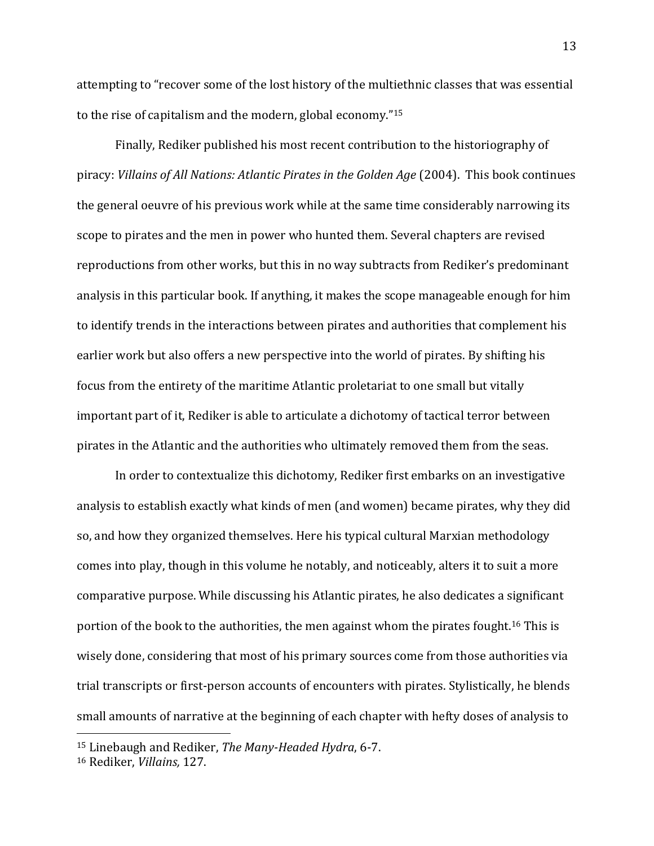attempting to "recover some of the lost history of the multiethnic classes that was essential to the rise of capitalism and the modern, global economy."<sup>15</sup>

Finally, Rediker published his most recent contribution to the historiography of piracy: *Villains of All Nations: Atlantic Pirates in the Golden Age* (2004). This book continues the general oeuvre of his previous work while at the same time considerably narrowing its scope to pirates and the men in power who hunted them. Several chapters are revised reproductions from other works, but this in no way subtracts from Rediker's predominant analysis in this particular book. If anything, it makes the scope manageable enough for him to identify trends in the interactions between pirates and authorities that complement his earlier work but also offers a new perspective into the world of pirates. By shifting his focus from the entirety of the maritime Atlantic proletariat to one small but vitally important part of it, Rediker is able to articulate a dichotomy of tactical terror between pirates in the Atlantic and the authorities who ultimately removed them from the seas.

In order to contextualize this dichotomy, Rediker first embarks on an investigative analysis to establish exactly what kinds of men (and women) became pirates, why they did so, and how they organized themselves. Here his typical cultural Marxian methodology comes into play, though in this volume he notably, and noticeably, alters it to suit a more comparative purpose. While discussing his Atlantic pirates, he also dedicates a significant portion of the book to the authorities, the men against whom the pirates fought.<sup>16</sup> This is wisely done, considering that most of his primary sources come from those authorities via trial transcripts or first-person accounts of encounters with pirates. Stylistically, he blends small amounts of narrative at the beginning of each chapter with hefty doses of analysis to

<sup>15</sup> Linebaugh and Rediker, *The Many-Headed Hydra*, 6-7.

<sup>16</sup> Rediker, *Villains,* 127.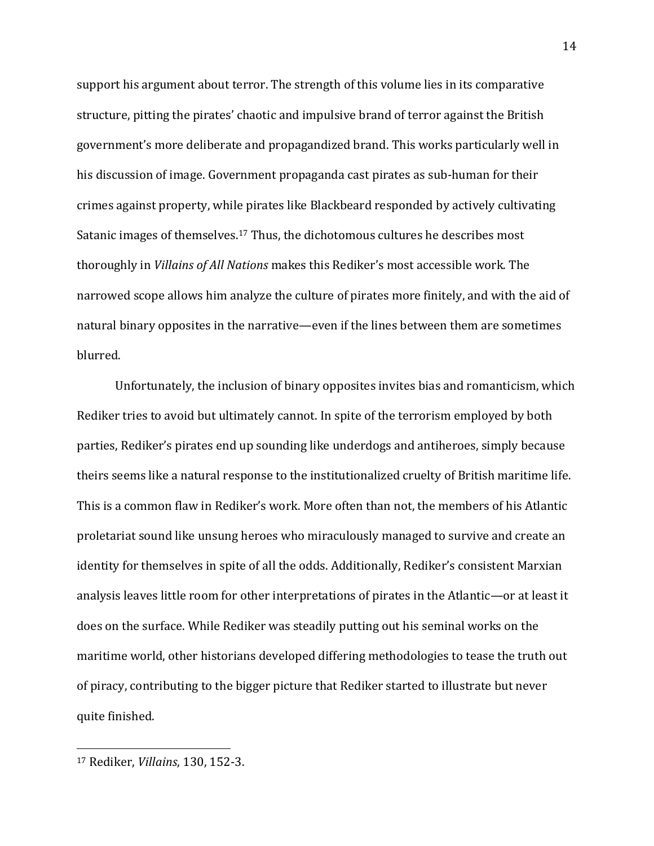support his argument about terror. The strength of this volume lies in its comparative structure, pitting the pirates' chaotic and impulsive brand of terror against the British government's more deliberate and propagandized brand. This works particularly well in his discussion of image. Government propaganda cast pirates as sub-human for their crimes against property, while pirates like Blackbeard responded by actively cultivating Satanic images of themselves.<sup>17</sup> Thus, the dichotomous cultures he describes most thoroughly in *Villains of All Nations* makes this Rediker's most accessible work. The narrowed scope allows him analyze the culture of pirates more finitely, and with the aid of natural binary opposites in the narrative—even if the lines between them are sometimes blurred.

Unfortunately, the inclusion of binary opposites invites bias and romanticism, which Rediker tries to avoid but ultimately cannot. In spite of the terrorism employed by both parties, Rediker's pirates end up sounding like underdogs and antiheroes, simply because theirs seems like a natural response to the institutionalized cruelty of British maritime life. This is a common flaw in Rediker's work. More often than not, the members of his Atlantic proletariat sound like unsung heroes who miraculously managed to survive and create an identity for themselves in spite of all the odds. Additionally, Rediker's consistent Marxian analysis leaves little room for other interpretations of pirates in the Atlantic—or at least it does on the surface. While Rediker was steadily putting out his seminal works on the maritime world, other historians developed differing methodologies to tease the truth out of piracy, contributing to the bigger picture that Rediker started to illustrate but never quite finished.

<sup>17</sup> Rediker, *Villains*, 130, 152-3.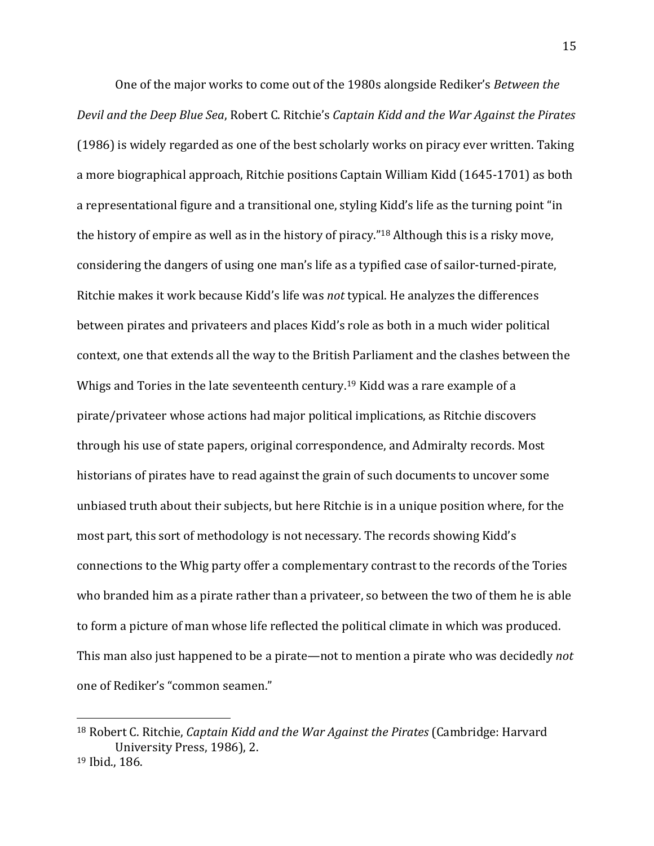One of the major works to come out of the 1980s alongside Rediker's *Between the Devil and the Deep Blue Sea*, Robert C. Ritchie's *Captain Kidd and the War Against the Pirates* (1986) is widely regarded as one of the best scholarly works on piracy ever written. Taking a more biographical approach, Ritchie positions Captain William Kidd (1645-1701) as both a representational figure and a transitional one, styling Kidd's life as the turning point "in the history of empire as well as in the history of piracy."<sup>18</sup> Although this is a risky move, considering the dangers of using one man's life as a typified case of sailor-turned-pirate, Ritchie makes it work because Kidd's life was *not* typical. He analyzes the differences between pirates and privateers and places Kidd's role as both in a much wider political context, one that extends all the way to the British Parliament and the clashes between the Whigs and Tories in the late seventeenth century.<sup>19</sup> Kidd was a rare example of a pirate/privateer whose actions had major political implications, as Ritchie discovers through his use of state papers, original correspondence, and Admiralty records. Most historians of pirates have to read against the grain of such documents to uncover some unbiased truth about their subjects, but here Ritchie is in a unique position where, for the most part, this sort of methodology is not necessary. The records showing Kidd's connections to the Whig party offer a complementary contrast to the records of the Tories who branded him as a pirate rather than a privateer, so between the two of them he is able to form a picture of man whose life reflected the political climate in which was produced. This man also just happened to be a pirate—not to mention a pirate who was decidedly *not* one of Rediker's "common seamen."

<sup>18</sup> Robert C. Ritchie, *Captain Kidd and the War Against the Pirates* (Cambridge: Harvard University Press, 1986), 2. <sup>19</sup> Ibid., 186.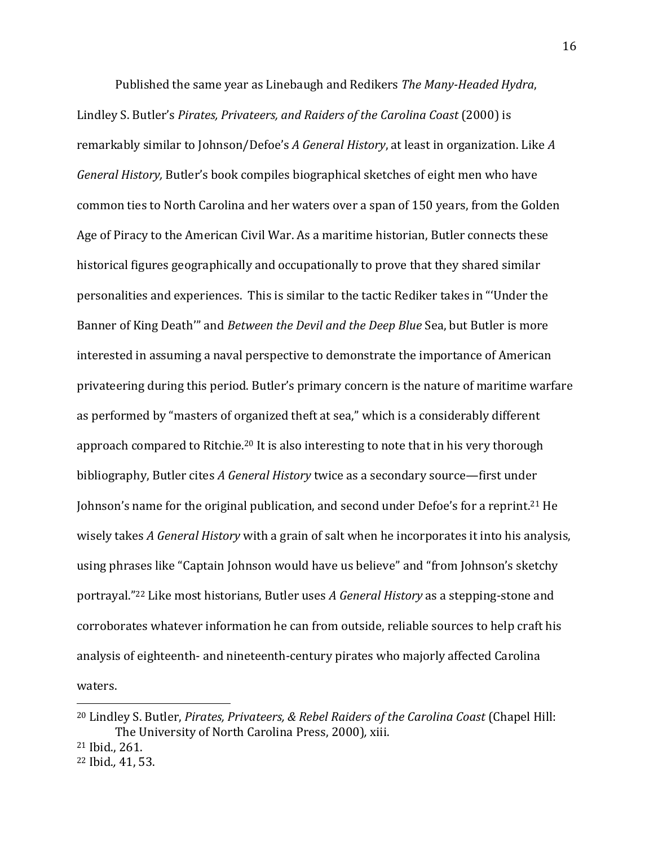Published the same year as Linebaugh and Redikers *The Many-Headed Hydra*, Lindley S. Butler's *Pirates, Privateers, and Raiders of the Carolina Coast* (2000) is remarkably similar to Johnson/Defoe's *A General History*, at least in organization. Like *A General History,* Butler's book compiles biographical sketches of eight men who have common ties to North Carolina and her waters over a span of 150 years, from the Golden Age of Piracy to the American Civil War. As a maritime historian, Butler connects these historical figures geographically and occupationally to prove that they shared similar personalities and experiences. This is similar to the tactic Rediker takes in "'Under the Banner of King Death'" and *Between the Devil and the Deep Blue* Sea, but Butler is more interested in assuming a naval perspective to demonstrate the importance of American privateering during this period. Butler's primary concern is the nature of maritime warfare as performed by "masters of organized theft at sea," which is a considerably different approach compared to Ritchie.<sup>20</sup> It is also interesting to note that in his very thorough bibliography, Butler cites *A General History* twice as a secondary source—first under Johnson's name for the original publication, and second under Defoe's for a reprint.<sup>21</sup> He wisely takes *A General History* with a grain of salt when he incorporates it into his analysis, using phrases like "Captain Johnson would have us believe" and "from Johnson's sketchy portrayal."<sup>22</sup> Like most historians, Butler uses *A General History* as a stepping-stone and corroborates whatever information he can from outside, reliable sources to help craft his analysis of eighteenth- and nineteenth-century pirates who majorly affected Carolina waters.

<sup>20</sup> Lindley S. Butler, *Pirates, Privateers, & Rebel Raiders of the Carolina Coast* (Chapel Hill: The University of North Carolina Press, 2000)*,* xiii.

<sup>21</sup> Ibid., 261.

<sup>22</sup> Ibid.*,* 41, 53.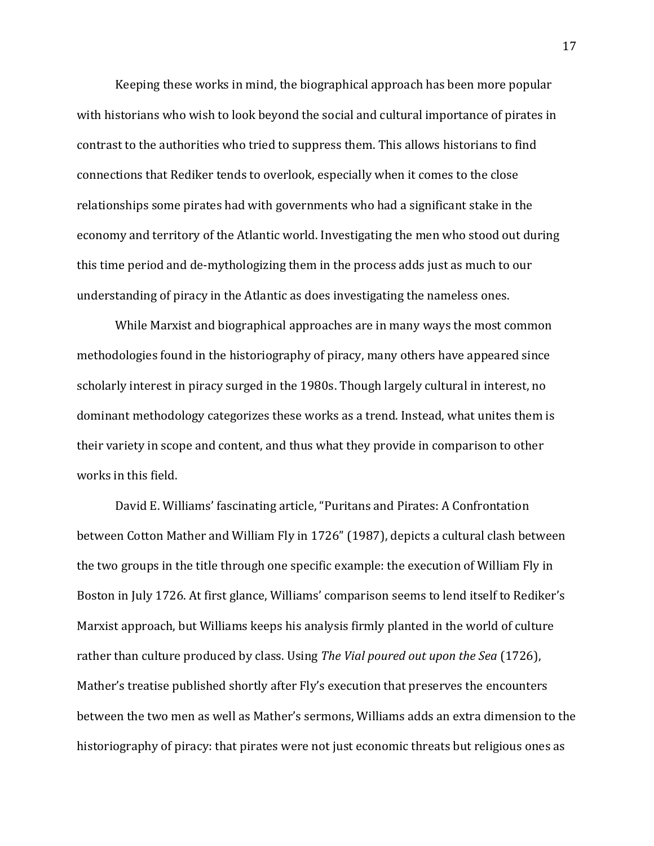Keeping these works in mind, the biographical approach has been more popular with historians who wish to look beyond the social and cultural importance of pirates in contrast to the authorities who tried to suppress them. This allows historians to find connections that Rediker tends to overlook, especially when it comes to the close relationships some pirates had with governments who had a significant stake in the economy and territory of the Atlantic world. Investigating the men who stood out during this time period and de-mythologizing them in the process adds just as much to our understanding of piracy in the Atlantic as does investigating the nameless ones.

While Marxist and biographical approaches are in many ways the most common methodologies found in the historiography of piracy, many others have appeared since scholarly interest in piracy surged in the 1980s. Though largely cultural in interest, no dominant methodology categorizes these works as a trend. Instead, what unites them is their variety in scope and content, and thus what they provide in comparison to other works in this field.

David E. Williams' fascinating article, "Puritans and Pirates: A Confrontation between Cotton Mather and William Fly in 1726" (1987), depicts a cultural clash between the two groups in the title through one specific example: the execution of William Fly in Boston in July 1726. At first glance, Williams' comparison seems to lend itself to Rediker's Marxist approach, but Williams keeps his analysis firmly planted in the world of culture rather than culture produced by class. Using *The Vial poured out upon the Sea* (1726), Mather's treatise published shortly after Fly's execution that preserves the encounters between the two men as well as Mather's sermons, Williams adds an extra dimension to the historiography of piracy: that pirates were not just economic threats but religious ones as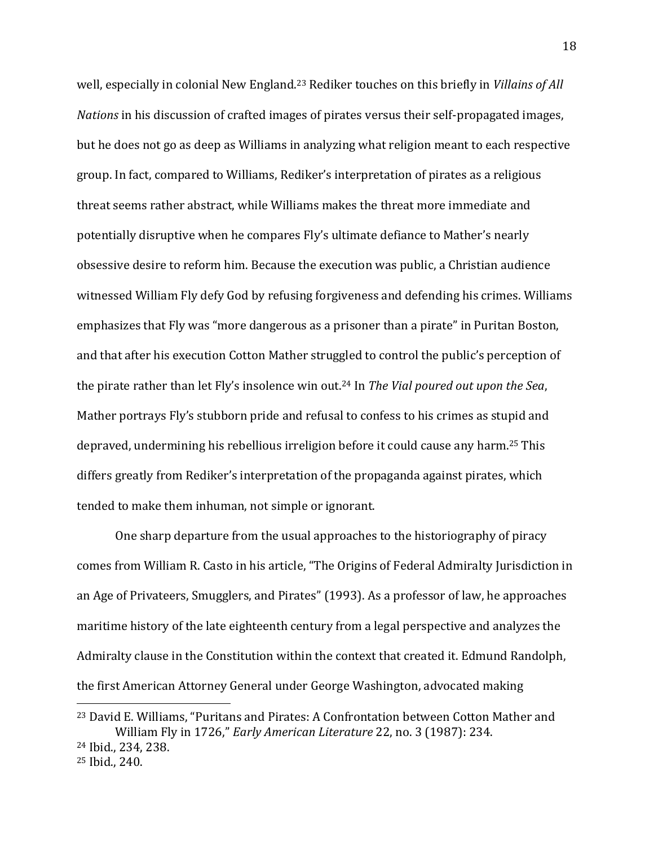well, especially in colonial New England.<sup>23</sup> Rediker touches on this briefly in *Villains of All Nations* in his discussion of crafted images of pirates versus their self-propagated images, but he does not go as deep as Williams in analyzing what religion meant to each respective group. In fact, compared to Williams, Rediker's interpretation of pirates as a religious threat seems rather abstract, while Williams makes the threat more immediate and potentially disruptive when he compares Fly's ultimate defiance to Mather's nearly obsessive desire to reform him. Because the execution was public, a Christian audience witnessed William Fly defy God by refusing forgiveness and defending his crimes. Williams emphasizes that Fly was "more dangerous as a prisoner than a pirate" in Puritan Boston, and that after his execution Cotton Mather struggled to control the public's perception of the pirate rather than let Fly's insolence win out.<sup>24</sup> In *The Vial poured out upon the Sea*, Mather portrays Fly's stubborn pride and refusal to confess to his crimes as stupid and depraved, undermining his rebellious irreligion before it could cause any harm.<sup>25</sup> This differs greatly from Rediker's interpretation of the propaganda against pirates, which tended to make them inhuman, not simple or ignorant.

One sharp departure from the usual approaches to the historiography of piracy comes from William R. Casto in his article, "The Origins of Federal Admiralty Jurisdiction in an Age of Privateers, Smugglers, and Pirates" (1993). As a professor of law, he approaches maritime history of the late eighteenth century from a legal perspective and analyzes the Admiralty clause in the Constitution within the context that created it. Edmund Randolph, the first American Attorney General under George Washington, advocated making  $\overline{\phantom{a}}$ 

<sup>23</sup> David E. Williams, "Puritans and Pirates: A Confrontation between Cotton Mather and William Fly in 1726," *Early American Literature* 22, no. 3 (1987): 234. <sup>24</sup> Ibid., 234, 238.

<sup>25</sup> Ibid., 240.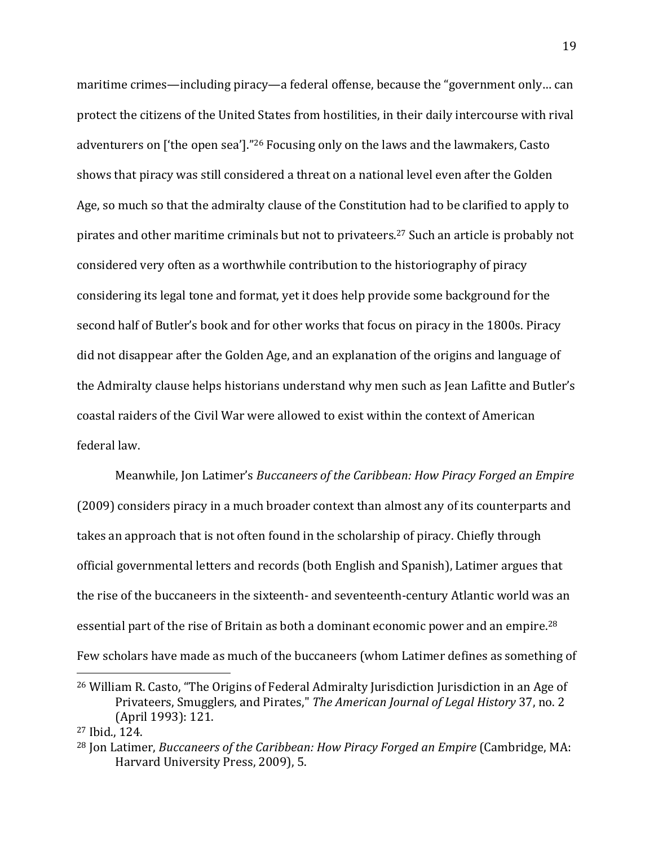maritime crimes—including piracy—a federal offense, because the "government only… can protect the citizens of the United States from hostilities, in their daily intercourse with rival adventurers on ['the open sea']."<sup>26</sup> Focusing only on the laws and the lawmakers, Casto shows that piracy was still considered a threat on a national level even after the Golden Age, so much so that the admiralty clause of the Constitution had to be clarified to apply to pirates and other maritime criminals but not to privateers.<sup>27</sup> Such an article is probably not considered very often as a worthwhile contribution to the historiography of piracy considering its legal tone and format, yet it does help provide some background for the second half of Butler's book and for other works that focus on piracy in the 1800s. Piracy did not disappear after the Golden Age, and an explanation of the origins and language of the Admiralty clause helps historians understand why men such as Jean Lafitte and Butler's coastal raiders of the Civil War were allowed to exist within the context of American federal law.

Meanwhile, Jon Latimer's *Buccaneers of the Caribbean: How Piracy Forged an Empire* (2009) considers piracy in a much broader context than almost any of its counterparts and takes an approach that is not often found in the scholarship of piracy. Chiefly through official governmental letters and records (both English and Spanish), Latimer argues that the rise of the buccaneers in the sixteenth- and seventeenth-century Atlantic world was an essential part of the rise of Britain as both a dominant economic power and an empire.<sup>28</sup> Few scholars have made as much of the buccaneers (whom Latimer defines as something of  $\overline{\phantom{a}}$ 

<sup>26</sup> William R. Casto, "The Origins of Federal Admiralty Jurisdiction Jurisdiction in an Age of Privateers, Smugglers, and Pirates," *The American Journal of Legal History* 37, no. 2 (April 1993): 121.

<sup>27</sup> Ibid., 124.

<sup>28</sup> Jon Latimer, *Buccaneers of the Caribbean: How Piracy Forged an Empire* (Cambridge, MA: Harvard University Press, 2009), 5.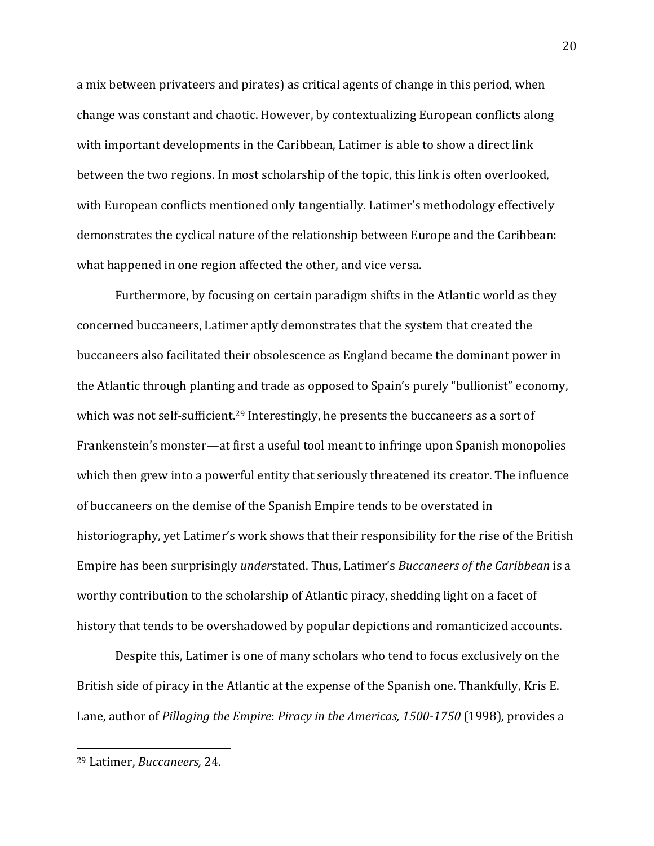a mix between privateers and pirates) as critical agents of change in this period, when change was constant and chaotic. However, by contextualizing European conflicts along with important developments in the Caribbean, Latimer is able to show a direct link between the two regions. In most scholarship of the topic, this link is often overlooked, with European conflicts mentioned only tangentially. Latimer's methodology effectively demonstrates the cyclical nature of the relationship between Europe and the Caribbean: what happened in one region affected the other, and vice versa.

Furthermore, by focusing on certain paradigm shifts in the Atlantic world as they concerned buccaneers, Latimer aptly demonstrates that the system that created the buccaneers also facilitated their obsolescence as England became the dominant power in the Atlantic through planting and trade as opposed to Spain's purely "bullionist" economy, which was not self-sufficient.<sup>29</sup> Interestingly, he presents the buccaneers as a sort of Frankenstein's monster—at first a useful tool meant to infringe upon Spanish monopolies which then grew into a powerful entity that seriously threatened its creator. The influence of buccaneers on the demise of the Spanish Empire tends to be overstated in historiography, yet Latimer's work shows that their responsibility for the rise of the British Empire has been surprisingly *under*stated. Thus, Latimer's *Buccaneers of the Caribbean* is a worthy contribution to the scholarship of Atlantic piracy, shedding light on a facet of history that tends to be overshadowed by popular depictions and romanticized accounts.

Despite this, Latimer is one of many scholars who tend to focus exclusively on the British side of piracy in the Atlantic at the expense of the Spanish one. Thankfully, Kris E. Lane, author of *Pillaging the Empire*: *Piracy in the Americas, 1500-1750* (1998), provides a

<sup>29</sup> Latimer, *Buccaneers,* 24.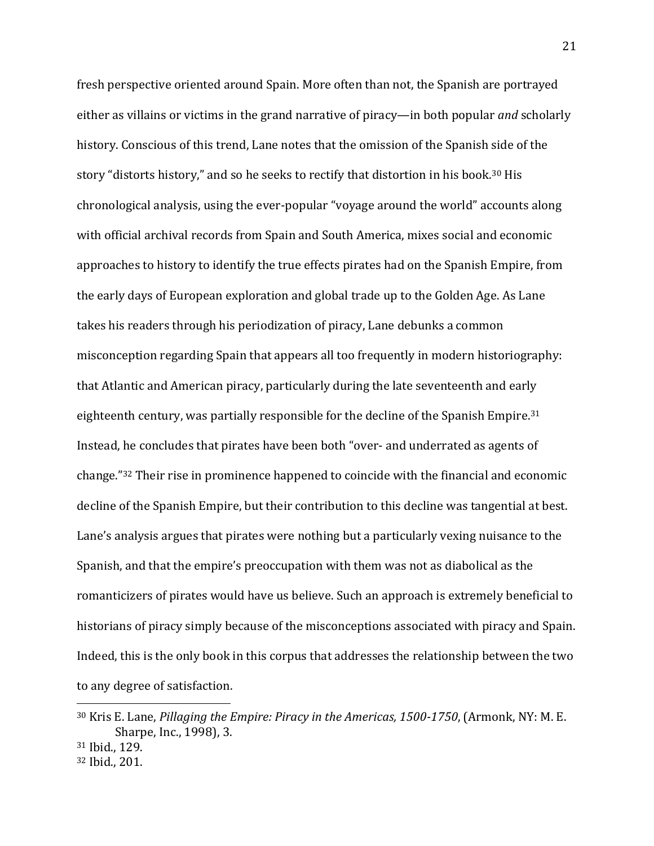fresh perspective oriented around Spain. More often than not, the Spanish are portrayed either as villains or victims in the grand narrative of piracy—in both popular *and* scholarly history. Conscious of this trend, Lane notes that the omission of the Spanish side of the story "distorts history," and so he seeks to rectify that distortion in his book.<sup>30</sup> His chronological analysis, using the ever-popular "voyage around the world" accounts along with official archival records from Spain and South America, mixes social and economic approaches to history to identify the true effects pirates had on the Spanish Empire, from the early days of European exploration and global trade up to the Golden Age. As Lane takes his readers through his periodization of piracy, Lane debunks a common misconception regarding Spain that appears all too frequently in modern historiography: that Atlantic and American piracy, particularly during the late seventeenth and early eighteenth century, was partially responsible for the decline of the Spanish Empire.<sup>31</sup> Instead, he concludes that pirates have been both "over- and underrated as agents of change." <sup>32</sup> Their rise in prominence happened to coincide with the financial and economic decline of the Spanish Empire, but their contribution to this decline was tangential at best. Lane's analysis argues that pirates were nothing but a particularly vexing nuisance to the Spanish, and that the empire's preoccupation with them was not as diabolical as the romanticizers of pirates would have us believe. Such an approach is extremely beneficial to historians of piracy simply because of the misconceptions associated with piracy and Spain. Indeed, this is the only book in this corpus that addresses the relationship between the two to any degree of satisfaction.

<sup>30</sup> Kris E. Lane, *Pillaging the Empire: Piracy in the Americas, 1500-1750*, (Armonk, NY: M. E. Sharpe, Inc., 1998), 3.

<sup>31</sup> Ibid., 129.

<sup>32</sup> Ibid., 201.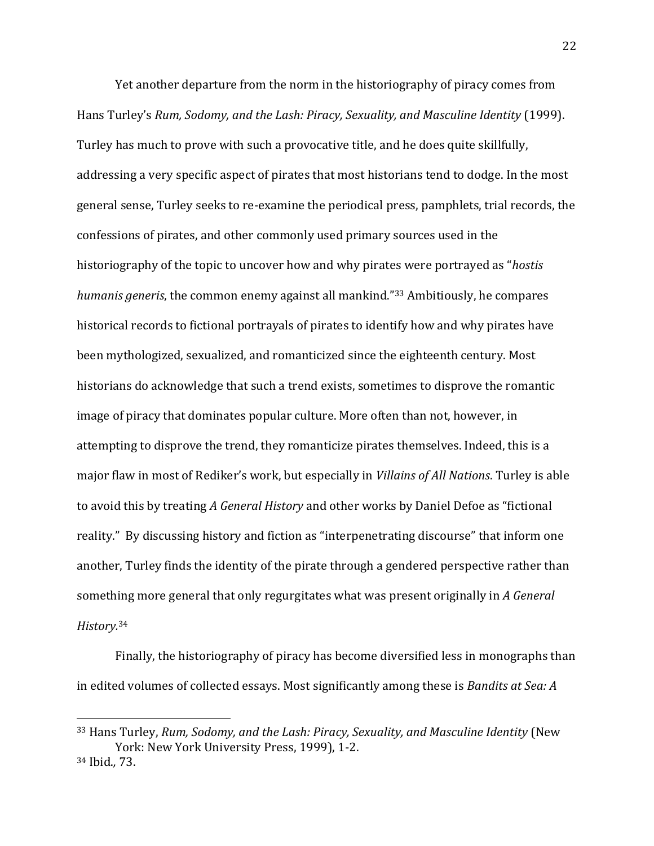Yet another departure from the norm in the historiography of piracy comes from Hans Turley's *Rum, Sodomy, and the Lash: Piracy, Sexuality, and Masculine Identity* (1999). Turley has much to prove with such a provocative title, and he does quite skillfully, addressing a very specific aspect of pirates that most historians tend to dodge. In the most general sense, Turley seeks to re-examine the periodical press, pamphlets, trial records, the confessions of pirates, and other commonly used primary sources used in the historiography of the topic to uncover how and why pirates were portrayed as "*hostis humanis generis*, the common enemy against all mankind."<sup>33</sup> Ambitiously, he compares historical records to fictional portrayals of pirates to identify how and why pirates have been mythologized, sexualized, and romanticized since the eighteenth century. Most historians do acknowledge that such a trend exists, sometimes to disprove the romantic image of piracy that dominates popular culture. More often than not, however, in attempting to disprove the trend, they romanticize pirates themselves. Indeed, this is a major flaw in most of Rediker's work, but especially in *Villains of All Nations*. Turley is able to avoid this by treating *A General History* and other works by Daniel Defoe as "fictional reality." By discussing history and fiction as "interpenetrating discourse" that inform one another, Turley finds the identity of the pirate through a gendered perspective rather than something more general that only regurgitates what was present originally in *A General History.*<sup>34</sup>

Finally, the historiography of piracy has become diversified less in monographs than in edited volumes of collected essays. Most significantly among these is *Bandits at Sea: A* 

<sup>33</sup> Hans Turley, *Rum, Sodomy, and the Lash: Piracy, Sexuality, and Masculine Identity* (New York: New York University Press, 1999), 1-2.

<sup>34</sup> Ibid.*,* 73.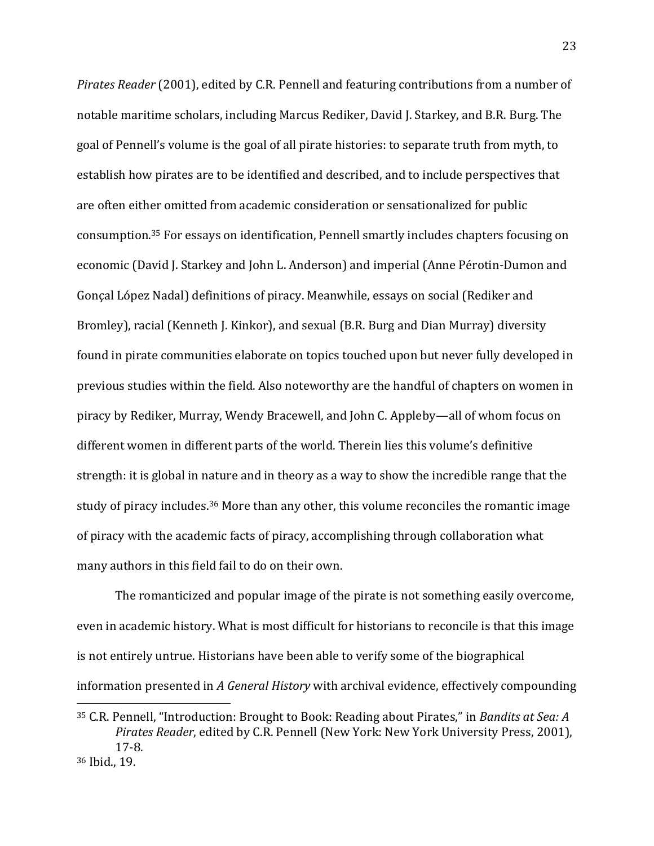*Pirates Reader* (2001), edited by C.R. Pennell and featuring contributions from a number of notable maritime scholars, including Marcus Rediker, David J. Starkey, and B.R. Burg. The goal of Pennell's volume is the goal of all pirate histories: to separate truth from myth, to establish how pirates are to be identified and described, and to include perspectives that are often either omitted from academic consideration or sensationalized for public consumption.<sup>35</sup> For essays on identification, Pennell smartly includes chapters focusing on economic (David J. Starkey and John L. Anderson) and imperial (Anne Pérotin-Dumon and Gonçal López Nadal) definitions of piracy. Meanwhile, essays on social (Rediker and Bromley), racial (Kenneth J. Kinkor), and sexual (B.R. Burg and Dian Murray) diversity found in pirate communities elaborate on topics touched upon but never fully developed in previous studies within the field. Also noteworthy are the handful of chapters on women in piracy by Rediker, Murray, Wendy Bracewell, and John C. Appleby—all of whom focus on different women in different parts of the world. Therein lies this volume's definitive strength: it is global in nature and in theory as a way to show the incredible range that the study of piracy includes.<sup>36</sup> More than any other, this volume reconciles the romantic image of piracy with the academic facts of piracy, accomplishing through collaboration what many authors in this field fail to do on their own.

The romanticized and popular image of the pirate is not something easily overcome, even in academic history. What is most difficult for historians to reconcile is that this image is not entirely untrue. Historians have been able to verify some of the biographical information presented in *A General History* with archival evidence, effectively compounding

<sup>35</sup> C.R. Pennell, "Introduction: Brought to Book: Reading about Pirates," in *Bandits at Sea: A Pirates Reader*, edited by C.R. Pennell (New York: New York University Press, 2001), 17-8.

<sup>36</sup> Ibid., 19.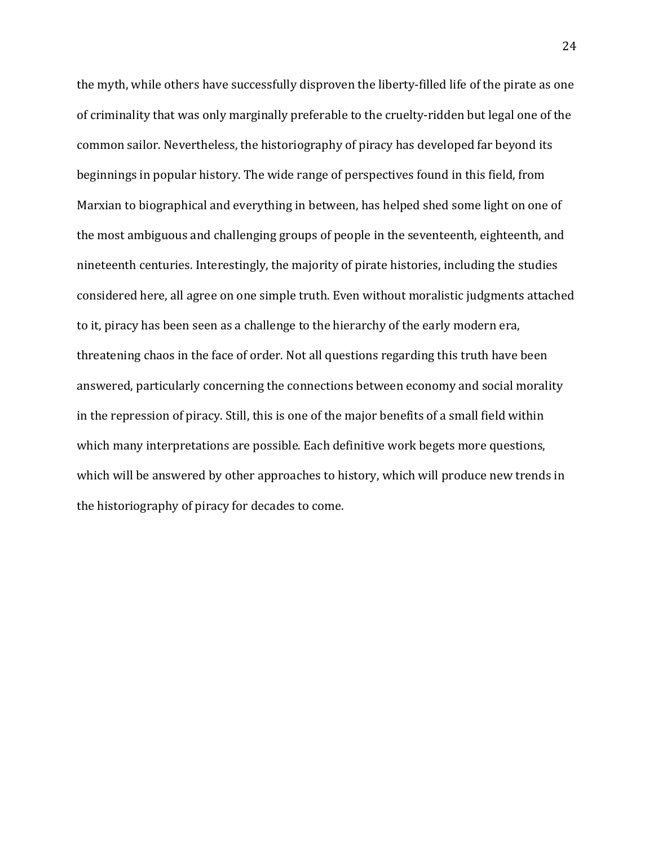the myth, while others have successfully disproven the liberty-filled life of the pirate as one of criminality that was only marginally preferable to the cruelty-ridden but legal one of the common sailor. Nevertheless, the historiography of piracy has developed far beyond its beginnings in popular history. The wide range of perspectives found in this field, from Marxian to biographical and everything in between, has helped shed some light on one of the most ambiguous and challenging groups of people in the seventeenth, eighteenth, and nineteenth centuries. Interestingly, the majority of pirate histories, including the studies considered here, all agree on one simple truth. Even without moralistic judgments attached to it, piracy has been seen as a challenge to the hierarchy of the early modern era, threatening chaos in the face of order. Not all questions regarding this truth have been answered, particularly concerning the connections between economy and social morality in the repression of piracy. Still, this is one of the major benefits of a small field within which many interpretations are possible. Each definitive work begets more questions, which will be answered by other approaches to history, which will produce new trends in the historiography of piracy for decades to come.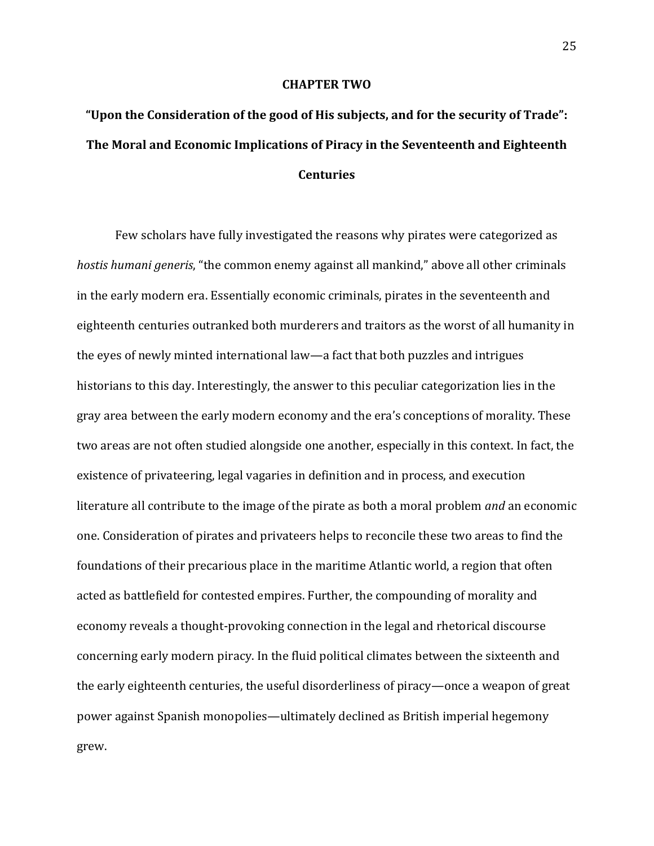#### **CHAPTER TWO**

# **"Upon the Consideration of the good of His subjects, and for the security of Trade": The Moral and Economic Implications of Piracy in the Seventeenth and Eighteenth Centuries**

Few scholars have fully investigated the reasons why pirates were categorized as *hostis humani generis*, "the common enemy against all mankind," above all other criminals in the early modern era. Essentially economic criminals, pirates in the seventeenth and eighteenth centuries outranked both murderers and traitors as the worst of all humanity in the eyes of newly minted international law—a fact that both puzzles and intrigues historians to this day. Interestingly, the answer to this peculiar categorization lies in the gray area between the early modern economy and the era's conceptions of morality. These two areas are not often studied alongside one another, especially in this context. In fact, the existence of privateering, legal vagaries in definition and in process, and execution literature all contribute to the image of the pirate as both a moral problem *and* an economic one. Consideration of pirates and privateers helps to reconcile these two areas to find the foundations of their precarious place in the maritime Atlantic world, a region that often acted as battlefield for contested empires. Further, the compounding of morality and economy reveals a thought-provoking connection in the legal and rhetorical discourse concerning early modern piracy. In the fluid political climates between the sixteenth and the early eighteenth centuries, the useful disorderliness of piracy—once a weapon of great power against Spanish monopolies—ultimately declined as British imperial hegemony grew.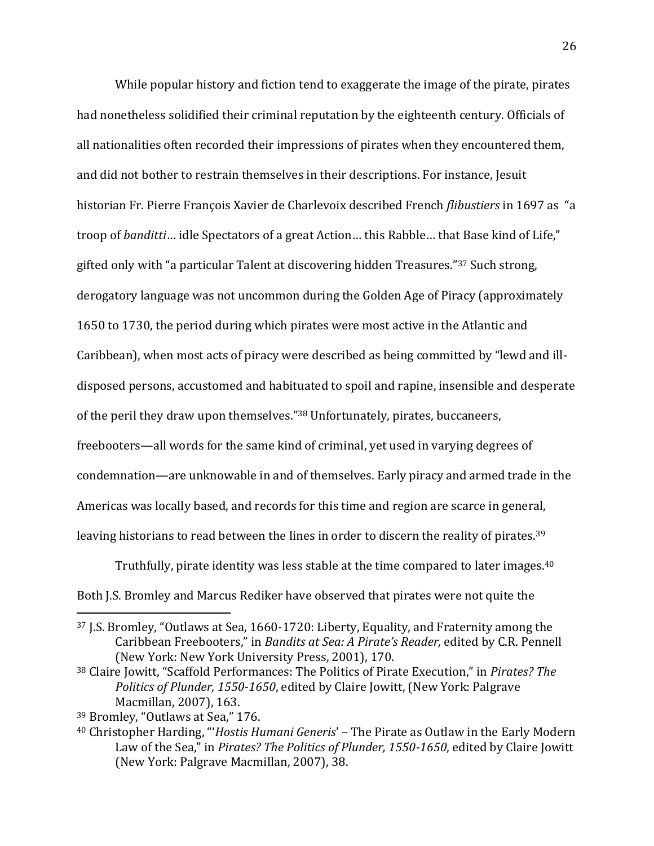While popular history and fiction tend to exaggerate the image of the pirate, pirates had nonetheless solidified their criminal reputation by the eighteenth century. Officials of all nationalities often recorded their impressions of pirates when they encountered them, and did not bother to restrain themselves in their descriptions. For instance, Jesuit historian Fr. Pierre François Xavier de Charlevoix described French *flibustiers* in 1697 as "a troop of *banditti*… idle Spectators of a great Action… this Rabble… that Base kind of Life," gifted only with "a particular Talent at discovering hidden Treasures."<sup>37</sup> Such strong, derogatory language was not uncommon during the Golden Age of Piracy (approximately 1650 to 1730, the period during which pirates were most active in the Atlantic and Caribbean), when most acts of piracy were described as being committed by "lewd and illdisposed persons, accustomed and habituated to spoil and rapine, insensible and desperate of the peril they draw upon themselves."<sup>38</sup> Unfortunately, pirates, buccaneers, freebooters—all words for the same kind of criminal, yet used in varying degrees of condemnation—are unknowable in and of themselves. Early piracy and armed trade in the Americas was locally based, and records for this time and region are scarce in general, leaving historians to read between the lines in order to discern the reality of pirates.<sup>39</sup>

Truthfully, pirate identity was less stable at the time compared to later images.<sup>40</sup> Both J.S. Bromley and Marcus Rediker have observed that pirates were not quite the

<sup>37</sup> J.S. Bromley, "Outlaws at Sea, 1660-1720: Liberty, Equality, and Fraternity among the Caribbean Freebooters," in *Bandits at Sea: A Pirate's Reader,* edited by C.R. Pennell (New York: New York University Press, 2001), 170.

<sup>38</sup> Claire Jowitt, "Scaffold Performances: The Politics of Pirate Execution," in *Pirates? The Politics of Plunder, 1550-1650*, edited by Claire Jowitt, (New York: Palgrave Macmillan, 2007), 163.

<sup>39</sup> Bromley, "Outlaws at Sea," 176.

<sup>40</sup> Christopher Harding, "'*Hostis Humani Generis*' – The Pirate as Outlaw in the Early Modern Law of the Sea," in *Pirates? The Politics of Plunder, 1550-1650*, edited by Claire Jowitt (New York: Palgrave Macmillan, 2007), 38.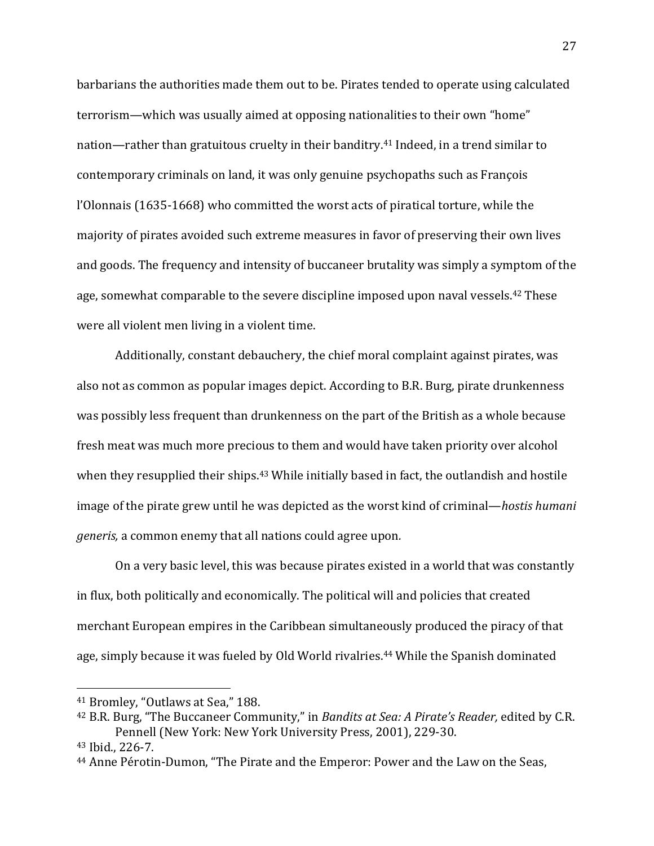barbarians the authorities made them out to be. Pirates tended to operate using calculated terrorism—which was usually aimed at opposing nationalities to their own "home" nation—rather than gratuitous cruelty in their banditry.<sup>41</sup> Indeed, in a trend similar to contemporary criminals on land, it was only genuine psychopaths such as François l'Olonnais (1635-1668) who committed the worst acts of piratical torture, while the majority of pirates avoided such extreme measures in favor of preserving their own lives and goods. The frequency and intensity of buccaneer brutality was simply a symptom of the age, somewhat comparable to the severe discipline imposed upon naval vessels.<sup>42</sup> These were all violent men living in a violent time.

Additionally, constant debauchery, the chief moral complaint against pirates, was also not as common as popular images depict. According to B.R. Burg, pirate drunkenness was possibly less frequent than drunkenness on the part of the British as a whole because fresh meat was much more precious to them and would have taken priority over alcohol when they resupplied their ships.<sup>43</sup> While initially based in fact, the outlandish and hostile image of the pirate grew until he was depicted as the worst kind of criminal—*hostis humani generis,* a common enemy that all nations could agree upon*.*

On a very basic level, this was because pirates existed in a world that was constantly in flux, both politically and economically. The political will and policies that created merchant European empires in the Caribbean simultaneously produced the piracy of that age, simply because it was fueled by Old World rivalries.<sup>44</sup> While the Spanish dominated

<sup>41</sup> Bromley, "Outlaws at Sea," 188.

<sup>42</sup> B.R. Burg, "The Buccaneer Community," in *Bandits at Sea: A Pirate's Reader,* edited by C.R. Pennell (New York: New York University Press, 2001), 229-30.

<sup>43</sup> Ibid., 226-7.

<sup>44</sup> Anne Pérotin-Dumon, "The Pirate and the Emperor: Power and the Law on the Seas,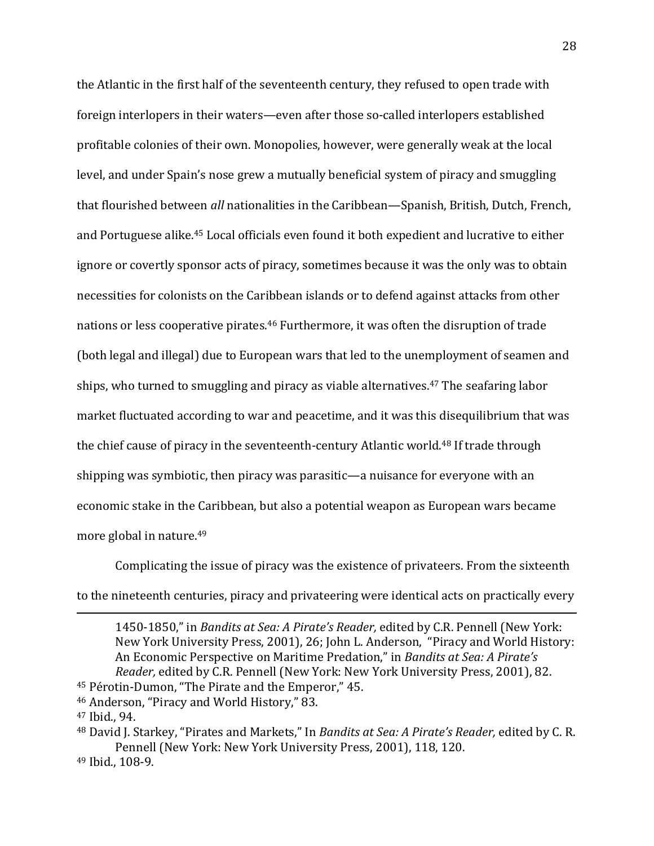the Atlantic in the first half of the seventeenth century, they refused to open trade with foreign interlopers in their waters—even after those so-called interlopers established profitable colonies of their own. Monopolies, however, were generally weak at the local level, and under Spain's nose grew a mutually beneficial system of piracy and smuggling that flourished between *all* nationalities in the Caribbean—Spanish, British, Dutch, French, and Portuguese alike.<sup>45</sup> Local officials even found it both expedient and lucrative to either ignore or covertly sponsor acts of piracy, sometimes because it was the only was to obtain necessities for colonists on the Caribbean islands or to defend against attacks from other nations or less cooperative pirates.<sup>46</sup> Furthermore, it was often the disruption of trade (both legal and illegal) due to European wars that led to the unemployment of seamen and ships, who turned to smuggling and piracy as viable alternatives.<sup>47</sup> The seafaring labor market fluctuated according to war and peacetime, and it was this disequilibrium that was the chief cause of piracy in the seventeenth-century Atlantic world.<sup>48</sup> If trade through shipping was symbiotic, then piracy was parasitic—a nuisance for everyone with an economic stake in the Caribbean, but also a potential weapon as European wars became more global in nature.<sup>49</sup>

Complicating the issue of piracy was the existence of privateers. From the sixteenth to the nineteenth centuries, piracy and privateering were identical acts on practically every

1450-1850," in *Bandits at Sea: A Pirate's Reader,* edited by C.R. Pennell (New York: New York University Press, 2001), 26; John L. Anderson, "Piracy and World History: An Economic Perspective on Maritime Predation," in *Bandits at Sea: A Pirate's Reader,* edited by C.R. Pennell (New York: New York University Press, 2001), 82.

<sup>45</sup> Pérotin-Dumon, "The Pirate and the Emperor," 45.

<sup>46</sup> Anderson, "Piracy and World History," 83.

<sup>47</sup> Ibid., 94.

<sup>48</sup> David J. Starkey, "Pirates and Markets," In *Bandits at Sea: A Pirate's Reader,* edited by C. R. Pennell (New York: New York University Press, 2001), 118, 120.

<sup>49</sup> Ibid., 108-9.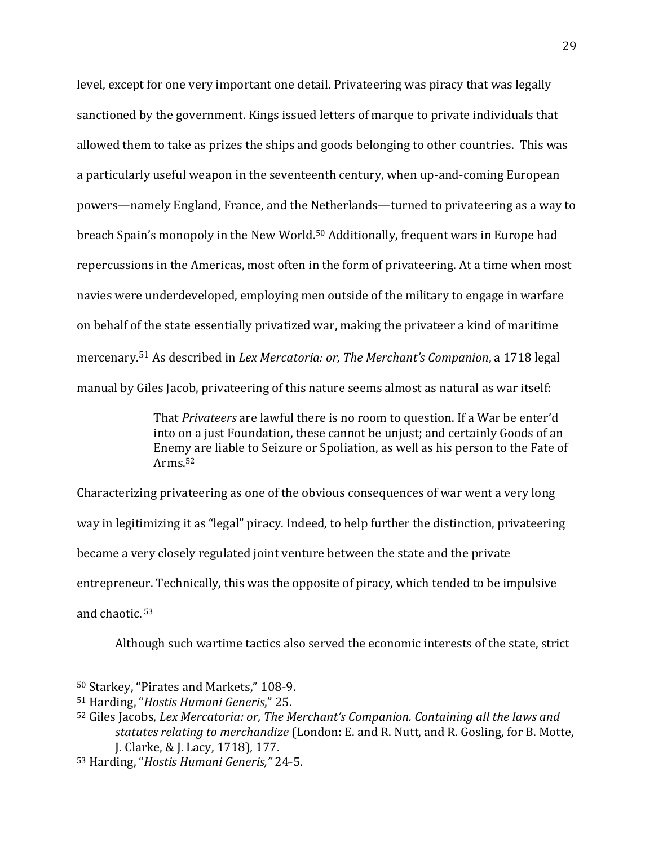level, except for one very important one detail. Privateering was piracy that was legally sanctioned by the government. Kings issued letters of marque to private individuals that allowed them to take as prizes the ships and goods belonging to other countries. This was a particularly useful weapon in the seventeenth century, when up-and-coming European powers—namely England, France, and the Netherlands—turned to privateering as a way to breach Spain's monopoly in the New World. <sup>50</sup> Additionally, frequent wars in Europe had repercussions in the Americas, most often in the form of privateering. At a time when most navies were underdeveloped, employing men outside of the military to engage in warfare on behalf of the state essentially privatized war, making the privateer a kind of maritime mercenary. <sup>51</sup> As described in *Lex Mercatoria: or, The Merchant's Companion*, a 1718 legal manual by Giles Jacob, privateering of this nature seems almost as natural as war itself:

> That *Privateers* are lawful there is no room to question. If a War be enter'd into on a just Foundation, these cannot be unjust; and certainly Goods of an Enemy are liable to Seizure or Spoliation, as well as his person to the Fate of Arms. 52

Characterizing privateering as one of the obvious consequences of war went a very long way in legitimizing it as "legal" piracy. Indeed, to help further the distinction, privateering became a very closely regulated joint venture between the state and the private entrepreneur. Technically, this was the opposite of piracy, which tended to be impulsive and chaotic. 53

Although such wartime tactics also served the economic interests of the state, strict

<sup>50</sup> Starkey, "Pirates and Markets," 108-9.

<sup>51</sup> Harding, "*Hostis Humani Generis*," 25.

<sup>52</sup> Giles Jacobs, *Lex Mercatoria: or, The Merchant's Companion. Containing all the laws and statutes relating to merchandize* (London: E. and R. Nutt, and R. Gosling, for B. Motte, J. Clarke, & J. Lacy, 1718)*,* 177.

<sup>53</sup> Harding, "*Hostis Humani Generis,"* 24-5.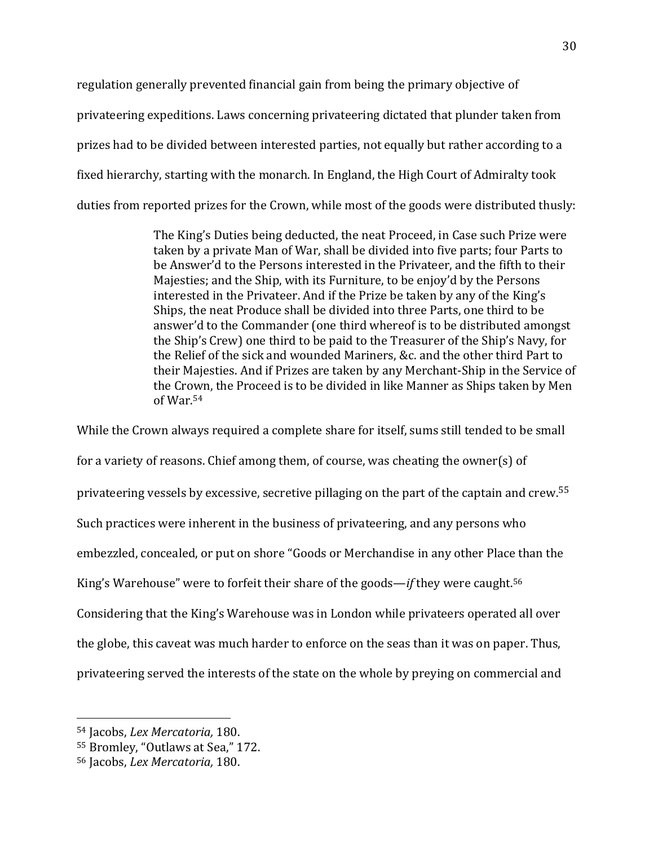regulation generally prevented financial gain from being the primary objective of privateering expeditions. Laws concerning privateering dictated that plunder taken from prizes had to be divided between interested parties, not equally but rather according to a fixed hierarchy, starting with the monarch. In England, the High Court of Admiralty took duties from reported prizes for the Crown, while most of the goods were distributed thusly:

> The King's Duties being deducted, the neat Proceed, in Case such Prize were taken by a private Man of War, shall be divided into five parts; four Parts to be Answer'd to the Persons interested in the Privateer, and the fifth to their Majesties; and the Ship, with its Furniture, to be enjoy'd by the Persons interested in the Privateer. And if the Prize be taken by any of the King's Ships, the neat Produce shall be divided into three Parts, one third to be answer'd to the Commander (one third whereof is to be distributed amongst the Ship's Crew) one third to be paid to the Treasurer of the Ship's Navy, for the Relief of the sick and wounded Mariners, &c. and the other third Part to their Majesties. And if Prizes are taken by any Merchant-Ship in the Service of the Crown, the Proceed is to be divided in like Manner as Ships taken by Men of War. 54

While the Crown always required a complete share for itself, sums still tended to be small for a variety of reasons. Chief among them, of course, was cheating the owner(s) of privateering vessels by excessive, secretive pillaging on the part of the captain and crew.<sup>55</sup> Such practices were inherent in the business of privateering, and any persons who embezzled, concealed, or put on shore "Goods or Merchandise in any other Place than the King's Warehouse" were to forfeit their share of the goods—*if* they were caught. 56 Considering that the King's Warehouse was in London while privateers operated all over the globe, this caveat was much harder to enforce on the seas than it was on paper. Thus, privateering served the interests of the state on the whole by preying on commercial and

<sup>54</sup> Jacobs, *Lex Mercatoria,* 180.

<sup>55</sup> Bromley, "Outlaws at Sea," 172.

<sup>56</sup> Jacobs, *Lex Mercatoria,* 180.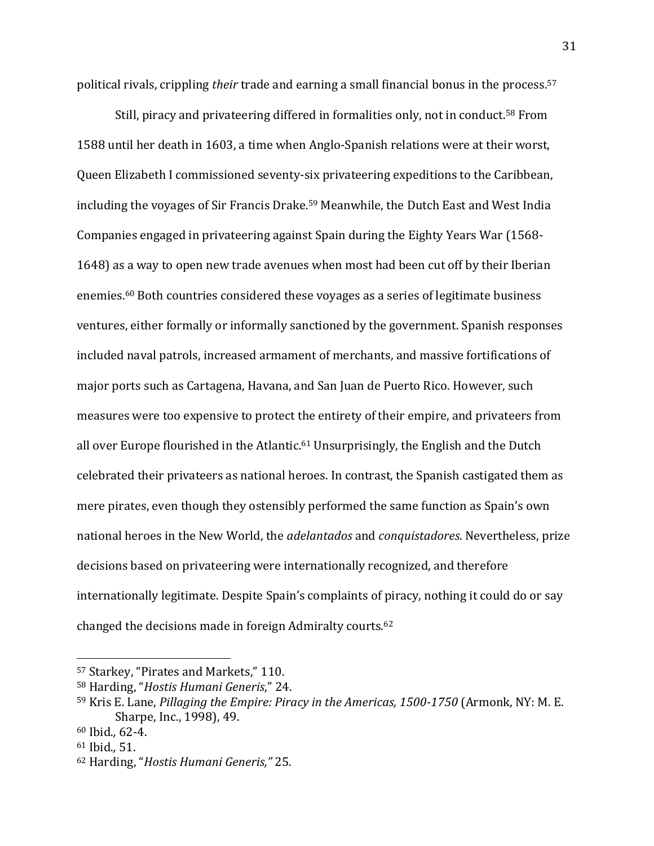political rivals, crippling *their* trade and earning a small financial bonus in the process. 57

Still, piracy and privateering differed in formalities only, not in conduct.<sup>58</sup> From 1588 until her death in 1603, a time when Anglo-Spanish relations were at their worst, Queen Elizabeth I commissioned seventy-six privateering expeditions to the Caribbean, including the voyages of Sir Francis Drake. <sup>59</sup> Meanwhile, the Dutch East and West India Companies engaged in privateering against Spain during the Eighty Years War (1568- 1648) as a way to open new trade avenues when most had been cut off by their Iberian enemies. <sup>60</sup> Both countries considered these voyages as a series of legitimate business ventures, either formally or informally sanctioned by the government. Spanish responses included naval patrols, increased armament of merchants, and massive fortifications of major ports such as Cartagena, Havana, and San Juan de Puerto Rico. However, such measures were too expensive to protect the entirety of their empire, and privateers from all over Europe flourished in the Atlantic.<sup>61</sup> Unsurprisingly, the English and the Dutch celebrated their privateers as national heroes. In contrast, the Spanish castigated them as mere pirates, even though they ostensibly performed the same function as Spain's own national heroes in the New World, the *adelantados* and *conquistadores*. Nevertheless, prize decisions based on privateering were internationally recognized, and therefore internationally legitimate. Despite Spain's complaints of piracy, nothing it could do or say changed the decisions made in foreign Admiralty courts.<sup>62</sup>

<sup>57</sup> Starkey, "Pirates and Markets," 110.

<sup>58</sup> Harding, "*Hostis Humani Generis*," 24.

<sup>59</sup> Kris E. Lane, *Pillaging the Empire: Piracy in the Americas, 1500-1750* (Armonk, NY: M. E. Sharpe, Inc., 1998), 49.

<sup>60</sup> Ibid.*,* 62-4.

<sup>61</sup> Ibid.*,* 51.

<sup>62</sup> Harding, "*Hostis Humani Generis,"* 25.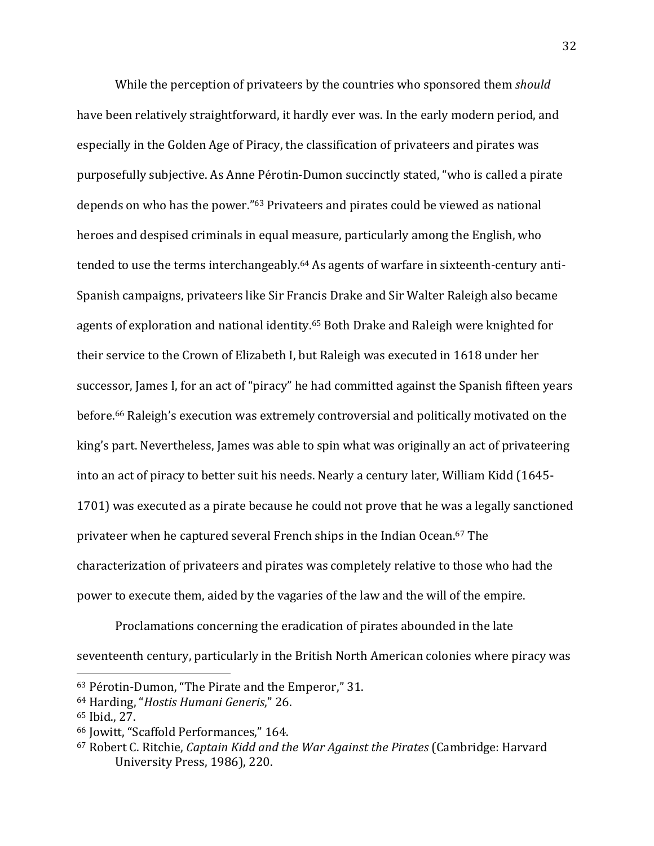While the perception of privateers by the countries who sponsored them *should* have been relatively straightforward, it hardly ever was. In the early modern period, and especially in the Golden Age of Piracy, the classification of privateers and pirates was purposefully subjective. As Anne Pérotin-Dumon succinctly stated, "who is called a pirate depends on who has the power." <sup>63</sup> Privateers and pirates could be viewed as national heroes and despised criminals in equal measure, particularly among the English, who tended to use the terms interchangeably. <sup>64</sup> As agents of warfare in sixteenth-century anti-Spanish campaigns, privateers like Sir Francis Drake and Sir Walter Raleigh also became agents of exploration and national identity. <sup>65</sup> Both Drake and Raleigh were knighted for their service to the Crown of Elizabeth I, but Raleigh was executed in 1618 under her successor, James I, for an act of "piracy" he had committed against the Spanish fifteen years before. <sup>66</sup> Raleigh's execution was extremely controversial and politically motivated on the king's part. Nevertheless, James was able to spin what was originally an act of privateering into an act of piracy to better suit his needs. Nearly a century later, William Kidd (1645- 1701) was executed as a pirate because he could not prove that he was a legally sanctioned privateer when he captured several French ships in the Indian Ocean. <sup>67</sup> The characterization of privateers and pirates was completely relative to those who had the power to execute them, aided by the vagaries of the law and the will of the empire.

Proclamations concerning the eradication of pirates abounded in the late seventeenth century, particularly in the British North American colonies where piracy was

<sup>63</sup> Pérotin-Dumon, "The Pirate and the Emperor," 31.

<sup>64</sup> Harding, "*Hostis Humani Generis*," 26.

<sup>65</sup> Ibid., 27.

<sup>66</sup> Jowitt, "Scaffold Performances," 164.

<sup>67</sup> Robert C. Ritchie, *Captain Kidd and the War Against the Pirates* (Cambridge: Harvard University Press, 1986), 220.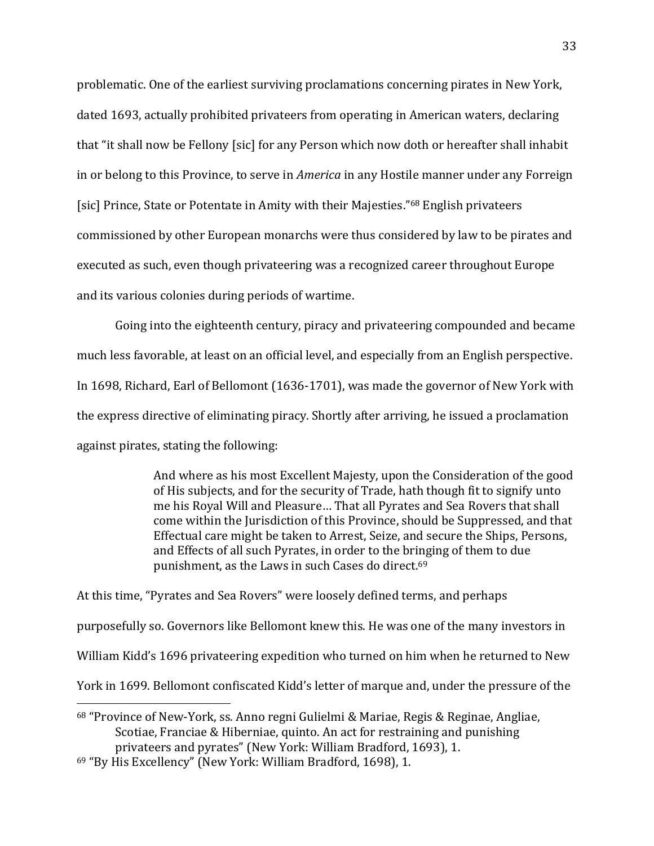problematic. One of the earliest surviving proclamations concerning pirates in New York, dated 1693, actually prohibited privateers from operating in American waters, declaring that "it shall now be Fellony [sic] for any Person which now doth or hereafter shall inhabit in or belong to this Province, to serve in *America* in any Hostile manner under any Forreign [sic] Prince, State or Potentate in Amity with their Majesties."<sup>68</sup> English privateers commissioned by other European monarchs were thus considered by law to be pirates and executed as such, even though privateering was a recognized career throughout Europe and its various colonies during periods of wartime.

Going into the eighteenth century, piracy and privateering compounded and became much less favorable, at least on an official level, and especially from an English perspective. In 1698, Richard, Earl of Bellomont (1636-1701), was made the governor of New York with the express directive of eliminating piracy. Shortly after arriving, he issued a proclamation against pirates, stating the following:

> And where as his most Excellent Majesty, upon the Consideration of the good of His subjects, and for the security of Trade, hath though fit to signify unto me his Royal Will and Pleasure… That all Pyrates and Sea Rovers that shall come within the Jurisdiction of this Province, should be Suppressed, and that Effectual care might be taken to Arrest, Seize, and secure the Ships, Persons, and Effects of all such Pyrates, in order to the bringing of them to due punishment, as the Laws in such Cases do direct. 69

At this time, "Pyrates and Sea Rovers" were loosely defined terms, and perhaps purposefully so. Governors like Bellomont knew this. He was one of the many investors in William Kidd's 1696 privateering expedition who turned on him when he returned to New York in 1699. Bellomont confiscated Kidd's letter of marque and, under the pressure of the  $\overline{\phantom{a}}$ 

<sup>68</sup> "Province of New-York, ss. Anno regni Gulielmi & Mariae, Regis & Reginae, Angliae, Scotiae, Franciae & Hiberniae, quinto. An act for restraining and punishing privateers and pyrates" (New York: William Bradford, 1693), 1.

<sup>69</sup> "By His Excellency" (New York: William Bradford, 1698), 1.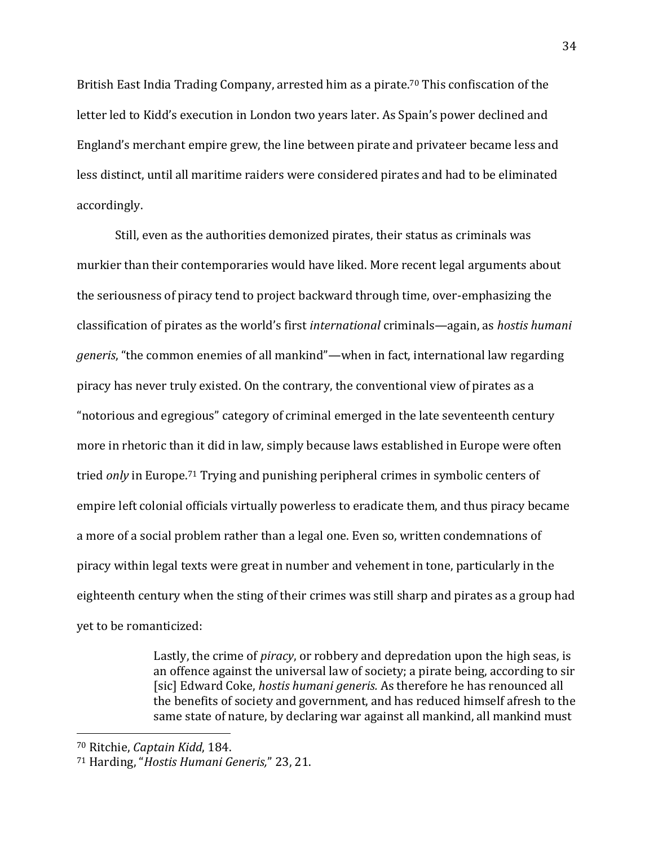British East India Trading Company, arrested him as a pirate.<sup>70</sup> This confiscation of the letter led to Kidd's execution in London two years later. As Spain's power declined and England's merchant empire grew, the line between pirate and privateer became less and less distinct, until all maritime raiders were considered pirates and had to be eliminated accordingly.

Still, even as the authorities demonized pirates, their status as criminals was murkier than their contemporaries would have liked. More recent legal arguments about the seriousness of piracy tend to project backward through time, over-emphasizing the classification of pirates as the world's first *international* criminals—again, as *hostis humani generis*, "the common enemies of all mankind"—when in fact, international law regarding piracy has never truly existed. On the contrary, the conventional view of pirates as a "notorious and egregious" category of criminal emerged in the late seventeenth century more in rhetoric than it did in law, simply because laws established in Europe were often tried *only* in Europe. <sup>71</sup> Trying and punishing peripheral crimes in symbolic centers of empire left colonial officials virtually powerless to eradicate them, and thus piracy became a more of a social problem rather than a legal one. Even so, written condemnations of piracy within legal texts were great in number and vehement in tone, particularly in the eighteenth century when the sting of their crimes was still sharp and pirates as a group had yet to be romanticized:

> Lastly, the crime of *piracy*, or robbery and depredation upon the high seas, is an offence against the universal law of society; a pirate being, according to sir [sic] Edward Coke, *hostis humani generis.* As therefore he has renounced all the benefits of society and government, and has reduced himself afresh to the same state of nature, by declaring war against all mankind, all mankind must

<sup>70</sup> Ritchie, *Captain Kidd*, 184.

<sup>71</sup> Harding, "*Hostis Humani Generis,*" 23, 21.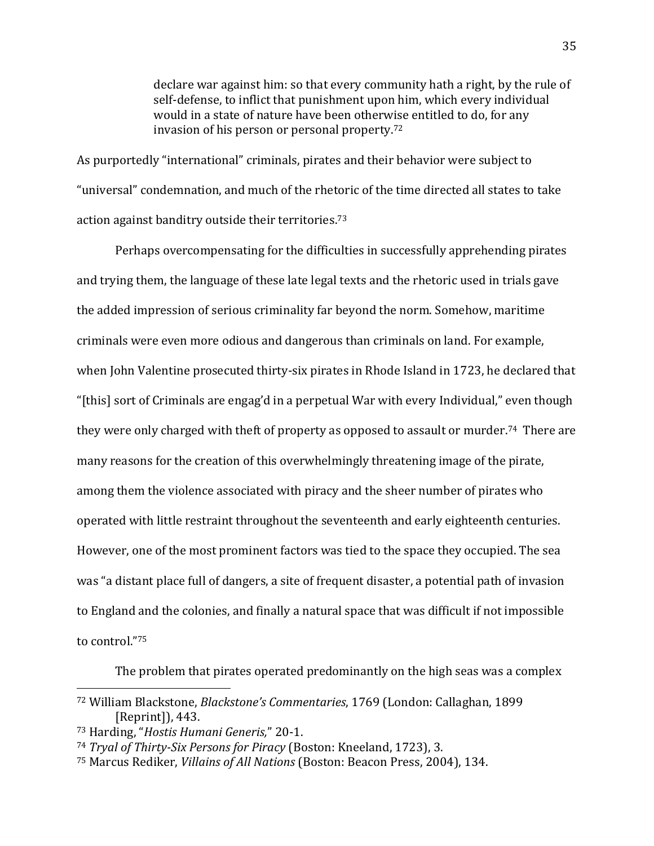declare war against him: so that every community hath a right, by the rule of self-defense, to inflict that punishment upon him, which every individual would in a state of nature have been otherwise entitled to do, for any invasion of his person or personal property. 72

As purportedly "international" criminals, pirates and their behavior were subject to "universal" condemnation, and much of the rhetoric of the time directed all states to take action against banditry outside their territories. 73

Perhaps overcompensating for the difficulties in successfully apprehending pirates and trying them, the language of these late legal texts and the rhetoric used in trials gave the added impression of serious criminality far beyond the norm. Somehow, maritime criminals were even more odious and dangerous than criminals on land. For example, when John Valentine prosecuted thirty-six pirates in Rhode Island in 1723, he declared that "[this] sort of Criminals are engag'd in a perpetual War with every Individual," even though they were only charged with theft of property as opposed to assault or murder.<sup>74</sup> There are many reasons for the creation of this overwhelmingly threatening image of the pirate, among them the violence associated with piracy and the sheer number of pirates who operated with little restraint throughout the seventeenth and early eighteenth centuries. However, one of the most prominent factors was tied to the space they occupied. The sea was "a distant place full of dangers, a site of frequent disaster, a potential path of invasion to England and the colonies, and finally a natural space that was difficult if not impossible to control." 75

The problem that pirates operated predominantly on the high seas was a complex

<sup>72</sup> William Blackstone, *Blackstone's Commentaries*, 1769 (London: Callaghan, 1899 [Reprint]), 443.

<sup>73</sup> Harding, "*Hostis Humani Generis,*" 20-1.

<sup>74</sup> *Tryal of Thirty-Six Persons for Piracy* (Boston: Kneeland, 1723), 3.

<sup>75</sup> Marcus Rediker, *Villains of All Nations* (Boston: Beacon Press, 2004), 134.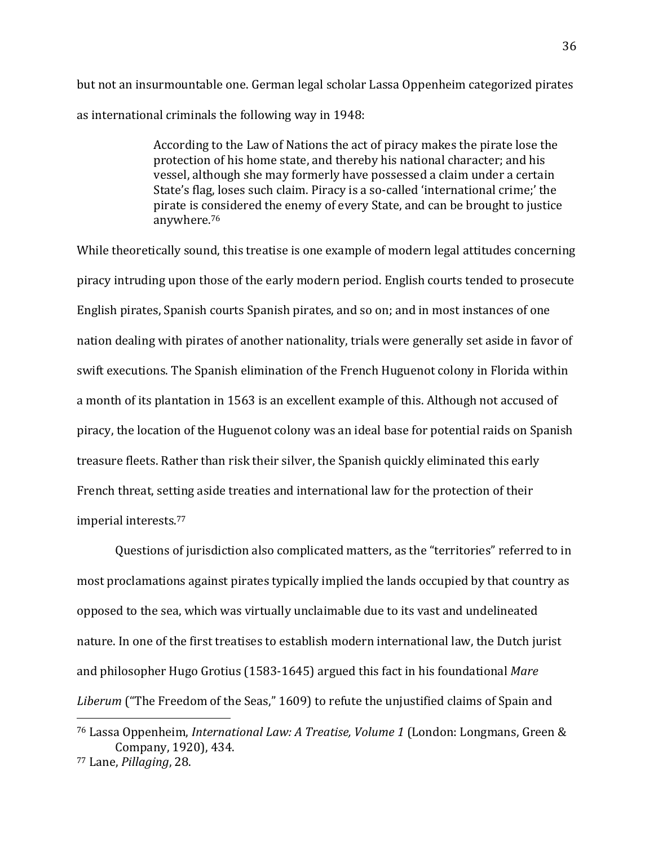but not an insurmountable one. German legal scholar Lassa Oppenheim categorized pirates as international criminals the following way in 1948:

> According to the Law of Nations the act of piracy makes the pirate lose the protection of his home state, and thereby his national character; and his vessel, although she may formerly have possessed a claim under a certain State's flag, loses such claim. Piracy is a so-called 'international crime;' the pirate is considered the enemy of every State, and can be brought to justice anywhere. 76

While theoretically sound, this treatise is one example of modern legal attitudes concerning piracy intruding upon those of the early modern period. English courts tended to prosecute English pirates, Spanish courts Spanish pirates, and so on; and in most instances of one nation dealing with pirates of another nationality, trials were generally set aside in favor of swift executions. The Spanish elimination of the French Huguenot colony in Florida within a month of its plantation in 1563 is an excellent example of this. Although not accused of piracy, the location of the Huguenot colony was an ideal base for potential raids on Spanish treasure fleets. Rather than risk their silver, the Spanish quickly eliminated this early French threat, setting aside treaties and international law for the protection of their imperial interests.<sup>77</sup>

Questions of jurisdiction also complicated matters, as the "territories" referred to in most proclamations against pirates typically implied the lands occupied by that country as opposed to the sea, which was virtually unclaimable due to its vast and undelineated nature. In one of the first treatises to establish modern international law, the Dutch jurist and philosopher Hugo Grotius (1583-1645) argued this fact in his foundational *Mare Liberum* ("The Freedom of the Seas," 1609) to refute the unjustified claims of Spain and

<sup>76</sup> Lassa Oppenheim, *International Law: A Treatise, Volume 1* (London: Longmans, Green & Company, 1920), 434.

<sup>77</sup> Lane, *Pillaging*, 28.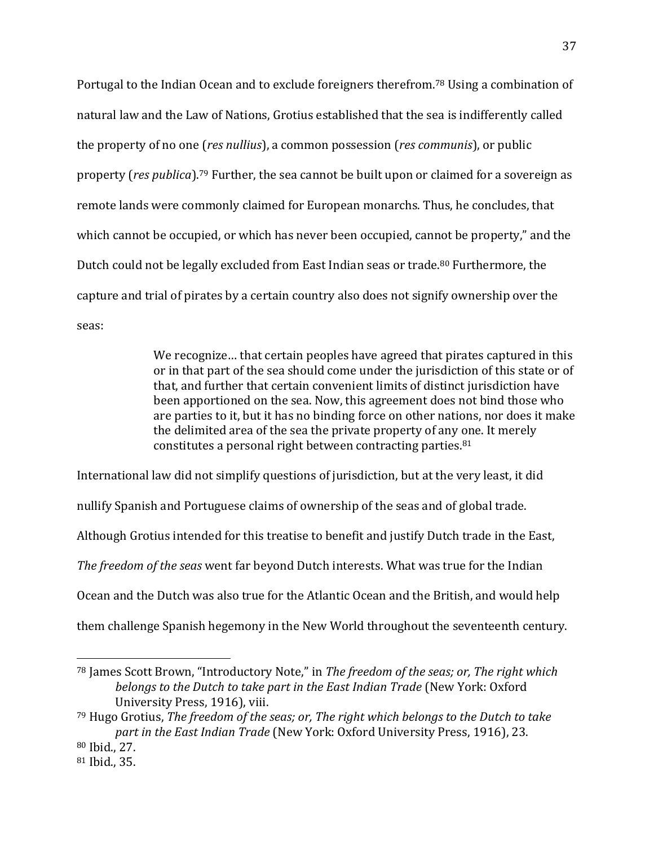Portugal to the Indian Ocean and to exclude foreigners therefrom.<sup>78</sup> Using a combination of natural law and the Law of Nations, Grotius established that the sea is indifferently called the property of no one (*res nullius*), a common possession (*res communis*), or public property (*res publica*).<sup>79</sup> Further, the sea cannot be built upon or claimed for a sovereign as remote lands were commonly claimed for European monarchs. Thus, he concludes, that which cannot be occupied, or which has never been occupied, cannot be property," and the Dutch could not be legally excluded from East Indian seas or trade.<sup>80</sup> Furthermore, the capture and trial of pirates by a certain country also does not signify ownership over the seas:

> We recognize… that certain peoples have agreed that pirates captured in this or in that part of the sea should come under the jurisdiction of this state or of that, and further that certain convenient limits of distinct jurisdiction have been apportioned on the sea. Now, this agreement does not bind those who are parties to it, but it has no binding force on other nations, nor does it make the delimited area of the sea the private property of any one. It merely constitutes a personal right between contracting parties.<sup>81</sup>

International law did not simplify questions of jurisdiction, but at the very least, it did nullify Spanish and Portuguese claims of ownership of the seas and of global trade. Although Grotius intended for this treatise to benefit and justify Dutch trade in the East, *The freedom of the seas* went far beyond Dutch interests. What was true for the Indian Ocean and the Dutch was also true for the Atlantic Ocean and the British, and would help them challenge Spanish hegemony in the New World throughout the seventeenth century.

<sup>78</sup> James Scott Brown, "Introductory Note," in *The freedom of the seas; or, The right which belongs to the Dutch to take part in the East Indian Trade* (New York: Oxford University Press, 1916), viii.

<sup>79</sup> Hugo Grotius, *The freedom of the seas; or, The right which belongs to the Dutch to take part in the East Indian Trade* (New York: Oxford University Press, 1916), 23. <sup>80</sup> Ibid., 27.

<sup>81</sup> Ibid., 35.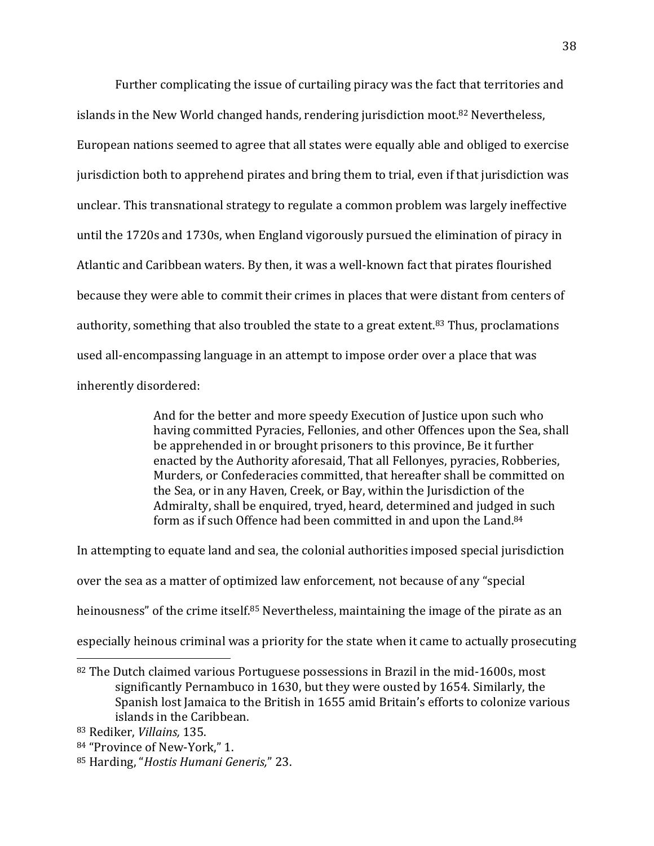Further complicating the issue of curtailing piracy was the fact that territories and islands in the New World changed hands, rendering jurisdiction moot. <sup>82</sup> Nevertheless, European nations seemed to agree that all states were equally able and obliged to exercise jurisdiction both to apprehend pirates and bring them to trial, even if that jurisdiction was unclear. This transnational strategy to regulate a common problem was largely ineffective until the 1720s and 1730s, when England vigorously pursued the elimination of piracy in Atlantic and Caribbean waters. By then, it was a well-known fact that pirates flourished because they were able to commit their crimes in places that were distant from centers of authority, something that also troubled the state to a great extent. <sup>83</sup> Thus, proclamations used all-encompassing language in an attempt to impose order over a place that was inherently disordered:

> And for the better and more speedy Execution of Justice upon such who having committed Pyracies, Fellonies, and other Offences upon the Sea, shall be apprehended in or brought prisoners to this province, Be it further enacted by the Authority aforesaid, That all Fellonyes, pyracies, Robberies, Murders, or Confederacies committed, that hereafter shall be committed on the Sea, or in any Haven, Creek, or Bay, within the Jurisdiction of the Admiralty, shall be enquired, tryed, heard, determined and judged in such form as if such Offence had been committed in and upon the Land.<sup>84</sup>

In attempting to equate land and sea, the colonial authorities imposed special jurisdiction over the sea as a matter of optimized law enforcement, not because of any "special heinousness" of the crime itself.<sup>85</sup> Nevertheless, maintaining the image of the pirate as an especially heinous criminal was a priority for the state when it came to actually prosecuting

<sup>82</sup> The Dutch claimed various Portuguese possessions in Brazil in the mid-1600s, most significantly Pernambuco in 1630, but they were ousted by 1654. Similarly, the Spanish lost Jamaica to the British in 1655 amid Britain's efforts to colonize various islands in the Caribbean.

<sup>83</sup> Rediker, *Villains,* 135.

<sup>84</sup> "Province of New-York," 1.

<sup>85</sup> Harding, "*Hostis Humani Generis,*" 23.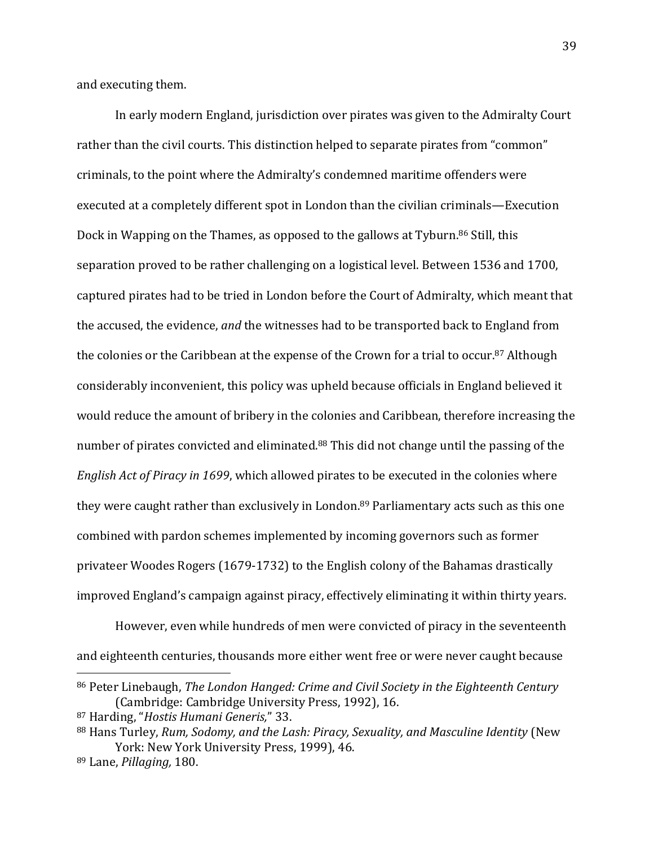and executing them.

In early modern England, jurisdiction over pirates was given to the Admiralty Court rather than the civil courts. This distinction helped to separate pirates from "common" criminals, to the point where the Admiralty's condemned maritime offenders were executed at a completely different spot in London than the civilian criminals—Execution Dock in Wapping on the Thames, as opposed to the gallows at Tyburn. <sup>86</sup> Still, this separation proved to be rather challenging on a logistical level. Between 1536 and 1700, captured pirates had to be tried in London before the Court of Admiralty, which meant that the accused, the evidence, *and* the witnesses had to be transported back to England from the colonies or the Caribbean at the expense of the Crown for a trial to occur. <sup>87</sup> Although considerably inconvenient, this policy was upheld because officials in England believed it would reduce the amount of bribery in the colonies and Caribbean, therefore increasing the number of pirates convicted and eliminated.<sup>88</sup> This did not change until the passing of the *English Act of Piracy in 1699*, which allowed pirates to be executed in the colonies where they were caught rather than exclusively in London. <sup>89</sup> Parliamentary acts such as this one combined with pardon schemes implemented by incoming governors such as former privateer Woodes Rogers (1679-1732) to the English colony of the Bahamas drastically improved England's campaign against piracy, effectively eliminating it within thirty years.

However, even while hundreds of men were convicted of piracy in the seventeenth and eighteenth centuries, thousands more either went free or were never caught because

<sup>86</sup> Peter Linebaugh, *The London Hanged: Crime and Civil Society in the Eighteenth Century* (Cambridge: Cambridge University Press, 1992), 16.

<sup>87</sup> Harding, "*Hostis Humani Generis,*" 33.

<sup>88</sup> Hans Turley, *Rum, Sodomy, and the Lash: Piracy, Sexuality, and Masculine Identity* (New York: New York University Press, 1999), 46.

<sup>89</sup> Lane, *Pillaging,* 180.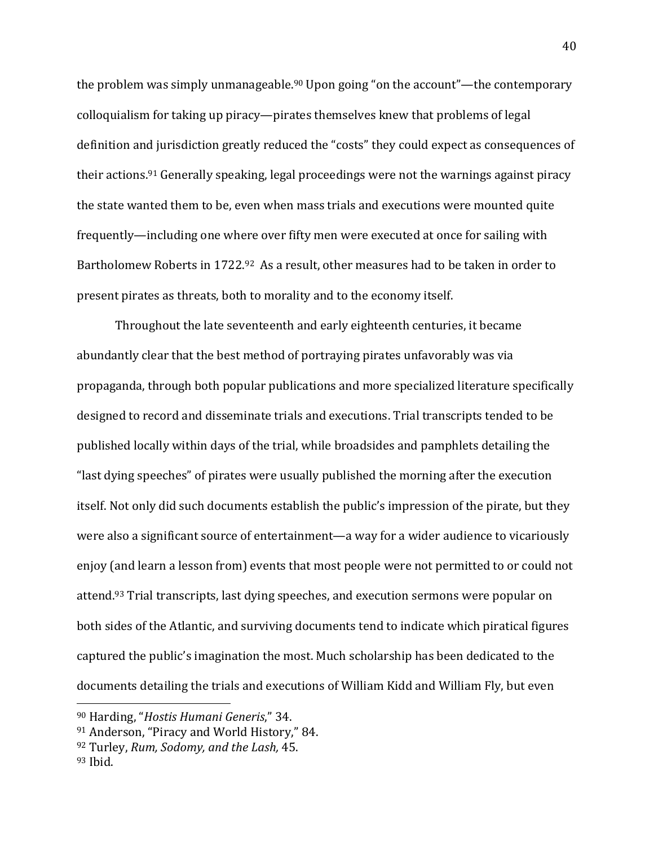the problem was simply unmanageable.<sup>90</sup> Upon going "on the account"—the contemporary colloquialism for taking up piracy—pirates themselves knew that problems of legal definition and jurisdiction greatly reduced the "costs" they could expect as consequences of their actions. <sup>91</sup> Generally speaking, legal proceedings were not the warnings against piracy the state wanted them to be, even when mass trials and executions were mounted quite frequently—including one where over fifty men were executed at once for sailing with Bartholomew Roberts in 1722.<sup>92</sup> As a result, other measures had to be taken in order to present pirates as threats, both to morality and to the economy itself.

Throughout the late seventeenth and early eighteenth centuries, it became abundantly clear that the best method of portraying pirates unfavorably was via propaganda, through both popular publications and more specialized literature specifically designed to record and disseminate trials and executions. Trial transcripts tended to be published locally within days of the trial, while broadsides and pamphlets detailing the "last dying speeches" of pirates were usually published the morning after the execution itself. Not only did such documents establish the public's impression of the pirate, but they were also a significant source of entertainment—a way for a wider audience to vicariously enjoy (and learn a lesson from) events that most people were not permitted to or could not attend. <sup>93</sup> Trial transcripts, last dying speeches, and execution sermons were popular on both sides of the Atlantic, and surviving documents tend to indicate which piratical figures captured the public's imagination the most. Much scholarship has been dedicated to the documents detailing the trials and executions of William Kidd and William Fly, but even

<sup>90</sup> Harding, "*Hostis Humani Generis*," 34.

<sup>91</sup> Anderson, "Piracy and World History," 84.

<sup>92</sup> Turley, *Rum, Sodomy, and the Lash,* 45.

<sup>93</sup> Ibid.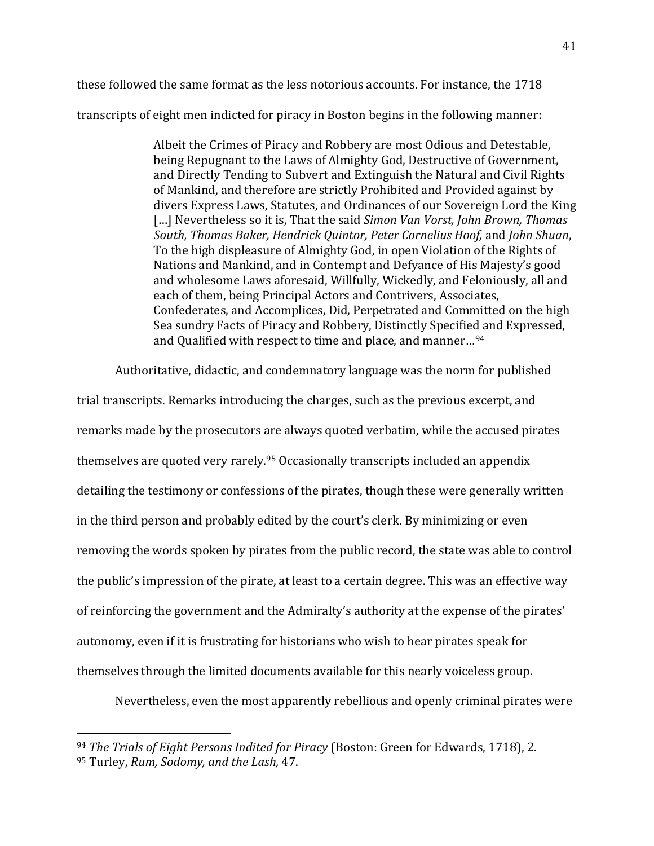these followed the same format as the less notorious accounts. For instance, the 1718 transcripts of eight men indicted for piracy in Boston begins in the following manner:

> Albeit the Crimes of Piracy and Robbery are most Odious and Detestable, being Repugnant to the Laws of Almighty God, Destructive of Government, and Directly Tending to Subvert and Extinguish the Natural and Civil Rights of Mankind, and therefore are strictly Prohibited and Provided against by divers Express Laws, Statutes, and Ordinances of our Sovereign Lord the King […] Nevertheless so it is, That the said *Simon Van Vorst, John Brown, Thomas South, Thomas Baker, Hendrick Quintor, Peter Cornelius Hoof,* and *John Shuan*, To the high displeasure of Almighty God, in open Violation of the Rights of Nations and Mankind, and in Contempt and Defyance of His Majesty's good and wholesome Laws aforesaid, Willfully, Wickedly, and Feloniously, all and each of them, being Principal Actors and Contrivers, Associates, Confederates, and Accomplices, Did, Perpetrated and Committed on the high Sea sundry Facts of Piracy and Robbery, Distinctly Specified and Expressed, and Qualified with respect to time and place, and manner…<sup>94</sup>

Authoritative, didactic, and condemnatory language was the norm for published

trial transcripts. Remarks introducing the charges, such as the previous excerpt, and remarks made by the prosecutors are always quoted verbatim, while the accused pirates themselves are quoted very rarely. <sup>95</sup> Occasionally transcripts included an appendix detailing the testimony or confessions of the pirates, though these were generally written in the third person and probably edited by the court's clerk. By minimizing or even removing the words spoken by pirates from the public record, the state was able to control the public's impression of the pirate, at least to a certain degree. This was an effective way of reinforcing the government and the Admiralty's authority at the expense of the pirates' autonomy, even if it is frustrating for historians who wish to hear pirates speak for themselves through the limited documents available for this nearly voiceless group.

Nevertheless, even the most apparently rebellious and openly criminal pirates were

<sup>94</sup> *The Trials of Eight Persons Indited for Piracy* (Boston: Green for Edwards, 1718), 2. <sup>95</sup> Turley, *Rum, Sodomy, and the Lash,* 47.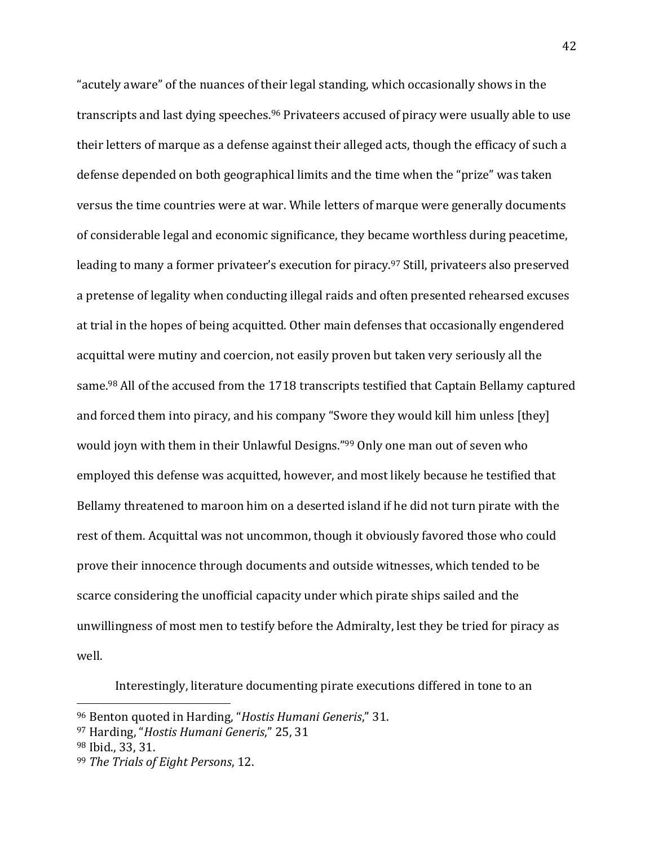"acutely aware" of the nuances of their legal standing, which occasionally shows in the transcripts and last dying speeches. <sup>96</sup> Privateers accused of piracy were usually able to use their letters of marque as a defense against their alleged acts, though the efficacy of such a defense depended on both geographical limits and the time when the "prize" was taken versus the time countries were at war. While letters of marque were generally documents of considerable legal and economic significance, they became worthless during peacetime, leading to many a former privateer's execution for piracy. <sup>97</sup> Still, privateers also preserved a pretense of legality when conducting illegal raids and often presented rehearsed excuses at trial in the hopes of being acquitted. Other main defenses that occasionally engendered acquittal were mutiny and coercion, not easily proven but taken very seriously all the same.<sup>98</sup> All of the accused from the 1718 transcripts testified that Captain Bellamy captured and forced them into piracy, and his company "Swore they would kill him unless [they] would joyn with them in their Unlawful Designs." <sup>99</sup> Only one man out of seven who employed this defense was acquitted, however, and most likely because he testified that Bellamy threatened to maroon him on a deserted island if he did not turn pirate with the rest of them. Acquittal was not uncommon, though it obviously favored those who could prove their innocence through documents and outside witnesses, which tended to be scarce considering the unofficial capacity under which pirate ships sailed and the unwillingness of most men to testify before the Admiralty, lest they be tried for piracy as well.

Interestingly, literature documenting pirate executions differed in tone to an

<sup>96</sup> Benton quoted in Harding, "*Hostis Humani Generis*," 31.

<sup>97</sup> Harding, "*Hostis Humani Generis*," 25, 31

<sup>98</sup> Ibid., 33, 31.

<sup>99</sup> *The Trials of Eight Persons*, 12.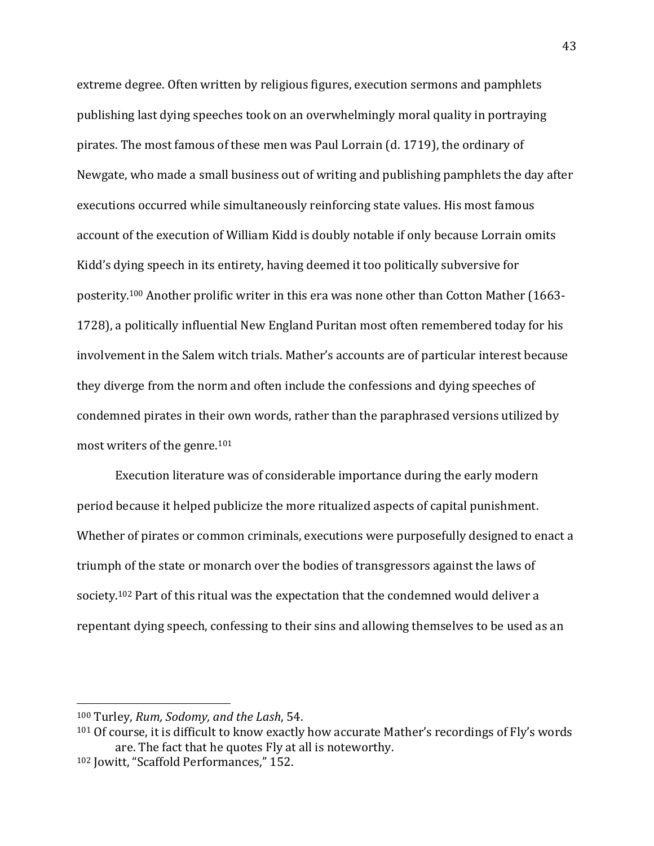extreme degree. Often written by religious figures, execution sermons and pamphlets publishing last dying speeches took on an overwhelmingly moral quality in portraying pirates. The most famous of these men was Paul Lorrain (d. 1719), the ordinary of Newgate, who made a small business out of writing and publishing pamphlets the day after executions occurred while simultaneously reinforcing state values. His most famous account of the execution of William Kidd is doubly notable if only because Lorrain omits Kidd's dying speech in its entirety, having deemed it too politically subversive for posterity. <sup>100</sup> Another prolific writer in this era was none other than Cotton Mather (1663- 1728), a politically influential New England Puritan most often remembered today for his involvement in the Salem witch trials. Mather's accounts are of particular interest because they diverge from the norm and often include the confessions and dying speeches of condemned pirates in their own words, rather than the paraphrased versions utilized by most writers of the genre. 101

Execution literature was of considerable importance during the early modern period because it helped publicize the more ritualized aspects of capital punishment. Whether of pirates or common criminals, executions were purposefully designed to enact a triumph of the state or monarch over the bodies of transgressors against the laws of society.<sup>102</sup> Part of this ritual was the expectation that the condemned would deliver a repentant dying speech, confessing to their sins and allowing themselves to be used as an

<sup>100</sup> Turley, *Rum, Sodomy, and the Lash*, 54.

<sup>&</sup>lt;sup>101</sup> Of course, it is difficult to know exactly how accurate Mather's recordings of Fly's words are. The fact that he quotes Fly at all is noteworthy. <sup>102</sup> Jowitt, "Scaffold Performances," 152.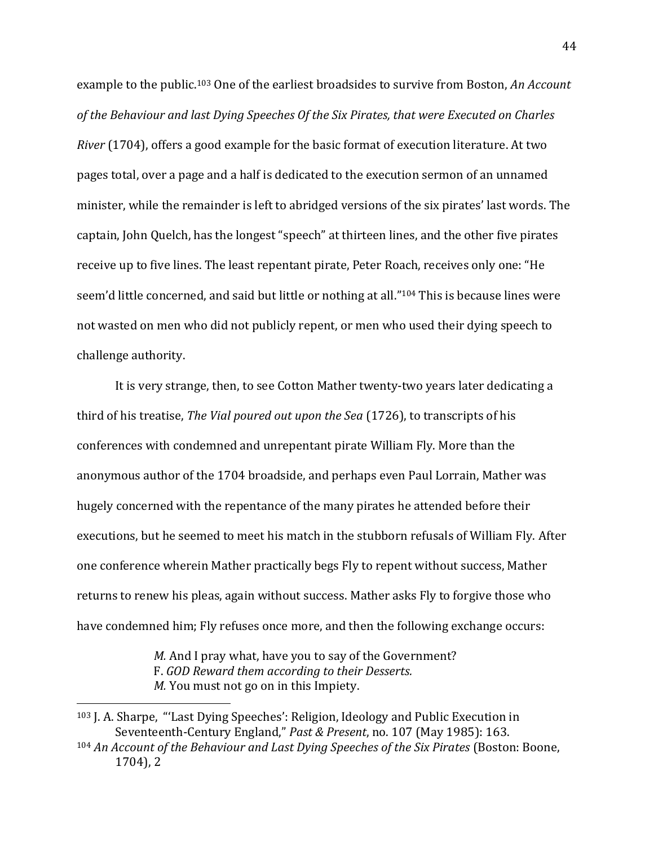example to the public. <sup>103</sup> One of the earliest broadsides to survive from Boston, *An Account of the Behaviour and last Dying Speeches Of the Six Pirates, that were Executed on Charles River* (1704), offers a good example for the basic format of execution literature. At two pages total, over a page and a half is dedicated to the execution sermon of an unnamed minister, while the remainder is left to abridged versions of the six pirates' last words. The captain, John Quelch, has the longest "speech" at thirteen lines, and the other five pirates receive up to five lines. The least repentant pirate, Peter Roach, receives only one: "He seem'd little concerned, and said but little or nothing at all."<sup>104</sup> This is because lines were not wasted on men who did not publicly repent, or men who used their dying speech to challenge authority.

It is very strange, then, to see Cotton Mather twenty-two years later dedicating a third of his treatise, *The Vial poured out upon the Sea* (1726), to transcripts of his conferences with condemned and unrepentant pirate William Fly. More than the anonymous author of the 1704 broadside, and perhaps even Paul Lorrain, Mather was hugely concerned with the repentance of the many pirates he attended before their executions, but he seemed to meet his match in the stubborn refusals of William Fly. After one conference wherein Mather practically begs Fly to repent without success, Mather returns to renew his pleas, again without success. Mather asks Fly to forgive those who have condemned him; Fly refuses once more, and then the following exchange occurs:

> *M.* And I pray what, have you to say of the Government? F. *GOD Reward them according to their Desserts. M.* You must not go on in this Impiety.

<sup>103</sup> J. A. Sharpe, "'Last Dying Speeches': Religion, Ideology and Public Execution in Seventeenth-Century England," *Past & Present*, no. 107 (May 1985): 163.

<sup>104</sup> *An Account of the Behaviour and Last Dying Speeches of the Six Pirates* (Boston: Boone, 1704), 2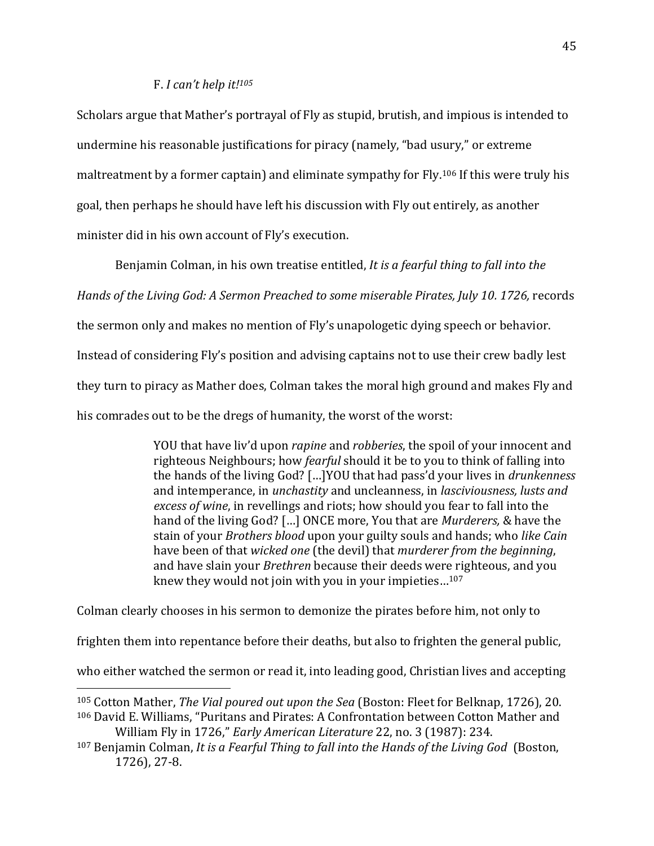## F. *I can't help it!<sup>105</sup>*

Scholars argue that Mather's portrayal of Fly as stupid, brutish, and impious is intended to undermine his reasonable justifications for piracy (namely, "bad usury," or extreme maltreatment by a former captain) and eliminate sympathy for Fly. <sup>106</sup> If this were truly his goal, then perhaps he should have left his discussion with Fly out entirely, as another minister did in his own account of Fly's execution.

Benjamin Colman, in his own treatise entitled, *It is a fearful thing to fall into the* 

*Hands of the Living God: A Sermon Preached to some miserable Pirates, July 10. 1726,* records

the sermon only and makes no mention of Fly's unapologetic dying speech or behavior.

Instead of considering Fly's position and advising captains not to use their crew badly lest

they turn to piracy as Mather does, Colman takes the moral high ground and makes Fly and

his comrades out to be the dregs of humanity, the worst of the worst:

YOU that have liv'd upon *rapine* and *robberies*, the spoil of your innocent and righteous Neighbours; how *fearful* should it be to you to think of falling into the hands of the living God? […]YOU that had pass'd your lives in *drunkenness* and intemperance, in *unchastity* and uncleanness, in *lasciviousness, lusts and excess of wine*, in revellings and riots; how should you fear to fall into the hand of the living God? […] ONCE more, You that are *Murderers,* & have the stain of your *Brothers blood* upon your guilty souls and hands; who *like Cain* have been of that *wicked one* (the devil) that *murderer from the beginning*, and have slain your *Brethren* because their deeds were righteous, and you knew they would not join with you in your impieties…<sup>107</sup>

Colman clearly chooses in his sermon to demonize the pirates before him, not only to

frighten them into repentance before their deaths, but also to frighten the general public,

who either watched the sermon or read it, into leading good, Christian lives and accepting

l <sup>105</sup> Cotton Mather, *The Vial poured out upon the Sea* (Boston: Fleet for Belknap, 1726), 20. <sup>106</sup> David E. Williams, "Puritans and Pirates: A Confrontation between Cotton Mather and William Fly in 1726," *Early American Literature* 22, no. 3 (1987): 234.

<sup>107</sup> Benjamin Colman, *It is a Fearful Thing to fall into the Hands of the Living God* (Boston, 1726), 27-8.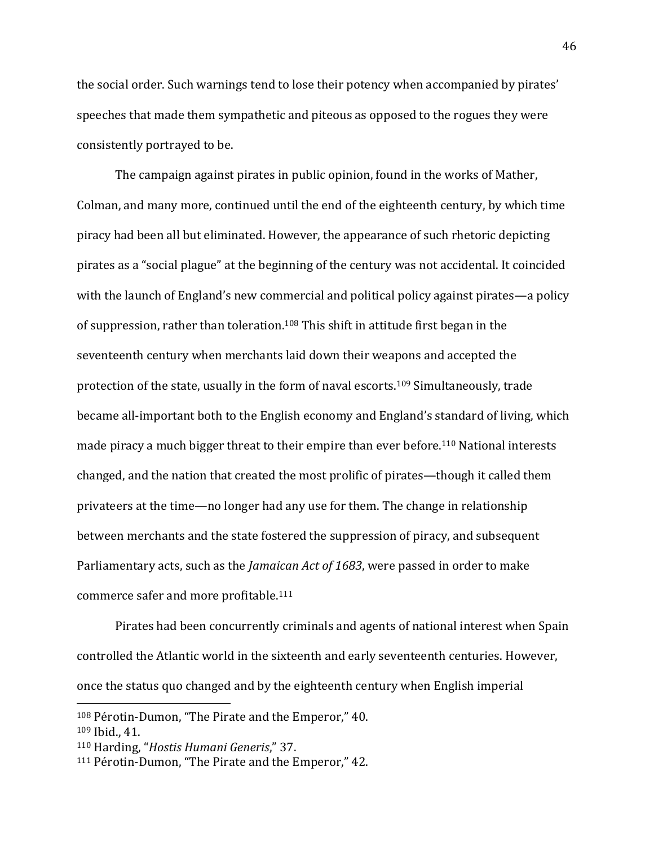the social order. Such warnings tend to lose their potency when accompanied by pirates' speeches that made them sympathetic and piteous as opposed to the rogues they were consistently portrayed to be.

The campaign against pirates in public opinion, found in the works of Mather, Colman, and many more, continued until the end of the eighteenth century, by which time piracy had been all but eliminated. However, the appearance of such rhetoric depicting pirates as a "social plague" at the beginning of the century was not accidental. It coincided with the launch of England's new commercial and political policy against pirates—a policy of suppression, rather than toleration.<sup>108</sup> This shift in attitude first began in the seventeenth century when merchants laid down their weapons and accepted the protection of the state, usually in the form of naval escorts.<sup>109</sup> Simultaneously, trade became all-important both to the English economy and England's standard of living, which made piracy a much bigger threat to their empire than ever before.<sup>110</sup> National interests changed, and the nation that created the most prolific of pirates—though it called them privateers at the time—no longer had any use for them. The change in relationship between merchants and the state fostered the suppression of piracy, and subsequent Parliamentary acts, such as the *Jamaican Act of 1683*, were passed in order to make commerce safer and more profitable.<sup>111</sup>

Pirates had been concurrently criminals and agents of national interest when Spain controlled the Atlantic world in the sixteenth and early seventeenth centuries. However, once the status quo changed and by the eighteenth century when English imperial

<sup>108</sup> Pérotin-Dumon, "The Pirate and the Emperor," 40.

<sup>109</sup> Ibid., 41.

<sup>110</sup> Harding, "*Hostis Humani Generis*," 37.

<sup>111</sup> Pérotin-Dumon, "The Pirate and the Emperor," 42.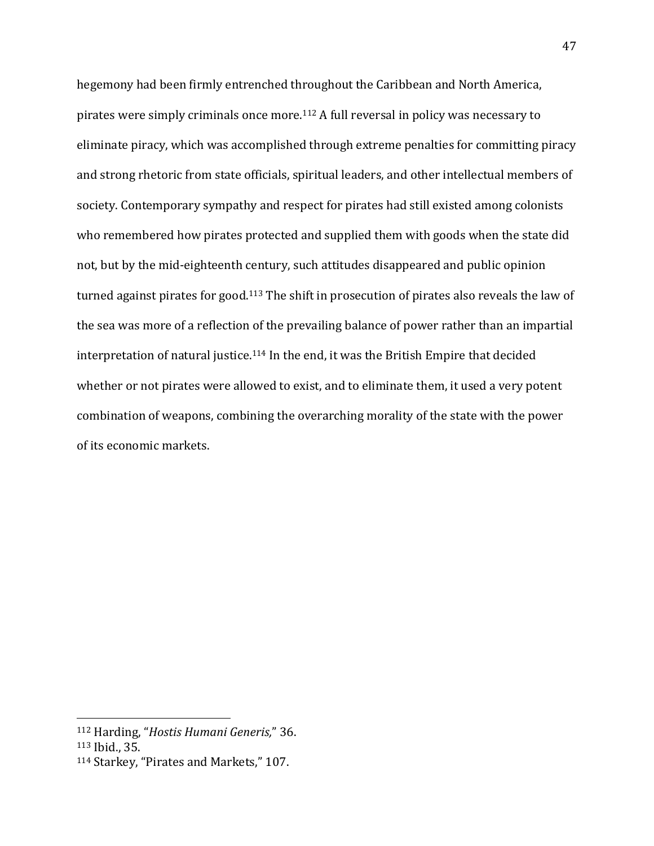hegemony had been firmly entrenched throughout the Caribbean and North America, pirates were simply criminals once more.<sup>112</sup> A full reversal in policy was necessary to eliminate piracy, which was accomplished through extreme penalties for committing piracy and strong rhetoric from state officials, spiritual leaders, and other intellectual members of society. Contemporary sympathy and respect for pirates had still existed among colonists who remembered how pirates protected and supplied them with goods when the state did not, but by the mid-eighteenth century, such attitudes disappeared and public opinion turned against pirates for good.<sup>113</sup> The shift in prosecution of pirates also reveals the law of the sea was more of a reflection of the prevailing balance of power rather than an impartial interpretation of natural justice.<sup>114</sup> In the end, it was the British Empire that decided whether or not pirates were allowed to exist, and to eliminate them, it used a very potent combination of weapons, combining the overarching morality of the state with the power of its economic markets.

<sup>112</sup> Harding, "*Hostis Humani Generis,*" 36.

<sup>113</sup> Ibid., 35.

<sup>114</sup> Starkey, "Pirates and Markets," 107.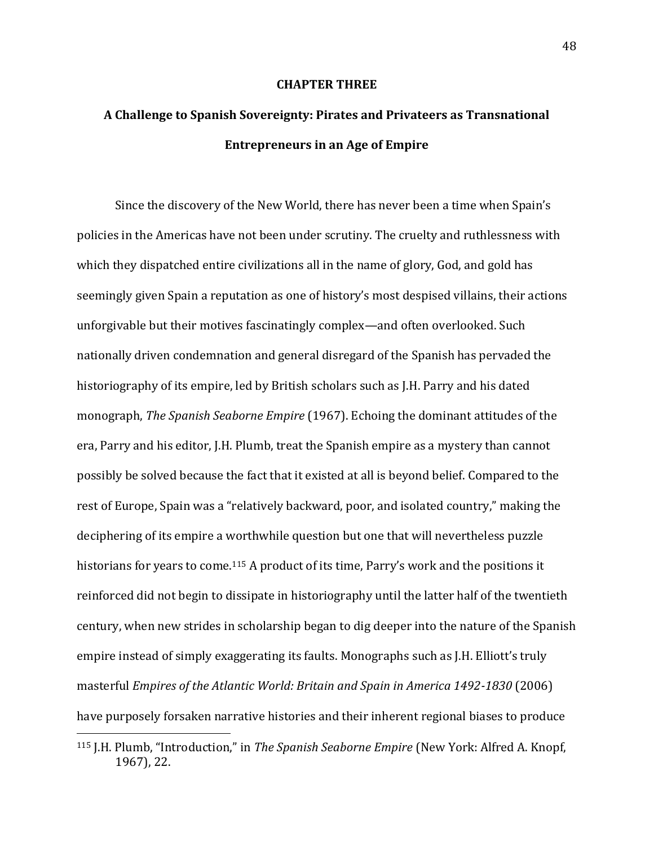### **CHAPTER THREE**

# **A Challenge to Spanish Sovereignty: Pirates and Privateers as Transnational Entrepreneurs in an Age of Empire**

Since the discovery of the New World, there has never been a time when Spain's policies in the Americas have not been under scrutiny. The cruelty and ruthlessness with which they dispatched entire civilizations all in the name of glory, God, and gold has seemingly given Spain a reputation as one of history's most despised villains, their actions unforgivable but their motives fascinatingly complex—and often overlooked. Such nationally driven condemnation and general disregard of the Spanish has pervaded the historiography of its empire, led by British scholars such as J.H. Parry and his dated monograph, *The Spanish Seaborne Empire* (1967). Echoing the dominant attitudes of the era, Parry and his editor, J.H. Plumb, treat the Spanish empire as a mystery than cannot possibly be solved because the fact that it existed at all is beyond belief. Compared to the rest of Europe, Spain was a "relatively backward, poor, and isolated country," making the deciphering of its empire a worthwhile question but one that will nevertheless puzzle historians for years to come.<sup>115</sup> A product of its time, Parry's work and the positions it reinforced did not begin to dissipate in historiography until the latter half of the twentieth century, when new strides in scholarship began to dig deeper into the nature of the Spanish empire instead of simply exaggerating its faults. Monographs such as J.H. Elliott's truly masterful *Empires of the Atlantic World: Britain and Spain in America 1492-1830* (2006) have purposely forsaken narrative histories and their inherent regional biases to produce

<sup>115</sup> J.H. Plumb, "Introduction," in *The Spanish Seaborne Empire* (New York: Alfred A. Knopf, 1967), 22.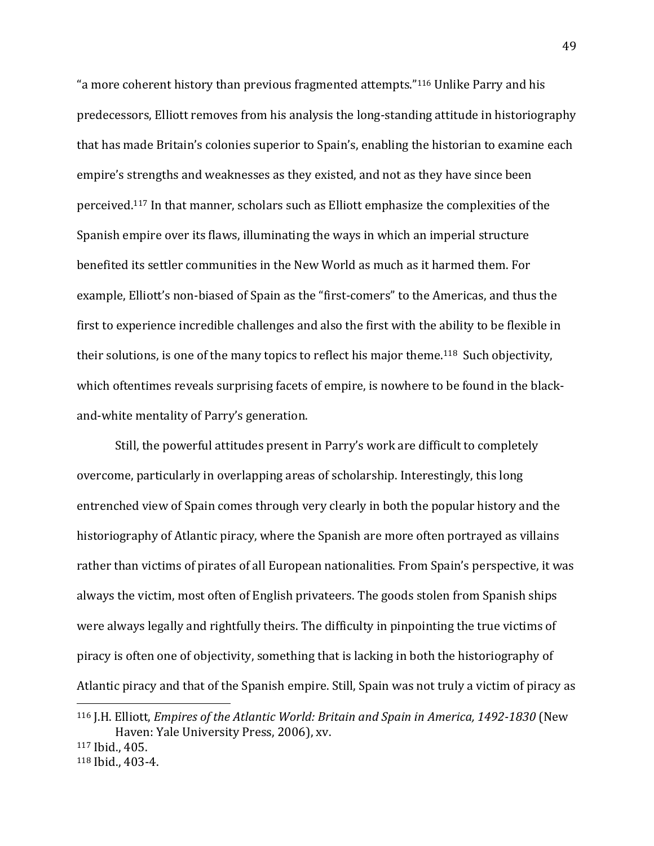"a more coherent history than previous fragmented attempts."<sup>116</sup> Unlike Parry and his predecessors, Elliott removes from his analysis the long-standing attitude in historiography that has made Britain's colonies superior to Spain's, enabling the historian to examine each empire's strengths and weaknesses as they existed, and not as they have since been perceived.<sup>117</sup> In that manner, scholars such as Elliott emphasize the complexities of the Spanish empire over its flaws, illuminating the ways in which an imperial structure benefited its settler communities in the New World as much as it harmed them. For example, Elliott's non-biased of Spain as the "first-comers" to the Americas, and thus the first to experience incredible challenges and also the first with the ability to be flexible in their solutions, is one of the many topics to reflect his major theme.<sup>118</sup> Such objectivity, which oftentimes reveals surprising facets of empire, is nowhere to be found in the blackand-white mentality of Parry's generation.

Still, the powerful attitudes present in Parry's work are difficult to completely overcome, particularly in overlapping areas of scholarship. Interestingly, this long entrenched view of Spain comes through very clearly in both the popular history and the historiography of Atlantic piracy, where the Spanish are more often portrayed as villains rather than victims of pirates of all European nationalities. From Spain's perspective, it was always the victim, most often of English privateers. The goods stolen from Spanish ships were always legally and rightfully theirs. The difficulty in pinpointing the true victims of piracy is often one of objectivity, something that is lacking in both the historiography of Atlantic piracy and that of the Spanish empire. Still, Spain was not truly a victim of piracy as  $\overline{a}$ 

<sup>116</sup> J.H. Elliott, *Empires of the Atlantic World: Britain and Spain in America, 1492-1830* (New Haven: Yale University Press, 2006), xv.

<sup>117</sup> Ibid., 405.

<sup>118</sup> Ibid., 403-4.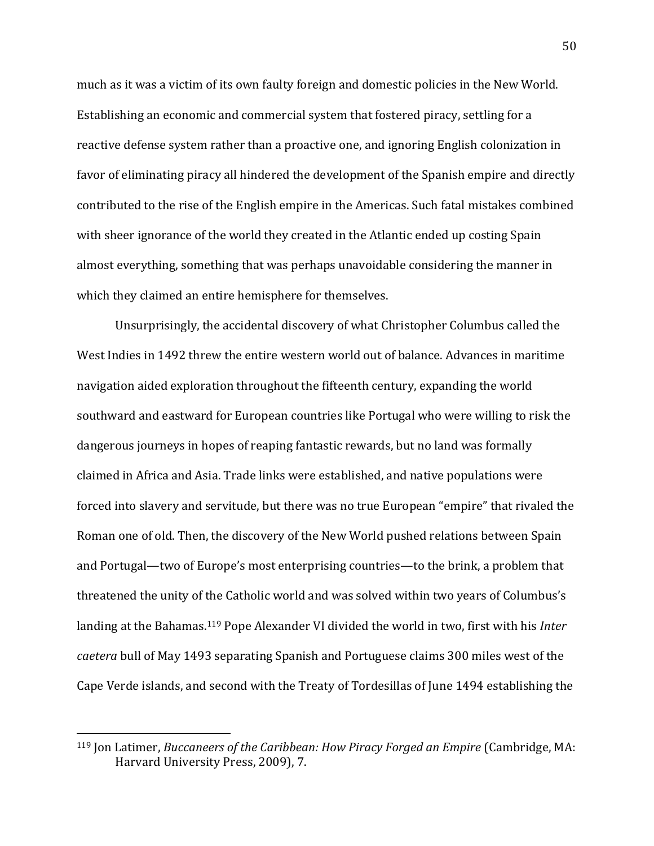much as it was a victim of its own faulty foreign and domestic policies in the New World. Establishing an economic and commercial system that fostered piracy, settling for a reactive defense system rather than a proactive one, and ignoring English colonization in favor of eliminating piracy all hindered the development of the Spanish empire and directly contributed to the rise of the English empire in the Americas. Such fatal mistakes combined with sheer ignorance of the world they created in the Atlantic ended up costing Spain almost everything, something that was perhaps unavoidable considering the manner in which they claimed an entire hemisphere for themselves.

Unsurprisingly, the accidental discovery of what Christopher Columbus called the West Indies in 1492 threw the entire western world out of balance. Advances in maritime navigation aided exploration throughout the fifteenth century, expanding the world southward and eastward for European countries like Portugal who were willing to risk the dangerous journeys in hopes of reaping fantastic rewards, but no land was formally claimed in Africa and Asia. Trade links were established, and native populations were forced into slavery and servitude, but there was no true European "empire" that rivaled the Roman one of old. Then, the discovery of the New World pushed relations between Spain and Portugal—two of Europe's most enterprising countries—to the brink, a problem that threatened the unity of the Catholic world and was solved within two years of Columbus's landing at the Bahamas.<sup>119</sup> Pope Alexander VI divided the world in two, first with his *Inter caetera* bull of May 1493 separating Spanish and Portuguese claims 300 miles west of the Cape Verde islands, and second with the Treaty of Tordesillas of June 1494 establishing the

<sup>119</sup> Jon Latimer, *Buccaneers of the Caribbean: How Piracy Forged an Empire* (Cambridge, MA: Harvard University Press, 2009), 7.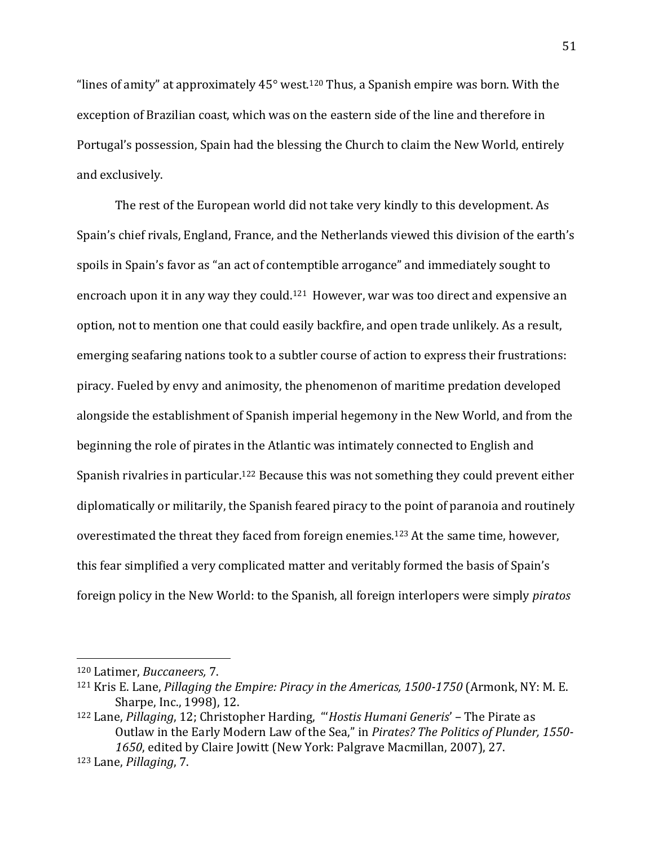"lines of amity" at approximately  $45^{\circ}$  west.<sup>120</sup> Thus, a Spanish empire was born. With the exception of Brazilian coast, which was on the eastern side of the line and therefore in Portugal's possession, Spain had the blessing the Church to claim the New World, entirely and exclusively.

The rest of the European world did not take very kindly to this development. As Spain's chief rivals, England, France, and the Netherlands viewed this division of the earth's spoils in Spain's favor as "an act of contemptible arrogance" and immediately sought to encroach upon it in any way they could.121 However, war was too direct and expensive an option, not to mention one that could easily backfire, and open trade unlikely. As a result, emerging seafaring nations took to a subtler course of action to express their frustrations: piracy. Fueled by envy and animosity, the phenomenon of maritime predation developed alongside the establishment of Spanish imperial hegemony in the New World, and from the beginning the role of pirates in the Atlantic was intimately connected to English and Spanish rivalries in particular.<sup>122</sup> Because this was not something they could prevent either diplomatically or militarily, the Spanish feared piracy to the point of paranoia and routinely overestimated the threat they faced from foreign enemies.<sup>123</sup> At the same time, however, this fear simplified a very complicated matter and veritably formed the basis of Spain's foreign policy in the New World: to the Spanish, all foreign interlopers were simply *piratos*

<sup>120</sup> Latimer, *Buccaneers,* 7.

<sup>121</sup> Kris E. Lane, *Pillaging the Empire: Piracy in the Americas, 1500-1750* (Armonk, NY: M. E. Sharpe, Inc., 1998), 12.

<sup>122</sup> Lane, *Pillaging*, 12; Christopher Harding, "'*Hostis Humani Generis*' – The Pirate as Outlaw in the Early Modern Law of the Sea," in *Pirates? The Politics of Plunder, 1550- 1650*, edited by Claire Jowitt (New York: Palgrave Macmillan, 2007), 27. <sup>123</sup> Lane, *Pillaging*, 7.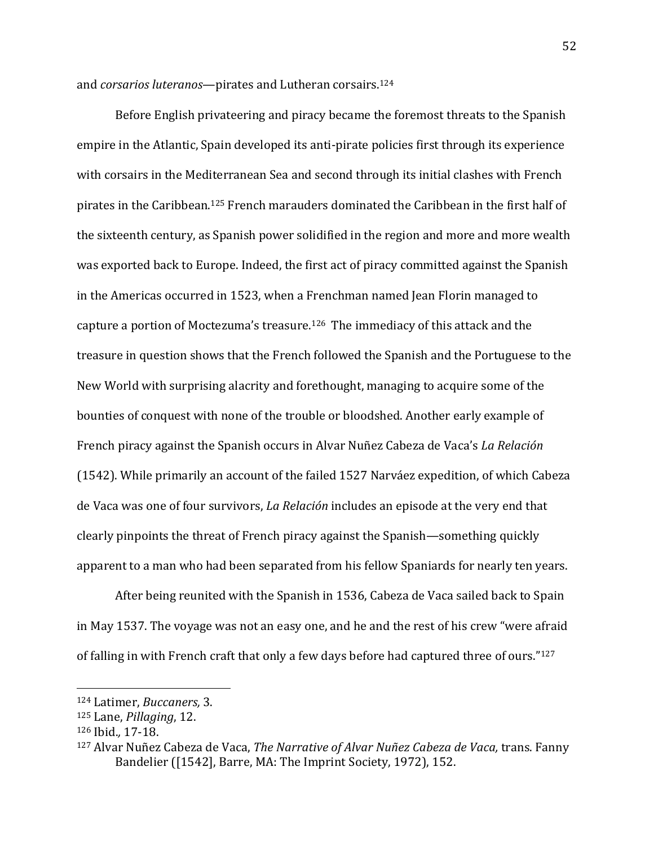and *corsarios luteranos*—pirates and Lutheran corsairs.<sup>124</sup>

Before English privateering and piracy became the foremost threats to the Spanish empire in the Atlantic, Spain developed its anti-pirate policies first through its experience with corsairs in the Mediterranean Sea and second through its initial clashes with French pirates in the Caribbean.<sup>125</sup> French marauders dominated the Caribbean in the first half of the sixteenth century, as Spanish power solidified in the region and more and more wealth was exported back to Europe. Indeed, the first act of piracy committed against the Spanish in the Americas occurred in 1523, when a Frenchman named Jean Florin managed to capture a portion of Moctezuma's treasure.126 The immediacy of this attack and the treasure in question shows that the French followed the Spanish and the Portuguese to the New World with surprising alacrity and forethought, managing to acquire some of the bounties of conquest with none of the trouble or bloodshed. Another early example of French piracy against the Spanish occurs in Alvar Nuñez Cabeza de Vaca's *La Relación* (1542). While primarily an account of the failed 1527 Narváez expedition, of which Cabeza de Vaca was one of four survivors, *La Relación* includes an episode at the very end that clearly pinpoints the threat of French piracy against the Spanish—something quickly apparent to a man who had been separated from his fellow Spaniards for nearly ten years.

After being reunited with the Spanish in 1536, Cabeza de Vaca sailed back to Spain in May 1537. The voyage was not an easy one, and he and the rest of his crew "were afraid of falling in with French craft that only a few days before had captured three of ours."<sup>127</sup>

<sup>124</sup> Latimer, *Buccaners,* 3.

<sup>125</sup> Lane, *Pillaging*, 12.

<sup>126</sup> Ibid.*,* 17-18.

<sup>127</sup> Alvar Nuñez Cabeza de Vaca, *The Narrative of Alvar Nuñez Cabeza de Vaca,* trans. Fanny Bandelier ([1542], Barre, MA: The Imprint Society, 1972), 152.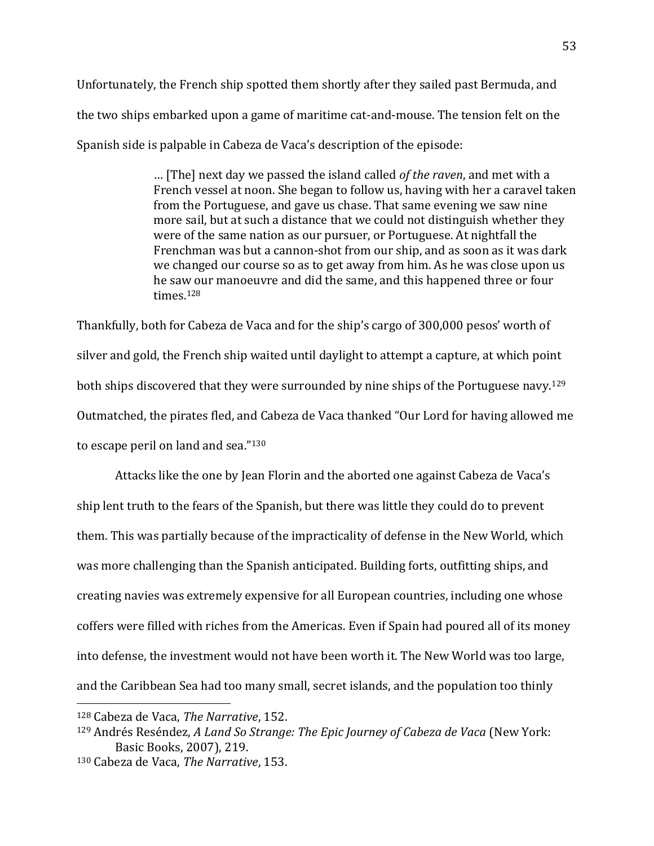Unfortunately, the French ship spotted them shortly after they sailed past Bermuda, and the two ships embarked upon a game of maritime cat-and-mouse. The tension felt on the Spanish side is palpable in Cabeza de Vaca's description of the episode:

> … [The] next day we passed the island called *of the raven*, and met with a French vessel at noon. She began to follow us, having with her a caravel taken from the Portuguese, and gave us chase. That same evening we saw nine more sail, but at such a distance that we could not distinguish whether they were of the same nation as our pursuer, or Portuguese. At nightfall the Frenchman was but a cannon-shot from our ship, and as soon as it was dark we changed our course so as to get away from him. As he was close upon us he saw our manoeuvre and did the same, and this happened three or four times.<sup>128</sup>

Thankfully, both for Cabeza de Vaca and for the ship's cargo of 300,000 pesos' worth of silver and gold, the French ship waited until daylight to attempt a capture, at which point both ships discovered that they were surrounded by nine ships of the Portuguese navy.<sup>129</sup> Outmatched, the pirates fled, and Cabeza de Vaca thanked "Our Lord for having allowed me to escape peril on land and sea."<sup>130</sup>

Attacks like the one by Jean Florin and the aborted one against Cabeza de Vaca's ship lent truth to the fears of the Spanish, but there was little they could do to prevent them. This was partially because of the impracticality of defense in the New World, which was more challenging than the Spanish anticipated. Building forts, outfitting ships, and creating navies was extremely expensive for all European countries, including one whose coffers were filled with riches from the Americas. Even if Spain had poured all of its money into defense, the investment would not have been worth it. The New World was too large, and the Caribbean Sea had too many small, secret islands, and the population too thinly

<sup>128</sup> Cabeza de Vaca, *The Narrative*, 152.

<sup>129</sup> Andrés Reséndez, *A Land So Strange: The Epic Journey of Cabeza de Vaca* (New York: Basic Books, 2007), 219.

<sup>130</sup> Cabeza de Vaca, *The Narrative*, 153.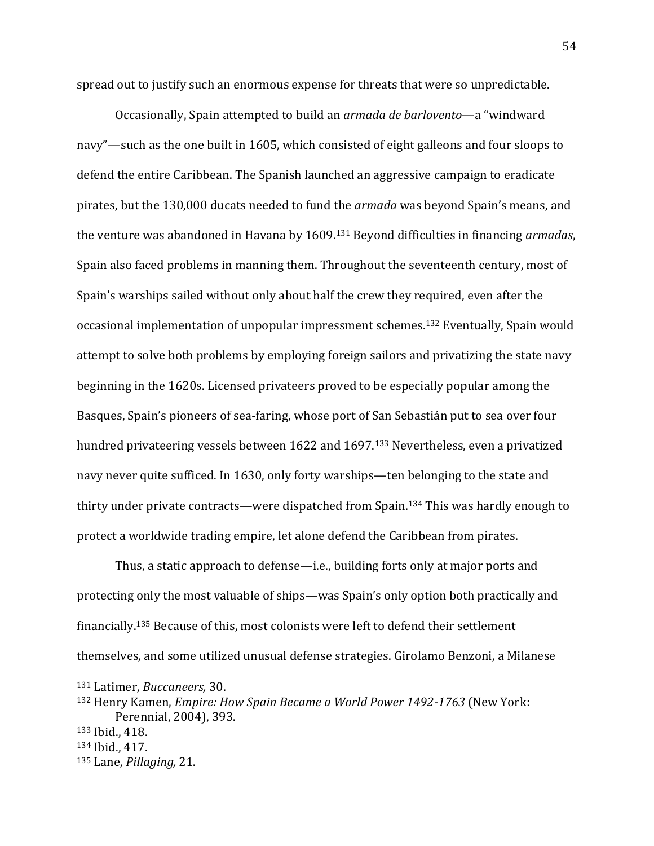spread out to justify such an enormous expense for threats that were so unpredictable.

Occasionally, Spain attempted to build an *armada de barlovento*—a "windward navy"—such as the one built in 1605, which consisted of eight galleons and four sloops to defend the entire Caribbean. The Spanish launched an aggressive campaign to eradicate pirates, but the 130,000 ducats needed to fund the *armada* was beyond Spain's means, and the venture was abandoned in Havana by 1609. <sup>131</sup> Beyond difficulties in financing *armadas*, Spain also faced problems in manning them. Throughout the seventeenth century, most of Spain's warships sailed without only about half the crew they required, even after the occasional implementation of unpopular impressment schemes.<sup>132</sup> Eventually, Spain would attempt to solve both problems by employing foreign sailors and privatizing the state navy beginning in the 1620s. Licensed privateers proved to be especially popular among the Basques, Spain's pioneers of sea-faring, whose port of San Sebastián put to sea over four hundred privateering vessels between 1622 and 1697.<sup>133</sup> Nevertheless, even a privatized navy never quite sufficed. In 1630, only forty warships—ten belonging to the state and thirty under private contracts—were dispatched from Spain.<sup>134</sup> This was hardly enough to protect a worldwide trading empire, let alone defend the Caribbean from pirates.

Thus, a static approach to defense—i.e., building forts only at major ports and protecting only the most valuable of ships—was Spain's only option both practically and financially.<sup>135</sup> Because of this, most colonists were left to defend their settlement themselves, and some utilized unusual defense strategies. Girolamo Benzoni, a Milanese

 $\overline{a}$ 

<sup>135</sup> Lane, *Pillaging,* 21.

<sup>131</sup> Latimer, *Buccaneers,* 30.

<sup>132</sup> Henry Kamen, *Empire: How Spain Became a World Power 1492-1763* (New York: Perennial, 2004), 393.

<sup>133</sup> Ibid., 418.

<sup>134</sup> Ibid., 417.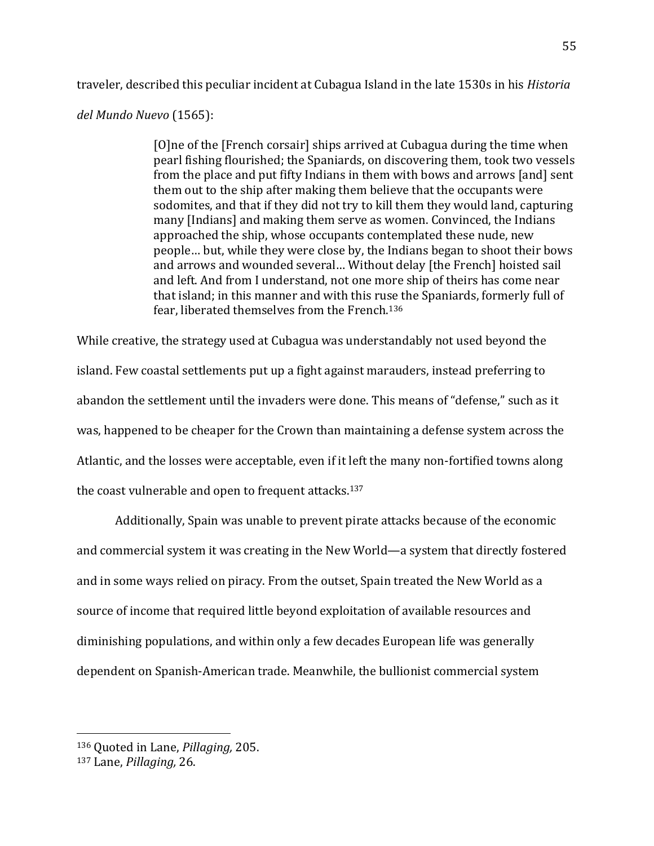traveler, described this peculiar incident at Cubagua Island in the late 1530s in his *Historia* 

## *del Mundo Nuevo* (1565):

[O]ne of the [French corsair] ships arrived at Cubagua during the time when pearl fishing flourished; the Spaniards, on discovering them, took two vessels from the place and put fifty Indians in them with bows and arrows [and] sent them out to the ship after making them believe that the occupants were sodomites, and that if they did not try to kill them they would land, capturing many [Indians] and making them serve as women. Convinced, the Indians approached the ship, whose occupants contemplated these nude, new people… but, while they were close by, the Indians began to shoot their bows and arrows and wounded several… Without delay [the French] hoisted sail and left. And from I understand, not one more ship of theirs has come near that island; in this manner and with this ruse the Spaniards, formerly full of fear, liberated themselves from the French.<sup>136</sup>

While creative, the strategy used at Cubagua was understandably not used beyond the island. Few coastal settlements put up a fight against marauders, instead preferring to abandon the settlement until the invaders were done. This means of "defense," such as it was, happened to be cheaper for the Crown than maintaining a defense system across the Atlantic, and the losses were acceptable, even if it left the many non-fortified towns along the coast vulnerable and open to frequent attacks.<sup>137</sup>

Additionally, Spain was unable to prevent pirate attacks because of the economic and commercial system it was creating in the New World—a system that directly fostered and in some ways relied on piracy. From the outset, Spain treated the New World as a source of income that required little beyond exploitation of available resources and diminishing populations, and within only a few decades European life was generally dependent on Spanish-American trade. Meanwhile, the bullionist commercial system

<sup>136</sup> Quoted in Lane, *Pillaging,* 205.

<sup>137</sup> Lane, *Pillaging,* 26.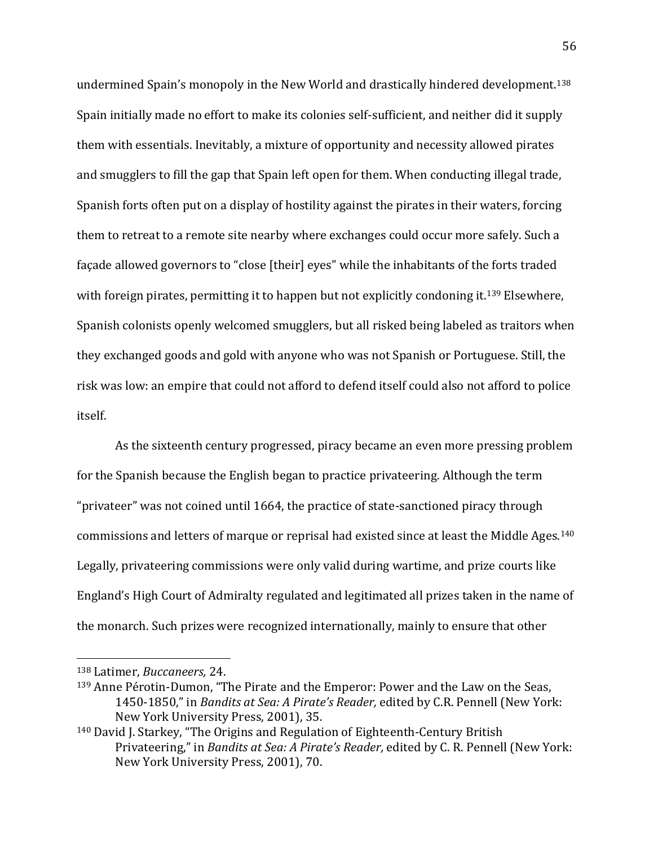undermined Spain's monopoly in the New World and drastically hindered development.<sup>138</sup> Spain initially made no effort to make its colonies self-sufficient, and neither did it supply them with essentials. Inevitably, a mixture of opportunity and necessity allowed pirates and smugglers to fill the gap that Spain left open for them. When conducting illegal trade, Spanish forts often put on a display of hostility against the pirates in their waters, forcing them to retreat to a remote site nearby where exchanges could occur more safely. Such a façade allowed governors to "close [their] eyes" while the inhabitants of the forts traded with foreign pirates, permitting it to happen but not explicitly condoning it.<sup>139</sup> Elsewhere, Spanish colonists openly welcomed smugglers, but all risked being labeled as traitors when they exchanged goods and gold with anyone who was not Spanish or Portuguese. Still, the risk was low: an empire that could not afford to defend itself could also not afford to police itself.

As the sixteenth century progressed, piracy became an even more pressing problem for the Spanish because the English began to practice privateering. Although the term "privateer" was not coined until 1664, the practice of state-sanctioned piracy through commissions and letters of marque or reprisal had existed since at least the Middle Ages.<sup>140</sup> Legally, privateering commissions were only valid during wartime, and prize courts like England's High Court of Admiralty regulated and legitimated all prizes taken in the name of the monarch. Such prizes were recognized internationally, mainly to ensure that other

<sup>138</sup> Latimer, *Buccaneers,* 24.

<sup>139</sup> Anne Pérotin-Dumon, "The Pirate and the Emperor: Power and the Law on the Seas, 1450-1850," in *Bandits at Sea: A Pirate's Reader,* edited by C.R. Pennell (New York: New York University Press, 2001), 35.

<sup>140</sup> David J. Starkey, "The Origins and Regulation of Eighteenth-Century British Privateering," in *Bandits at Sea: A Pirate's Reader,* edited by C. R. Pennell (New York: New York University Press, 2001), 70.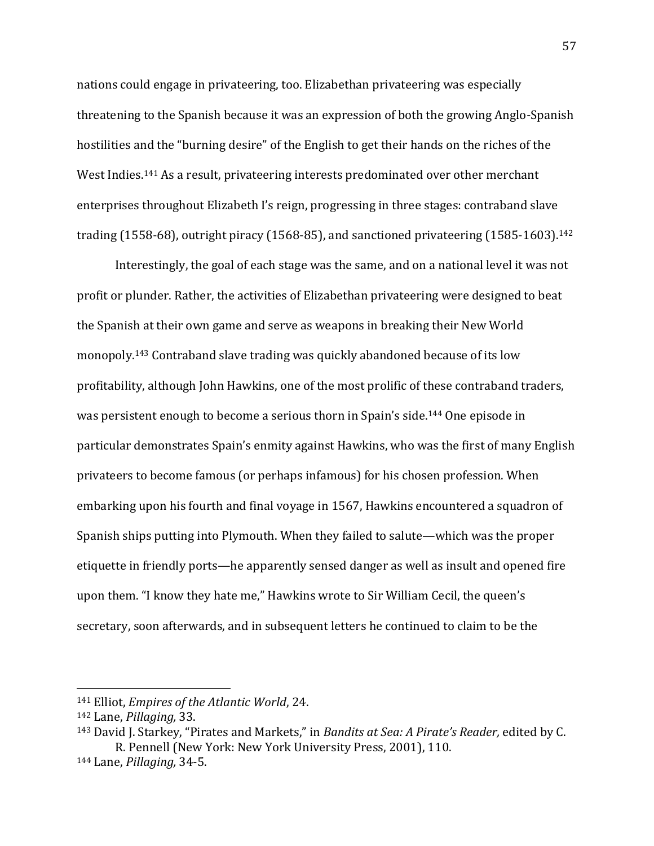nations could engage in privateering, too. Elizabethan privateering was especially threatening to the Spanish because it was an expression of both the growing Anglo-Spanish hostilities and the "burning desire" of the English to get their hands on the riches of the West Indies.<sup>141</sup> As a result, privateering interests predominated over other merchant enterprises throughout Elizabeth I's reign, progressing in three stages: contraband slave trading (1558-68), outright piracy (1568-85), and sanctioned privateering (1585-1603).<sup>142</sup>

Interestingly, the goal of each stage was the same, and on a national level it was not profit or plunder. Rather, the activities of Elizabethan privateering were designed to beat the Spanish at their own game and serve as weapons in breaking their New World monopoly.<sup>143</sup> Contraband slave trading was quickly abandoned because of its low profitability, although John Hawkins, one of the most prolific of these contraband traders, was persistent enough to become a serious thorn in Spain's side.<sup>144</sup> One episode in particular demonstrates Spain's enmity against Hawkins, who was the first of many English privateers to become famous (or perhaps infamous) for his chosen profession. When embarking upon his fourth and final voyage in 1567, Hawkins encountered a squadron of Spanish ships putting into Plymouth. When they failed to salute—which was the proper etiquette in friendly ports—he apparently sensed danger as well as insult and opened fire upon them. "I know they hate me," Hawkins wrote to Sir William Cecil, the queen's secretary, soon afterwards, and in subsequent letters he continued to claim to be the

<sup>141</sup> Elliot, *Empires of the Atlantic World*, 24.

<sup>142</sup> Lane, *Pillaging,* 33.

<sup>143</sup> David J. Starkey, "Pirates and Markets," in *Bandits at Sea: A Pirate's Reader,* edited by C. R. Pennell (New York: New York University Press, 2001), 110.

<sup>144</sup> Lane, *Pillaging,* 34-5.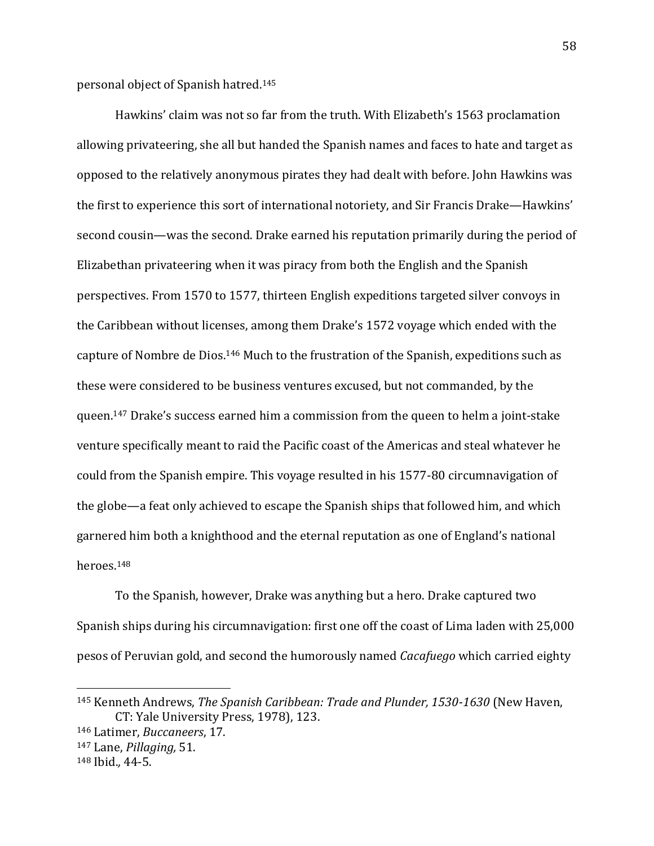personal object of Spanish hatred. 145

Hawkins' claim was not so far from the truth. With Elizabeth's 1563 proclamation allowing privateering, she all but handed the Spanish names and faces to hate and target as opposed to the relatively anonymous pirates they had dealt with before. John Hawkins was the first to experience this sort of international notoriety, and Sir Francis Drake—Hawkins' second cousin—was the second. Drake earned his reputation primarily during the period of Elizabethan privateering when it was piracy from both the English and the Spanish perspectives. From 1570 to 1577, thirteen English expeditions targeted silver convoys in the Caribbean without licenses, among them Drake's 1572 voyage which ended with the capture of Nombre de Dios.<sup>146</sup> Much to the frustration of the Spanish, expeditions such as these were considered to be business ventures excused, but not commanded, by the queen.<sup>147</sup> Drake's success earned him a commission from the queen to helm a joint-stake venture specifically meant to raid the Pacific coast of the Americas and steal whatever he could from the Spanish empire. This voyage resulted in his 1577-80 circumnavigation of the globe—a feat only achieved to escape the Spanish ships that followed him, and which garnered him both a knighthood and the eternal reputation as one of England's national heroes.<sup>148</sup>

To the Spanish, however, Drake was anything but a hero. Drake captured two Spanish ships during his circumnavigation: first one off the coast of Lima laden with 25,000 pesos of Peruvian gold, and second the humorously named *Cacafuego* which carried eighty

<sup>145</sup> Kenneth Andrews, *The Spanish Caribbean: Trade and Plunder, 1530-1630* (New Haven, CT: Yale University Press, 1978), 123.

<sup>146</sup> Latimer, *Buccaneers*, 17.

<sup>147</sup> Lane, *Pillaging,* 51.

<sup>148</sup> Ibid.*,* 44-5.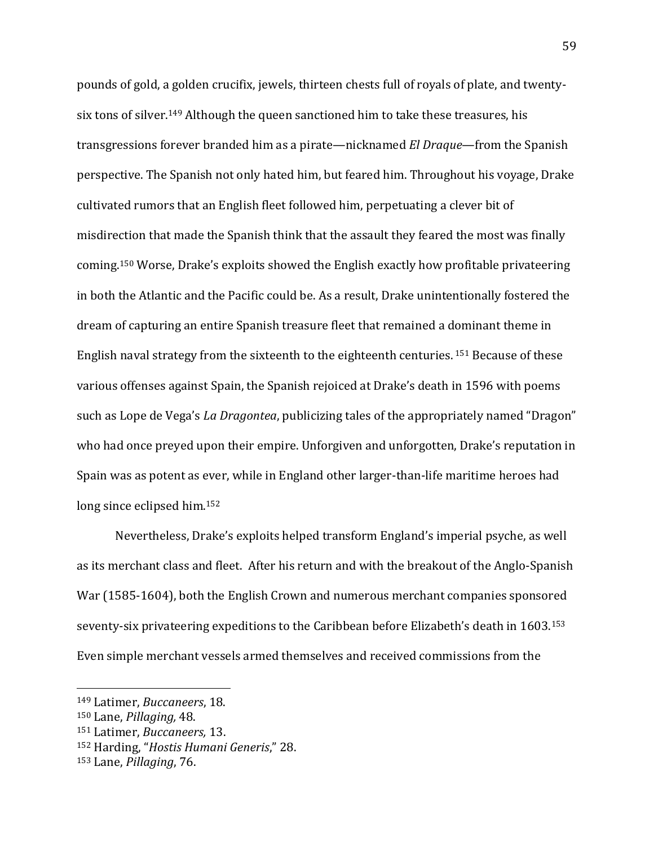pounds of gold, a golden crucifix, jewels, thirteen chests full of royals of plate, and twentysix tons of silver.<sup>149</sup> Although the queen sanctioned him to take these treasures, his transgressions forever branded him as a pirate—nicknamed *El Draque*—from the Spanish perspective. The Spanish not only hated him, but feared him. Throughout his voyage, Drake cultivated rumors that an English fleet followed him, perpetuating a clever bit of misdirection that made the Spanish think that the assault they feared the most was finally coming.<sup>150</sup> Worse, Drake's exploits showed the English exactly how profitable privateering in both the Atlantic and the Pacific could be. As a result, Drake unintentionally fostered the dream of capturing an entire Spanish treasure fleet that remained a dominant theme in English naval strategy from the sixteenth to the eighteenth centuries. <sup>151</sup> Because of these various offenses against Spain, the Spanish rejoiced at Drake's death in 1596 with poems such as Lope de Vega's *La Dragontea*, publicizing tales of the appropriately named "Dragon" who had once preyed upon their empire. Unforgiven and unforgotten, Drake's reputation in Spain was as potent as ever, while in England other larger-than-life maritime heroes had long since eclipsed him.<sup>152</sup>

Nevertheless, Drake's exploits helped transform England's imperial psyche, as well as its merchant class and fleet. After his return and with the breakout of the Anglo-Spanish War (1585-1604), both the English Crown and numerous merchant companies sponsored seventy-six privateering expeditions to the Caribbean before Elizabeth's death in 1603.<sup>153</sup> Even simple merchant vessels armed themselves and received commissions from the

<sup>149</sup> Latimer, *Buccaneers*, 18.

<sup>150</sup> Lane, *Pillaging,* 48.

<sup>151</sup> Latimer, *Buccaneers,* 13.

<sup>152</sup> Harding, "*Hostis Humani Generis*," 28.

<sup>153</sup> Lane, *Pillaging*, 76.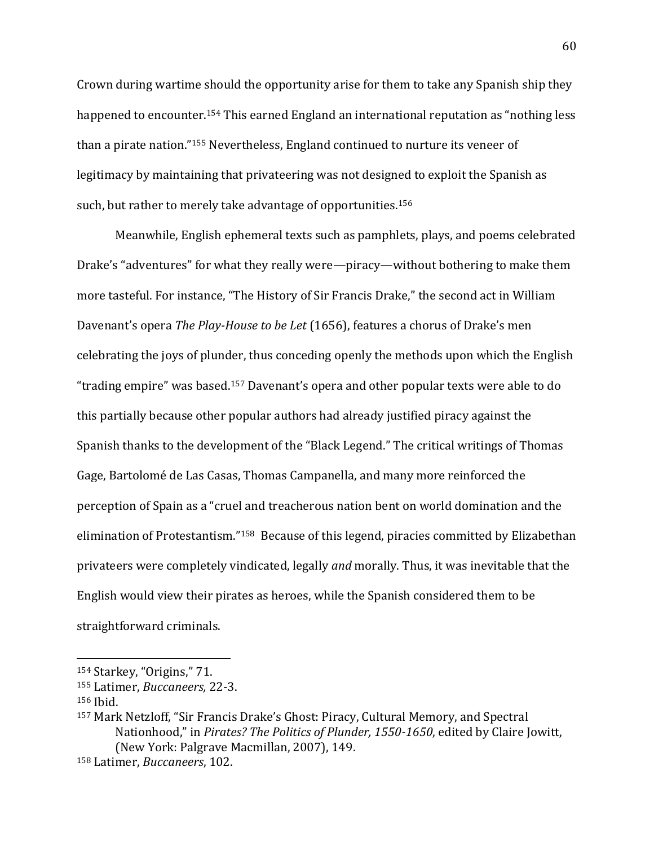Crown during wartime should the opportunity arise for them to take any Spanish ship they happened to encounter.<sup>154</sup> This earned England an international reputation as "nothing less than a pirate nation."<sup>155</sup> Nevertheless, England continued to nurture its veneer of legitimacy by maintaining that privateering was not designed to exploit the Spanish as such, but rather to merely take advantage of opportunities.<sup>156</sup>

Meanwhile, English ephemeral texts such as pamphlets, plays, and poems celebrated Drake's "adventures" for what they really were—piracy—without bothering to make them more tasteful. For instance, "The History of Sir Francis Drake," the second act in William Davenant's opera *The Play-House to be Let* (1656), features a chorus of Drake's men celebrating the joys of plunder, thus conceding openly the methods upon which the English "trading empire" was based.<sup>157</sup> Davenant's opera and other popular texts were able to do this partially because other popular authors had already justified piracy against the Spanish thanks to the development of the "Black Legend." The critical writings of Thomas Gage, Bartolomé de Las Casas, Thomas Campanella, and many more reinforced the perception of Spain as a "cruel and treacherous nation bent on world domination and the elimination of Protestantism."158 Because of this legend, piracies committed by Elizabethan privateers were completely vindicated, legally *and* morally. Thus, it was inevitable that the English would view their pirates as heroes, while the Spanish considered them to be straightforward criminals.

<sup>154</sup> Starkey, "Origins," 71.

<sup>155</sup> Latimer, *Buccaneers,* 22-3.

<sup>156</sup> Ibid.

<sup>157</sup> Mark Netzloff, "Sir Francis Drake's Ghost: Piracy, Cultural Memory, and Spectral Nationhood," in *Pirates? The Politics of Plunder, 1550-1650*, edited by Claire Jowitt, (New York: Palgrave Macmillan, 2007), 149.

<sup>158</sup> Latimer, *Buccaneers*, 102.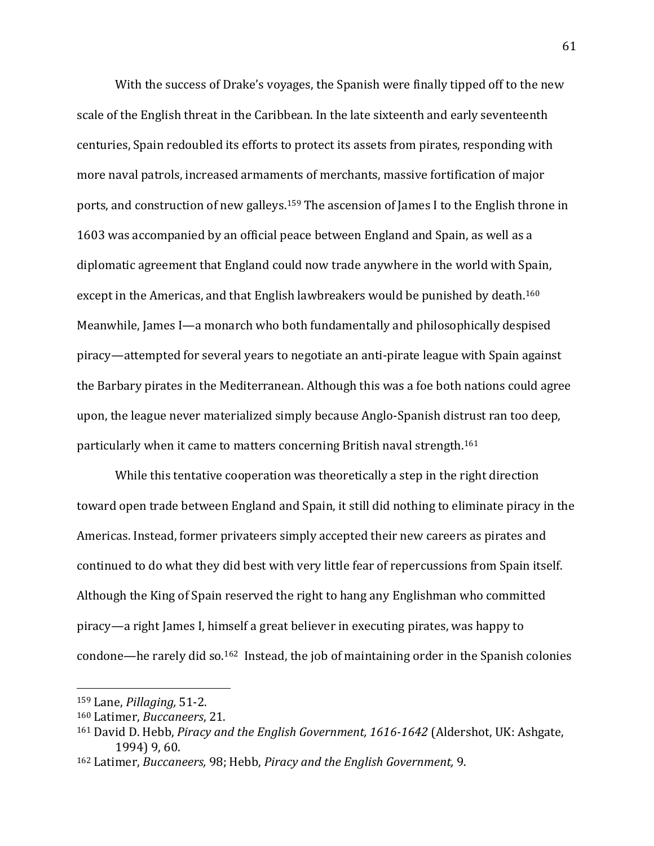With the success of Drake's voyages, the Spanish were finally tipped off to the new scale of the English threat in the Caribbean. In the late sixteenth and early seventeenth centuries, Spain redoubled its efforts to protect its assets from pirates, responding with more naval patrols, increased armaments of merchants, massive fortification of major ports, and construction of new galleys.<sup>159</sup> The ascension of James I to the English throne in 1603 was accompanied by an official peace between England and Spain, as well as a diplomatic agreement that England could now trade anywhere in the world with Spain, except in the Americas, and that English lawbreakers would be punished by death.<sup>160</sup> Meanwhile, James I—a monarch who both fundamentally and philosophically despised piracy—attempted for several years to negotiate an anti-pirate league with Spain against the Barbary pirates in the Mediterranean. Although this was a foe both nations could agree upon, the league never materialized simply because Anglo-Spanish distrust ran too deep, particularly when it came to matters concerning British naval strength.<sup>161</sup>

While this tentative cooperation was theoretically a step in the right direction toward open trade between England and Spain, it still did nothing to eliminate piracy in the Americas. Instead, former privateers simply accepted their new careers as pirates and continued to do what they did best with very little fear of repercussions from Spain itself. Although the King of Spain reserved the right to hang any Englishman who committed piracy—a right James I, himself a great believer in executing pirates, was happy to condone—he rarely did so.162 Instead, the job of maintaining order in the Spanish colonies

<sup>159</sup> Lane, *Pillaging,* 51-2.

<sup>160</sup> Latimer, *Buccaneers*, 21.

<sup>161</sup> David D. Hebb, *Piracy and the English Government, 1616-1642* (Aldershot, UK: Ashgate, 1994) 9, 60.

<sup>162</sup> Latimer, *Buccaneers,* 98; Hebb, *Piracy and the English Government,* 9.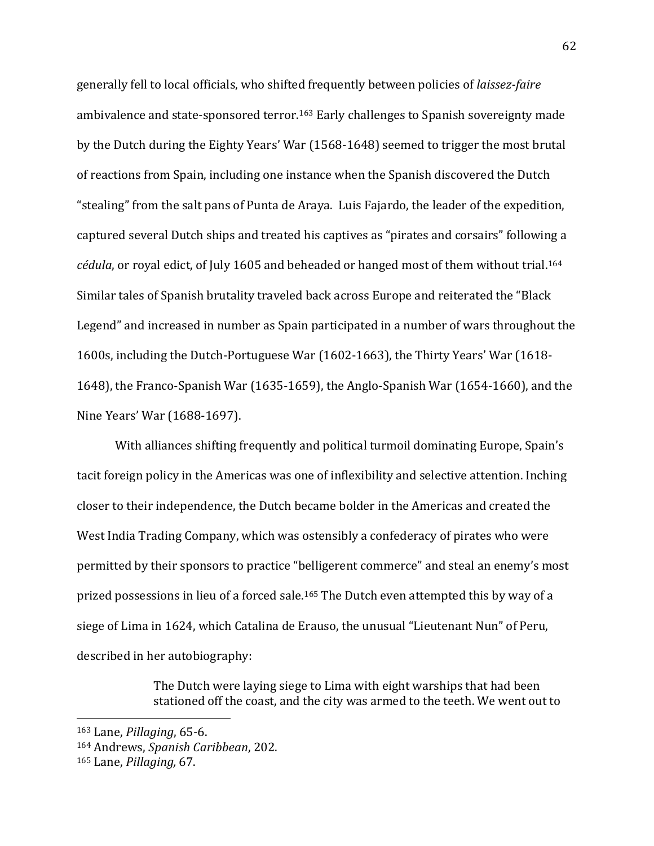generally fell to local officials, who shifted frequently between policies of *laissez-faire* ambivalence and state-sponsored terror.<sup>163</sup> Early challenges to Spanish sovereignty made by the Dutch during the Eighty Years' War (1568-1648) seemed to trigger the most brutal of reactions from Spain, including one instance when the Spanish discovered the Dutch "stealing" from the salt pans of Punta de Araya. Luis Fajardo, the leader of the expedition, captured several Dutch ships and treated his captives as "pirates and corsairs" following a *cédula*, or royal edict, of July 1605 and beheaded or hanged most of them without trial.<sup>164</sup> Similar tales of Spanish brutality traveled back across Europe and reiterated the "Black Legend" and increased in number as Spain participated in a number of wars throughout the 1600s, including the Dutch-Portuguese War (1602-1663), the Thirty Years' War (1618- 1648), the Franco-Spanish War (1635-1659), the Anglo-Spanish War (1654-1660), and the Nine Years' War (1688-1697).

With alliances shifting frequently and political turmoil dominating Europe, Spain's tacit foreign policy in the Americas was one of inflexibility and selective attention. Inching closer to their independence, the Dutch became bolder in the Americas and created the West India Trading Company, which was ostensibly a confederacy of pirates who were permitted by their sponsors to practice "belligerent commerce" and steal an enemy's most prized possessions in lieu of a forced sale.<sup>165</sup> The Dutch even attempted this by way of a siege of Lima in 1624, which Catalina de Erauso, the unusual "Lieutenant Nun" of Peru, described in her autobiography:

> The Dutch were laying siege to Lima with eight warships that had been stationed off the coast, and the city was armed to the teeth. We went out to

<sup>163</sup> Lane, *Pillaging*, 65-6.

<sup>164</sup> Andrews, *Spanish Caribbean*, 202.

<sup>165</sup> Lane, *Pillaging,* 67.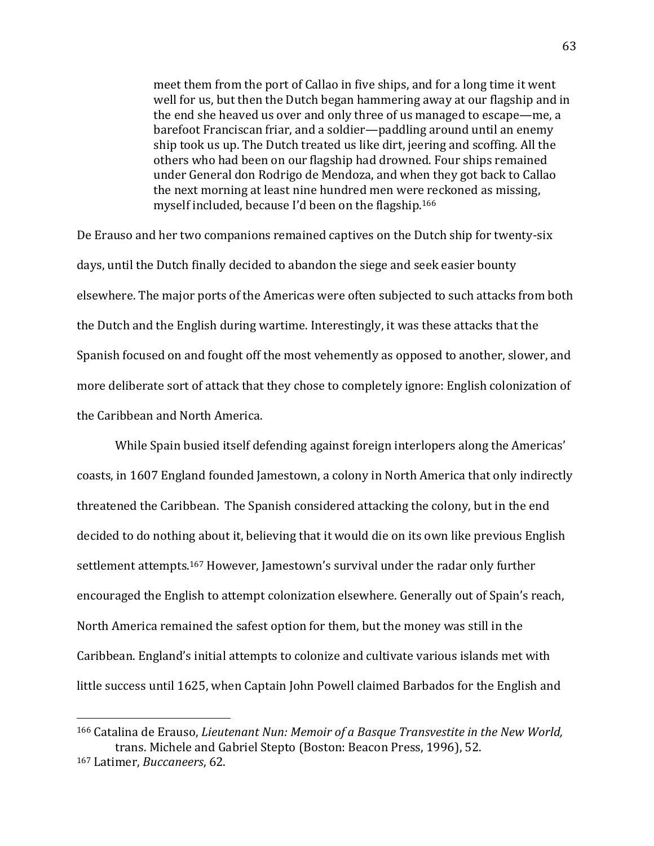meet them from the port of Callao in five ships, and for a long time it went well for us, but then the Dutch began hammering away at our flagship and in the end she heaved us over and only three of us managed to escape—me, a barefoot Franciscan friar, and a soldier—paddling around until an enemy ship took us up. The Dutch treated us like dirt, jeering and scoffing. All the others who had been on our flagship had drowned. Four ships remained under General don Rodrigo de Mendoza, and when they got back to Callao the next morning at least nine hundred men were reckoned as missing, myself included, because I'd been on the flagship.<sup>166</sup>

De Erauso and her two companions remained captives on the Dutch ship for twenty-six days, until the Dutch finally decided to abandon the siege and seek easier bounty elsewhere. The major ports of the Americas were often subjected to such attacks from both the Dutch and the English during wartime. Interestingly, it was these attacks that the Spanish focused on and fought off the most vehemently as opposed to another, slower, and more deliberate sort of attack that they chose to completely ignore: English colonization of the Caribbean and North America.

While Spain busied itself defending against foreign interlopers along the Americas' coasts, in 1607 England founded Jamestown, a colony in North America that only indirectly threatened the Caribbean. The Spanish considered attacking the colony, but in the end decided to do nothing about it, believing that it would die on its own like previous English settlement attempts.<sup>167</sup> However, Jamestown's survival under the radar only further encouraged the English to attempt colonization elsewhere. Generally out of Spain's reach, North America remained the safest option for them, but the money was still in the Caribbean. England's initial attempts to colonize and cultivate various islands met with little success until 1625, when Captain John Powell claimed Barbados for the English and

<sup>166</sup> Catalina de Erauso, *Lieutenant Nun: Memoir of a Basque Transvestite in the New World,* trans. Michele and Gabriel Stepto (Boston: Beacon Press, 1996), 52. <sup>167</sup> Latimer, *Buccaneers*, 62.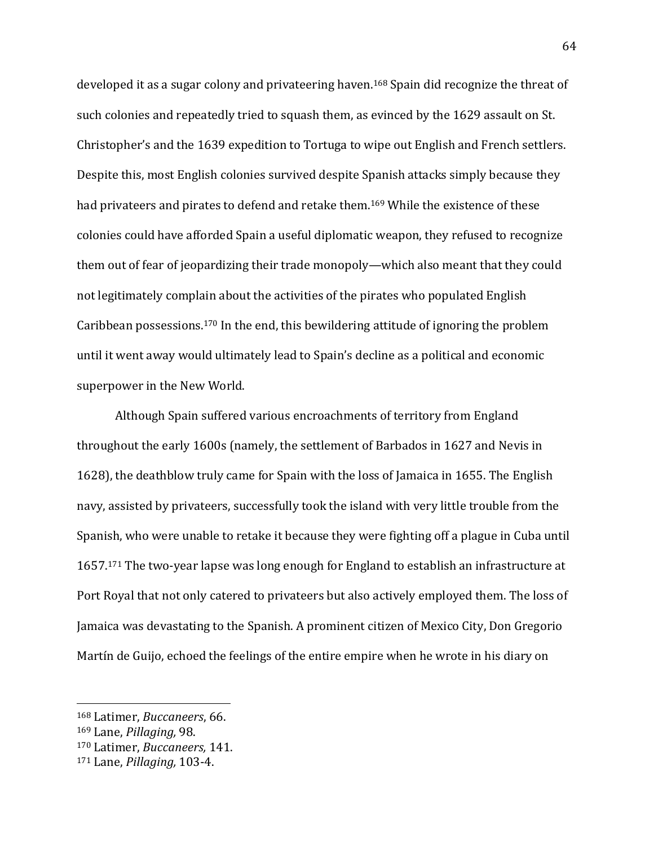developed it as a sugar colony and privateering haven.<sup>168</sup> Spain did recognize the threat of such colonies and repeatedly tried to squash them, as evinced by the 1629 assault on St. Christopher's and the 1639 expedition to Tortuga to wipe out English and French settlers. Despite this, most English colonies survived despite Spanish attacks simply because they had privateers and pirates to defend and retake them.<sup>169</sup> While the existence of these colonies could have afforded Spain a useful diplomatic weapon, they refused to recognize them out of fear of jeopardizing their trade monopoly—which also meant that they could not legitimately complain about the activities of the pirates who populated English Caribbean possessions.<sup>170</sup> In the end, this bewildering attitude of ignoring the problem until it went away would ultimately lead to Spain's decline as a political and economic superpower in the New World.

Although Spain suffered various encroachments of territory from England throughout the early 1600s (namely, the settlement of Barbados in 1627 and Nevis in 1628), the deathblow truly came for Spain with the loss of Jamaica in 1655. The English navy, assisted by privateers, successfully took the island with very little trouble from the Spanish, who were unable to retake it because they were fighting off a plague in Cuba until 1657.<sup>171</sup> The two-year lapse was long enough for England to establish an infrastructure at Port Royal that not only catered to privateers but also actively employed them. The loss of Jamaica was devastating to the Spanish. A prominent citizen of Mexico City, Don Gregorio Martín de Guijo, echoed the feelings of the entire empire when he wrote in his diary on

<sup>168</sup> Latimer, *Buccaneers*, 66.

<sup>169</sup> Lane, *Pillaging,* 98.

<sup>170</sup> Latimer, *Buccaneers,* 141.

<sup>171</sup> Lane, *Pillaging,* 103-4.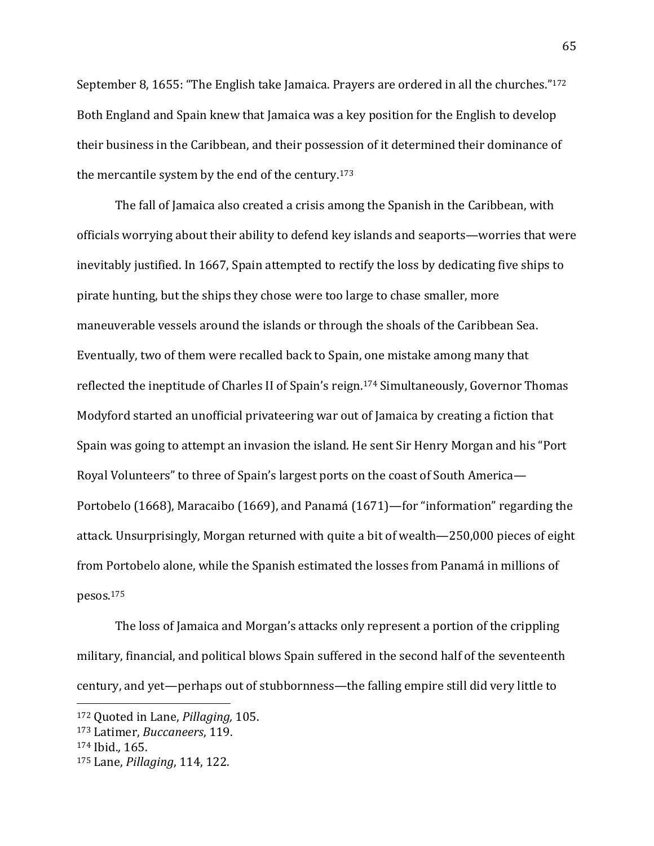September 8, 1655: "The English take Jamaica. Prayers are ordered in all the churches."<sup>172</sup> Both England and Spain knew that Jamaica was a key position for the English to develop their business in the Caribbean, and their possession of it determined their dominance of the mercantile system by the end of the century.<sup>173</sup>

The fall of Jamaica also created a crisis among the Spanish in the Caribbean, with officials worrying about their ability to defend key islands and seaports—worries that were inevitably justified. In 1667, Spain attempted to rectify the loss by dedicating five ships to pirate hunting, but the ships they chose were too large to chase smaller, more maneuverable vessels around the islands or through the shoals of the Caribbean Sea. Eventually, two of them were recalled back to Spain, one mistake among many that reflected the ineptitude of Charles II of Spain's reign.<sup>174</sup> Simultaneously, Governor Thomas Modyford started an unofficial privateering war out of Jamaica by creating a fiction that Spain was going to attempt an invasion the island. He sent Sir Henry Morgan and his "Port Royal Volunteers" to three of Spain's largest ports on the coast of South America— Portobelo (1668), Maracaibo (1669), and Panamá (1671)—for "information" regarding the attack. Unsurprisingly, Morgan returned with quite a bit of wealth—250,000 pieces of eight from Portobelo alone, while the Spanish estimated the losses from Panamá in millions of pesos.<sup>175</sup>

The loss of Jamaica and Morgan's attacks only represent a portion of the crippling military, financial, and political blows Spain suffered in the second half of the seventeenth century, and yet—perhaps out of stubbornness—the falling empire still did very little to

<sup>172</sup> Quoted in Lane, *Pillaging,* 105.

<sup>173</sup> Latimer, *Buccaneers*, 119.

<sup>174</sup> Ibid.*,* 165.

<sup>175</sup> Lane, *Pillaging*, 114, 122.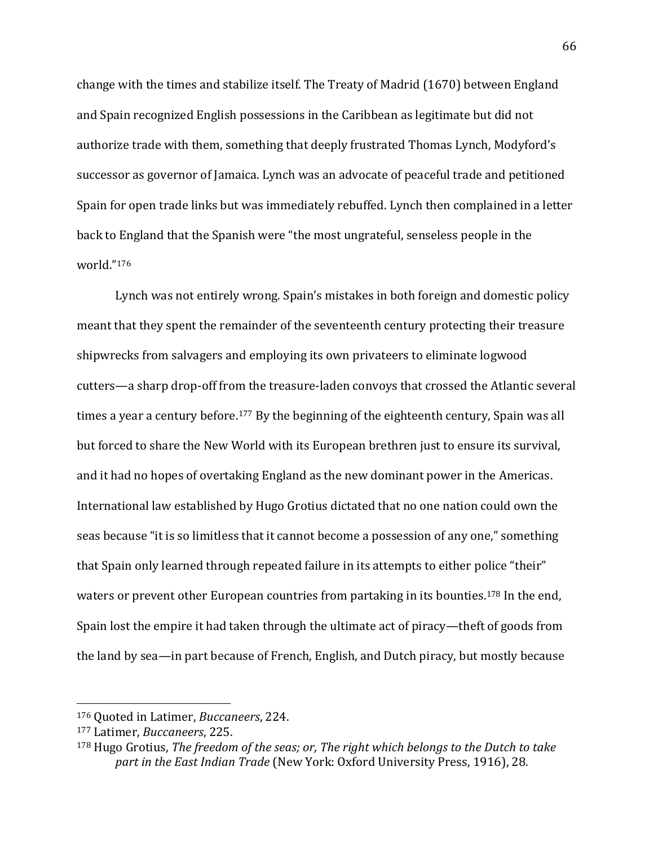change with the times and stabilize itself. The Treaty of Madrid (1670) between England and Spain recognized English possessions in the Caribbean as legitimate but did not authorize trade with them, something that deeply frustrated Thomas Lynch, Modyford's successor as governor of Jamaica. Lynch was an advocate of peaceful trade and petitioned Spain for open trade links but was immediately rebuffed. Lynch then complained in a letter back to England that the Spanish were "the most ungrateful, senseless people in the world."<sup>176</sup>

Lynch was not entirely wrong. Spain's mistakes in both foreign and domestic policy meant that they spent the remainder of the seventeenth century protecting their treasure shipwrecks from salvagers and employing its own privateers to eliminate logwood cutters—a sharp drop-off from the treasure-laden convoys that crossed the Atlantic several times a year a century before.<sup>177</sup> By the beginning of the eighteenth century, Spain was all but forced to share the New World with its European brethren just to ensure its survival, and it had no hopes of overtaking England as the new dominant power in the Americas. International law established by Hugo Grotius dictated that no one nation could own the seas because "it is so limitless that it cannot become a possession of any one," something that Spain only learned through repeated failure in its attempts to either police "their" waters or prevent other European countries from partaking in its bounties.<sup>178</sup> In the end, Spain lost the empire it had taken through the ultimate act of piracy—theft of goods from the land by sea—in part because of French, English, and Dutch piracy, but mostly because

<sup>176</sup> Quoted in Latimer, *Buccaneers*, 224.

<sup>177</sup> Latimer, *Buccaneers*, 225.

<sup>178</sup> Hugo Grotius, *The freedom of the seas; or, The right which belongs to the Dutch to take part in the East Indian Trade* (New York: Oxford University Press, 1916), 28.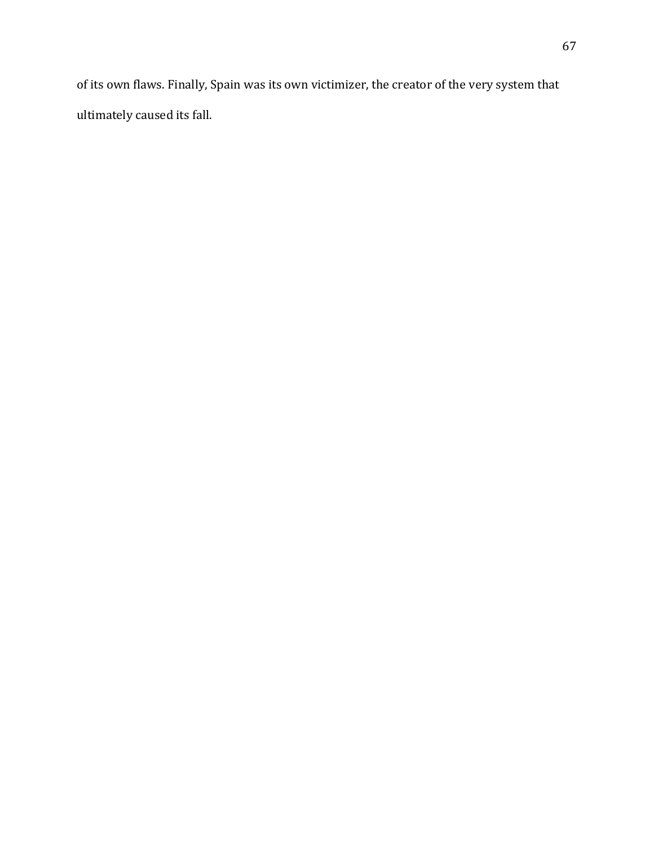of its own flaws. Finally, Spain was its own victimizer, the creator of the very system that ultimately caused its fall.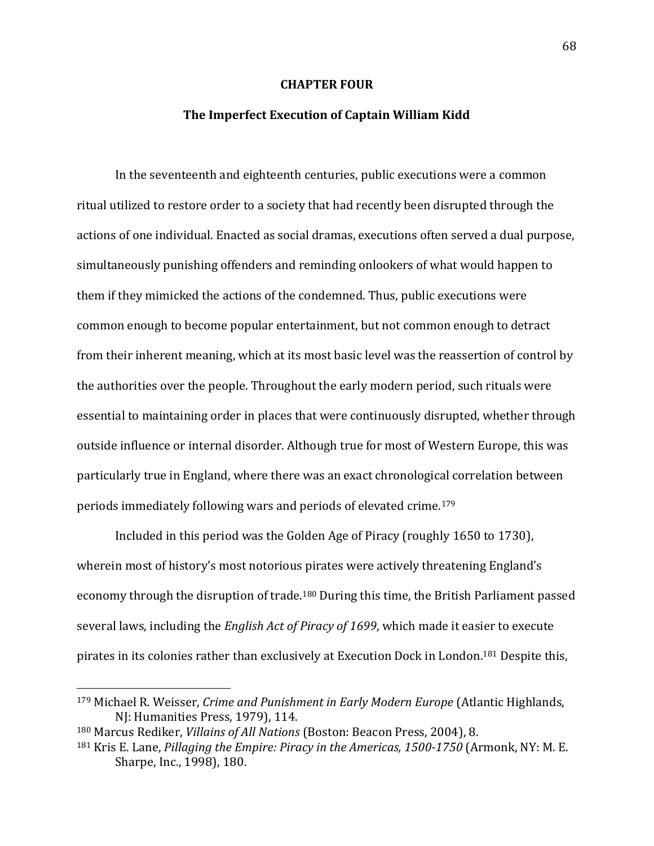### **CHAPTER FOUR**

### **The Imperfect Execution of Captain William Kidd**

In the seventeenth and eighteenth centuries, public executions were a common ritual utilized to restore order to a society that had recently been disrupted through the actions of one individual. Enacted as social dramas, executions often served a dual purpose, simultaneously punishing offenders and reminding onlookers of what would happen to them if they mimicked the actions of the condemned. Thus, public executions were common enough to become popular entertainment, but not common enough to detract from their inherent meaning, which at its most basic level was the reassertion of control by the authorities over the people. Throughout the early modern period, such rituals were essential to maintaining order in places that were continuously disrupted, whether through outside influence or internal disorder. Although true for most of Western Europe, this was particularly true in England, where there was an exact chronological correlation between periods immediately following wars and periods of elevated crime.<sup>179</sup>

Included in this period was the Golden Age of Piracy (roughly 1650 to 1730), wherein most of history's most notorious pirates were actively threatening England's economy through the disruption of trade.<sup>180</sup> During this time, the British Parliament passed several laws, including the *English Act of Piracy of 1699*, which made it easier to execute pirates in its colonies rather than exclusively at Execution Dock in London.<sup>181</sup> Despite this,

<sup>179</sup> Michael R. Weisser, *Crime and Punishment in Early Modern Europe* (Atlantic Highlands, NJ: Humanities Press, 1979), 114.

<sup>180</sup> Marcus Rediker, *Villains of All Nations* (Boston: Beacon Press, 2004), 8.

<sup>181</sup> Kris E. Lane, *Pillaging the Empire: Piracy in the Americas, 1500-1750* (Armonk, NY: M. E. Sharpe, Inc., 1998), 180.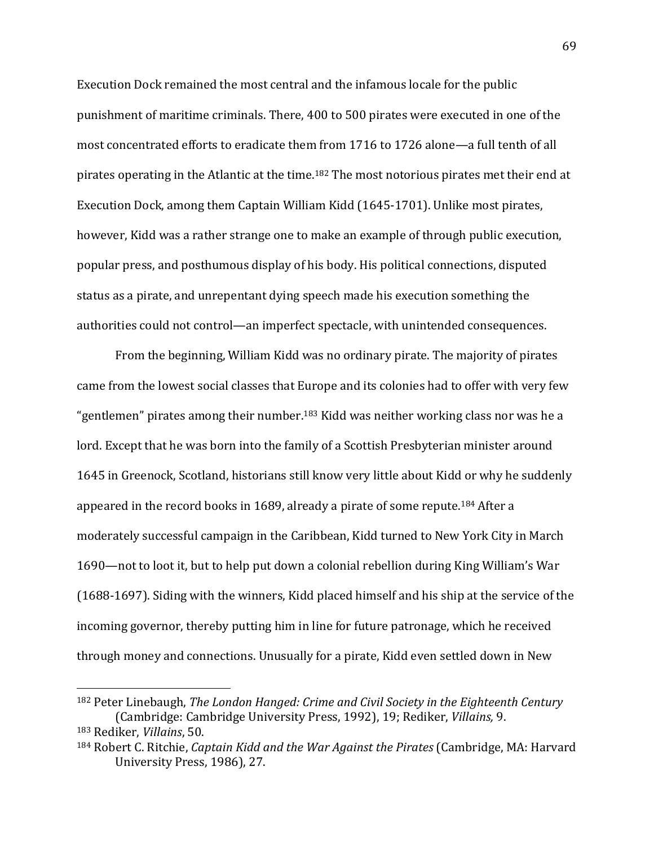Execution Dock remained the most central and the infamous locale for the public punishment of maritime criminals. There, 400 to 500 pirates were executed in one of the most concentrated efforts to eradicate them from 1716 to 1726 alone—a full tenth of all pirates operating in the Atlantic at the time.<sup>182</sup> The most notorious pirates met their end at Execution Dock, among them Captain William Kidd (1645-1701). Unlike most pirates, however, Kidd was a rather strange one to make an example of through public execution, popular press, and posthumous display of his body. His political connections, disputed status as a pirate, and unrepentant dying speech made his execution something the authorities could not control—an imperfect spectacle, with unintended consequences.

From the beginning, William Kidd was no ordinary pirate. The majority of pirates came from the lowest social classes that Europe and its colonies had to offer with very few "gentlemen" pirates among their number.<sup>183</sup> Kidd was neither working class nor was he a lord. Except that he was born into the family of a Scottish Presbyterian minister around 1645 in Greenock, Scotland, historians still know very little about Kidd or why he suddenly appeared in the record books in 1689, already a pirate of some repute.<sup>184</sup> After a moderately successful campaign in the Caribbean, Kidd turned to New York City in March 1690—not to loot it, but to help put down a colonial rebellion during King William's War (1688-1697). Siding with the winners, Kidd placed himself and his ship at the service of the incoming governor, thereby putting him in line for future patronage, which he received through money and connections. Unusually for a pirate, Kidd even settled down in New

<sup>182</sup> Peter Linebaugh, *The London Hanged: Crime and Civil Society in the Eighteenth Century* (Cambridge: Cambridge University Press, 1992), 19; Rediker, *Villains,* 9.

<sup>183</sup> Rediker, *Villains*, 50.

<sup>184</sup> Robert C. Ritchie, *Captain Kidd and the War Against the Pirates* (Cambridge, MA: Harvard University Press, 1986), 27.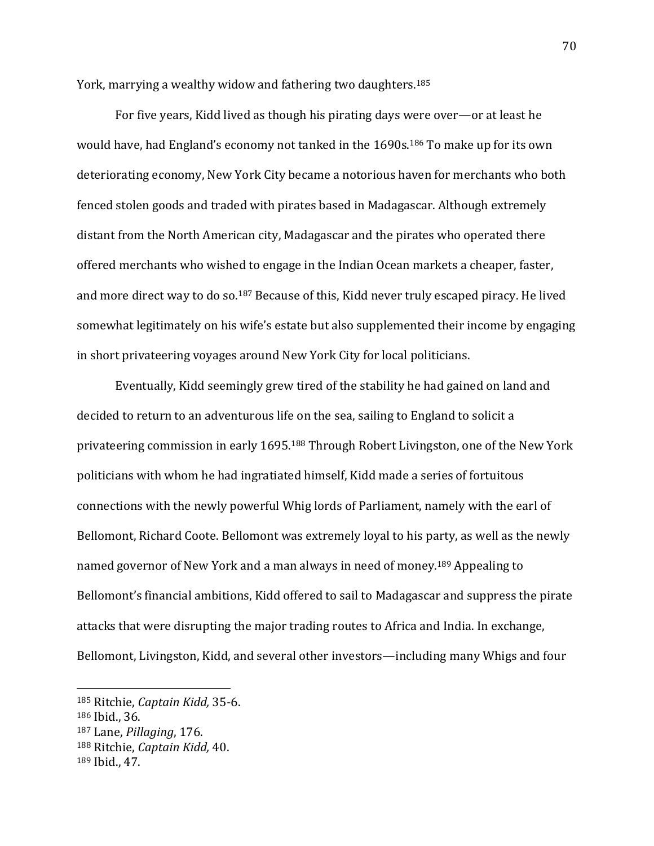York, marrying a wealthy widow and fathering two daughters.<sup>185</sup>

For five years, Kidd lived as though his pirating days were over—or at least he would have, had England's economy not tanked in the 1690s.<sup>186</sup> To make up for its own deteriorating economy, New York City became a notorious haven for merchants who both fenced stolen goods and traded with pirates based in Madagascar. Although extremely distant from the North American city, Madagascar and the pirates who operated there offered merchants who wished to engage in the Indian Ocean markets a cheaper, faster, and more direct way to do so.<sup>187</sup> Because of this, Kidd never truly escaped piracy. He lived somewhat legitimately on his wife's estate but also supplemented their income by engaging in short privateering voyages around New York City for local politicians.

Eventually, Kidd seemingly grew tired of the stability he had gained on land and decided to return to an adventurous life on the sea, sailing to England to solicit a privateering commission in early 1695.<sup>188</sup> Through Robert Livingston, one of the New York politicians with whom he had ingratiated himself, Kidd made a series of fortuitous connections with the newly powerful Whig lords of Parliament, namely with the earl of Bellomont, Richard Coote. Bellomont was extremely loyal to his party, as well as the newly named governor of New York and a man always in need of money.<sup>189</sup> Appealing to Bellomont's financial ambitions, Kidd offered to sail to Madagascar and suppress the pirate attacks that were disrupting the major trading routes to Africa and India. In exchange, Bellomont, Livingston, Kidd, and several other investors—including many Whigs and four

<sup>185</sup> Ritchie, *Captain Kidd,* 35-6.

<sup>186</sup> Ibid., 36.

<sup>187</sup> Lane, *Pillaging*, 176.

<sup>188</sup> Ritchie, *Captain Kidd,* 40.

<sup>189</sup> Ibid., 47.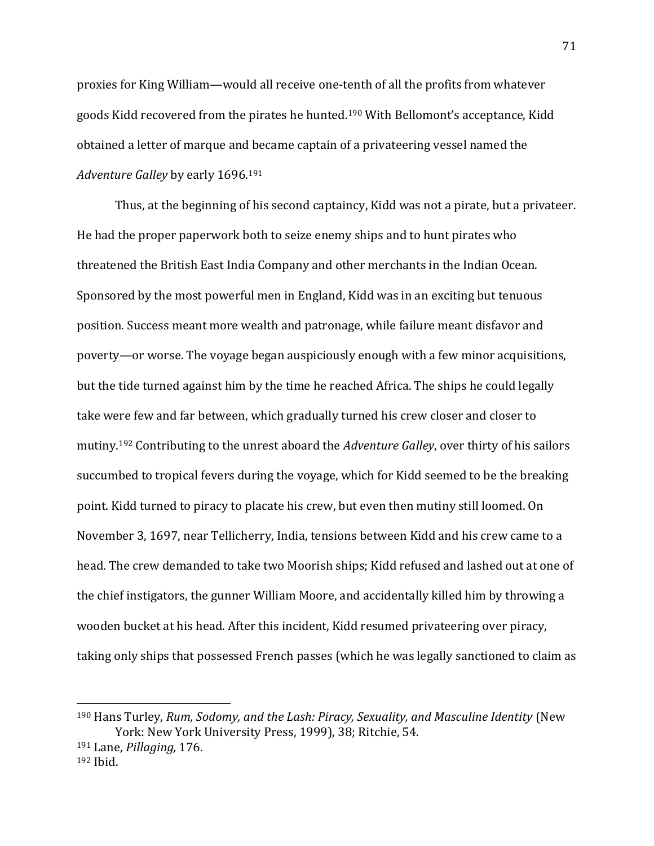proxies for King William—would all receive one-tenth of all the profits from whatever goods Kidd recovered from the pirates he hunted.<sup>190</sup> With Bellomont's acceptance, Kidd obtained a letter of marque and became captain of a privateering vessel named the *Adventure Galley* by early 1696.<sup>191</sup>

Thus, at the beginning of his second captaincy, Kidd was not a pirate, but a privateer. He had the proper paperwork both to seize enemy ships and to hunt pirates who threatened the British East India Company and other merchants in the Indian Ocean. Sponsored by the most powerful men in England, Kidd was in an exciting but tenuous position. Success meant more wealth and patronage, while failure meant disfavor and poverty—or worse. The voyage began auspiciously enough with a few minor acquisitions, but the tide turned against him by the time he reached Africa. The ships he could legally take were few and far between, which gradually turned his crew closer and closer to mutiny.<sup>192</sup> Contributing to the unrest aboard the *Adventure Galley*, over thirty of his sailors succumbed to tropical fevers during the voyage, which for Kidd seemed to be the breaking point. Kidd turned to piracy to placate his crew, but even then mutiny still loomed. On November 3, 1697, near Tellicherry, India, tensions between Kidd and his crew came to a head. The crew demanded to take two Moorish ships; Kidd refused and lashed out at one of the chief instigators, the gunner William Moore, and accidentally killed him by throwing a wooden bucket at his head. After this incident, Kidd resumed privateering over piracy, taking only ships that possessed French passes (which he was legally sanctioned to claim as

<sup>190</sup> Hans Turley, *Rum, Sodomy, and the Lash: Piracy, Sexuality, and Masculine Identity* (New York: New York University Press, 1999), 38; Ritchie, 54.

<sup>191</sup> Lane, *Pillaging,* 176. <sup>192</sup> Ibid.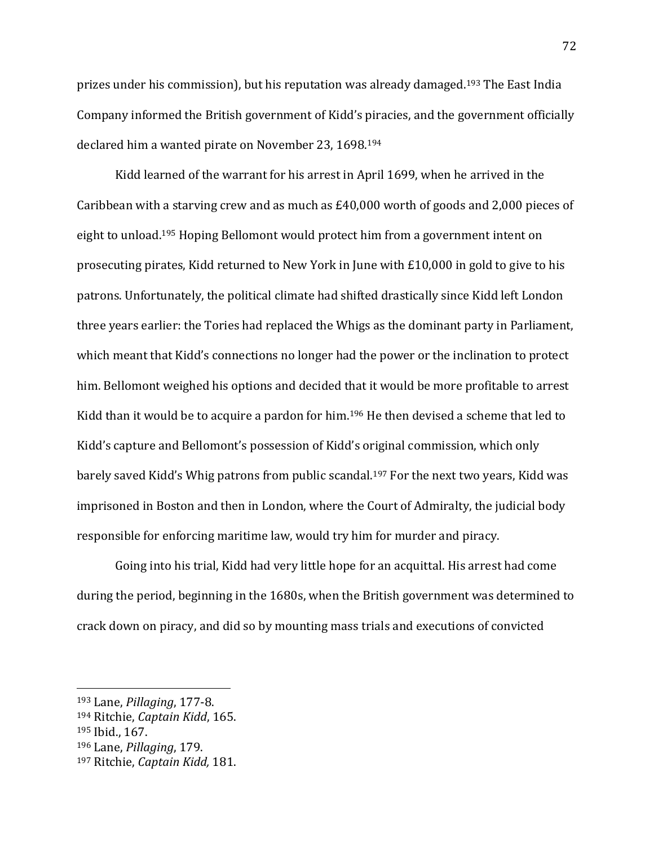prizes under his commission), but his reputation was already damaged.<sup>193</sup> The East India Company informed the British government of Kidd's piracies, and the government officially declared him a wanted pirate on November 23, 1698.<sup>194</sup>

Kidd learned of the warrant for his arrest in April 1699, when he arrived in the Caribbean with a starving crew and as much as £40,000 worth of goods and 2,000 pieces of eight to unload. <sup>195</sup> Hoping Bellomont would protect him from a government intent on prosecuting pirates, Kidd returned to New York in June with £10,000 in gold to give to his patrons. Unfortunately, the political climate had shifted drastically since Kidd left London three years earlier: the Tories had replaced the Whigs as the dominant party in Parliament, which meant that Kidd's connections no longer had the power or the inclination to protect him. Bellomont weighed his options and decided that it would be more profitable to arrest Kidd than it would be to acquire a pardon for him.<sup>196</sup> He then devised a scheme that led to Kidd's capture and Bellomont's possession of Kidd's original commission, which only barely saved Kidd's Whig patrons from public scandal.<sup>197</sup> For the next two years, Kidd was imprisoned in Boston and then in London, where the Court of Admiralty, the judicial body responsible for enforcing maritime law, would try him for murder and piracy.

Going into his trial, Kidd had very little hope for an acquittal. His arrest had come during the period, beginning in the 1680s, when the British government was determined to crack down on piracy, and did so by mounting mass trials and executions of convicted

<sup>193</sup> Lane, *Pillaging*, 177-8.

<sup>194</sup> Ritchie, *Captain Kidd*, 165.

<sup>195</sup> Ibid., 167.

<sup>196</sup> Lane, *Pillaging*, 179.

<sup>197</sup> Ritchie, *Captain Kidd,* 181.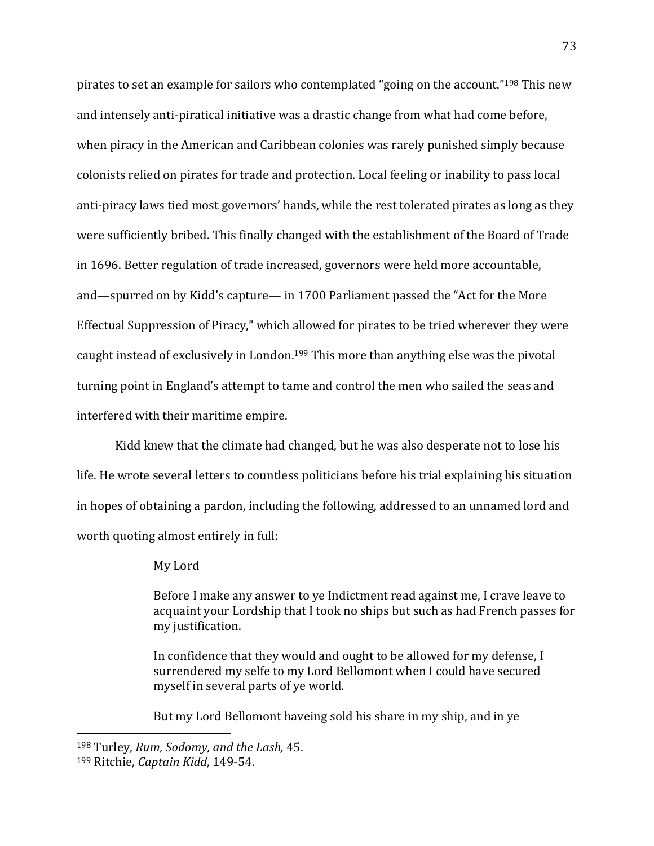pirates to set an example for sailors who contemplated "going on the account."<sup>198</sup> This new and intensely anti-piratical initiative was a drastic change from what had come before, when piracy in the American and Caribbean colonies was rarely punished simply because colonists relied on pirates for trade and protection. Local feeling or inability to pass local anti-piracy laws tied most governors' hands, while the rest tolerated pirates as long as they were sufficiently bribed. This finally changed with the establishment of the Board of Trade in 1696. Better regulation of trade increased, governors were held more accountable, and—spurred on by Kidd's capture— in 1700 Parliament passed the "Act for the More Effectual Suppression of Piracy," which allowed for pirates to be tried wherever they were caught instead of exclusively in London. <sup>199</sup> This more than anything else was the pivotal turning point in England's attempt to tame and control the men who sailed the seas and interfered with their maritime empire.

Kidd knew that the climate had changed, but he was also desperate not to lose his life. He wrote several letters to countless politicians before his trial explaining his situation in hopes of obtaining a pardon, including the following, addressed to an unnamed lord and worth quoting almost entirely in full:

My Lord

Before I make any answer to ye Indictment read against me, I crave leave to acquaint your Lordship that I took no ships but such as had French passes for my justification.

In confidence that they would and ought to be allowed for my defense, I surrendered my selfe to my Lord Bellomont when I could have secured myself in several parts of ye world.

But my Lord Bellomont haveing sold his share in my ship, and in ye

<sup>198</sup> Turley, *Rum, Sodomy, and the Lash,* 45.

<sup>199</sup> Ritchie, *Captain Kidd*, 149-54.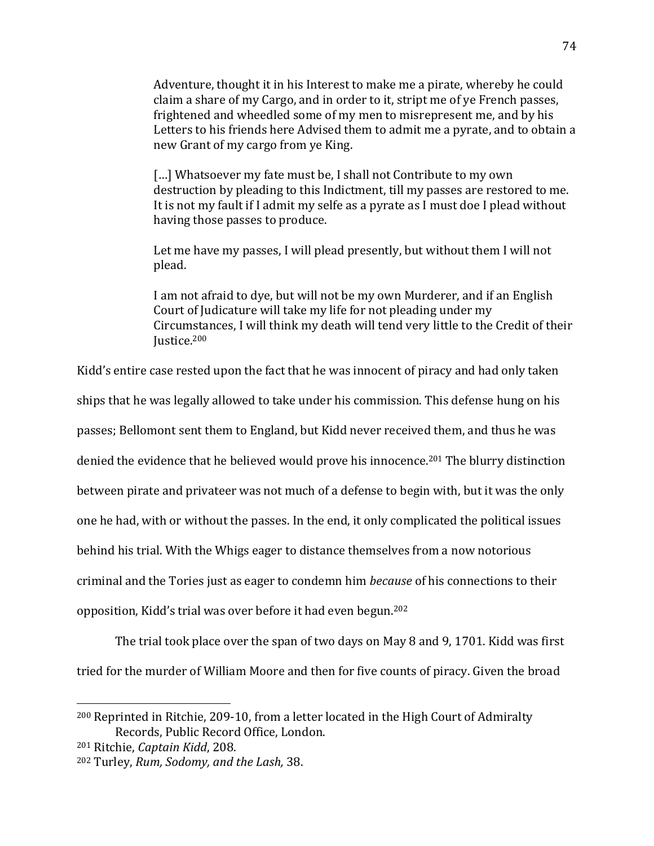Adventure, thought it in his Interest to make me a pirate, whereby he could claim a share of my Cargo, and in order to it, stript me of ye French passes, frightened and wheedled some of my men to misrepresent me, and by his Letters to his friends here Advised them to admit me a pyrate, and to obtain a new Grant of my cargo from ye King.

[...] Whatsoever my fate must be, I shall not Contribute to my own destruction by pleading to this Indictment, till my passes are restored to me. It is not my fault if I admit my selfe as a pyrate as I must doe I plead without having those passes to produce.

Let me have my passes, I will plead presently, but without them I will not plead.

I am not afraid to dye, but will not be my own Murderer, and if an English Court of Judicature will take my life for not pleading under my Circumstances, I will think my death will tend very little to the Credit of their Justice.<sup>200</sup>

Kidd's entire case rested upon the fact that he was innocent of piracy and had only taken

ships that he was legally allowed to take under his commission. This defense hung on his

passes; Bellomont sent them to England, but Kidd never received them, and thus he was

denied the evidence that he believed would prove his innocence.<sup>201</sup> The blurry distinction

between pirate and privateer was not much of a defense to begin with, but it was the only

one he had, with or without the passes. In the end, it only complicated the political issues

behind his trial. With the Whigs eager to distance themselves from a now notorious

criminal and the Tories just as eager to condemn him *because* of his connections to their

opposition, Kidd's trial was over before it had even begun.<sup>202</sup>

The trial took place over the span of two days on May 8 and 9, 1701. Kidd was first

tried for the murder of William Moore and then for five counts of piracy. Given the broad

<sup>200</sup> Reprinted in Ritchie, 209-10, from a letter located in the High Court of Admiralty Records, Public Record Office, London.

<sup>201</sup> Ritchie, *Captain Kidd*, 208.

<sup>202</sup> Turley, *Rum, Sodomy, and the Lash,* 38.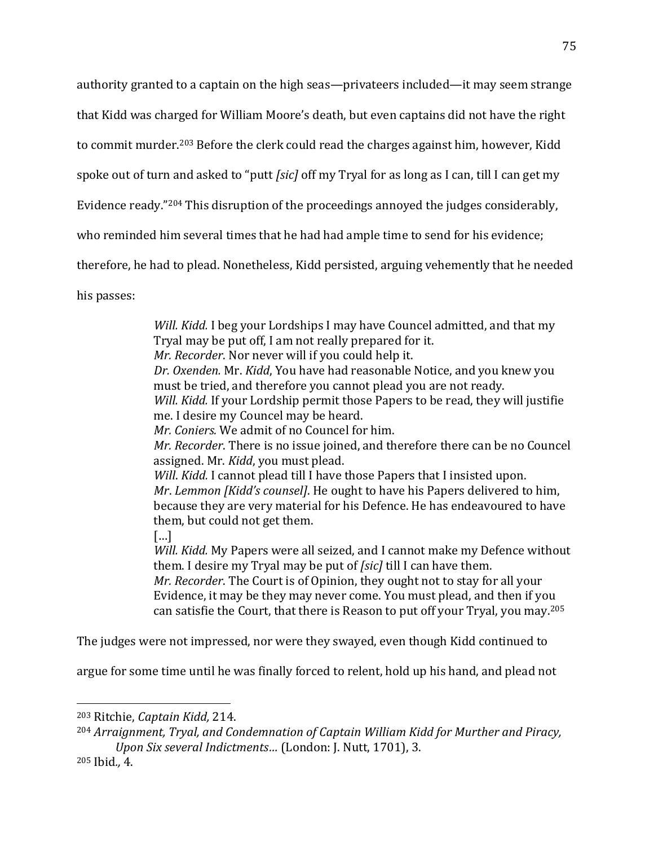authority granted to a captain on the high seas—privateers included—it may seem strange

that Kidd was charged for William Moore's death, but even captains did not have the right

to commit murder.<sup>203</sup> Before the clerk could read the charges against him, however, Kidd

spoke out of turn and asked to "putt *[sic]* off my Tryal for as long as I can, till I can get my

Evidence ready."<sup>204</sup> This disruption of the proceedings annoyed the judges considerably,

who reminded him several times that he had had ample time to send for his evidence;

therefore, he had to plead. Nonetheless, Kidd persisted, arguing vehemently that he needed

his passes:

*Will. Kidd.* I beg your Lordships I may have Councel admitted, and that my Tryal may be put off, I am not really prepared for it. *Mr. Recorder*. Nor never will if you could help it. *Dr. Oxenden.* Mr. *Kidd*, You have had reasonable Notice, and you knew you must be tried, and therefore you cannot plead you are not ready. *Will. Kidd.* If your Lordship permit those Papers to be read, they will justifie me. I desire my Councel may be heard. *Mr. Coniers.* We admit of no Councel for him. *Mr. Recorder*. There is no issue joined, and therefore there can be no Councel assigned. Mr. *Kidd*, you must plead. *Will*. *Kidd.* I cannot plead till I have those Papers that I insisted upon. *Mr*. *Lemmon [Kidd's counsel]*. He ought to have his Papers delivered to him, because they are very material for his Defence. He has endeavoured to have them, but could not get them.  $\lceil$ ...] *Will. Kidd.* My Papers were all seized, and I cannot make my Defence without them. I desire my Tryal may be put of *[sic]* till I can have them.

*Mr. Recorder*. The Court is of Opinion, they ought not to stay for all your Evidence, it may be they may never come. You must plead, and then if you can satisfie the Court, that there is Reason to put off your Tryal, you may.<sup>205</sup>

The judges were not impressed, nor were they swayed, even though Kidd continued to

argue for some time until he was finally forced to relent, hold up his hand, and plead not

<sup>203</sup> Ritchie, *Captain Kidd,* 214.

<sup>204</sup> *Arraignment, Tryal, and Condemnation of Captain William Kidd for Murther and Piracy, Upon Six several Indictments…* (London: J. Nutt, 1701), 3.

<sup>205</sup> Ibid*.,* 4.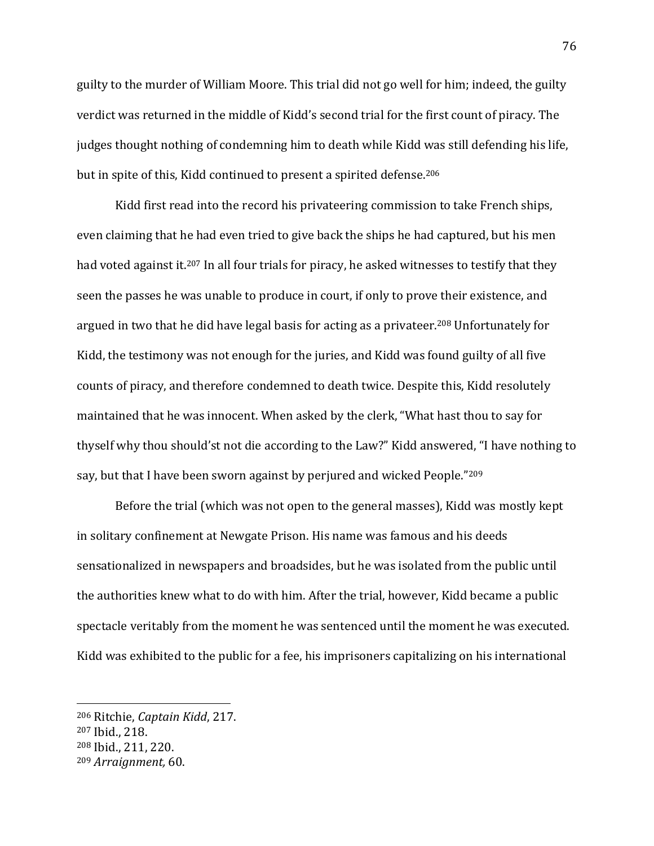guilty to the murder of William Moore. This trial did not go well for him; indeed, the guilty verdict was returned in the middle of Kidd's second trial for the first count of piracy. The judges thought nothing of condemning him to death while Kidd was still defending his life, but in spite of this, Kidd continued to present a spirited defense.<sup>206</sup>

Kidd first read into the record his privateering commission to take French ships, even claiming that he had even tried to give back the ships he had captured, but his men had voted against it.<sup>207</sup> In all four trials for piracy, he asked witnesses to testify that they seen the passes he was unable to produce in court, if only to prove their existence, and argued in two that he did have legal basis for acting as a privateer.<sup>208</sup> Unfortunately for Kidd, the testimony was not enough for the juries, and Kidd was found guilty of all five counts of piracy, and therefore condemned to death twice. Despite this, Kidd resolutely maintained that he was innocent. When asked by the clerk, "What hast thou to say for thyself why thou should'st not die according to the Law?" Kidd answered, "I have nothing to say, but that I have been sworn against by perjured and wicked People."<sup>209</sup>

Before the trial (which was not open to the general masses), Kidd was mostly kept in solitary confinement at Newgate Prison. His name was famous and his deeds sensationalized in newspapers and broadsides, but he was isolated from the public until the authorities knew what to do with him. After the trial, however, Kidd became a public spectacle veritably from the moment he was sentenced until the moment he was executed. Kidd was exhibited to the public for a fee, his imprisoners capitalizing on his international

<sup>206</sup> Ritchie, *Captain Kidd*, 217. <sup>207</sup> Ibid., 218. <sup>208</sup> Ibid., 211, 220. <sup>209</sup> *Arraignment,* 60.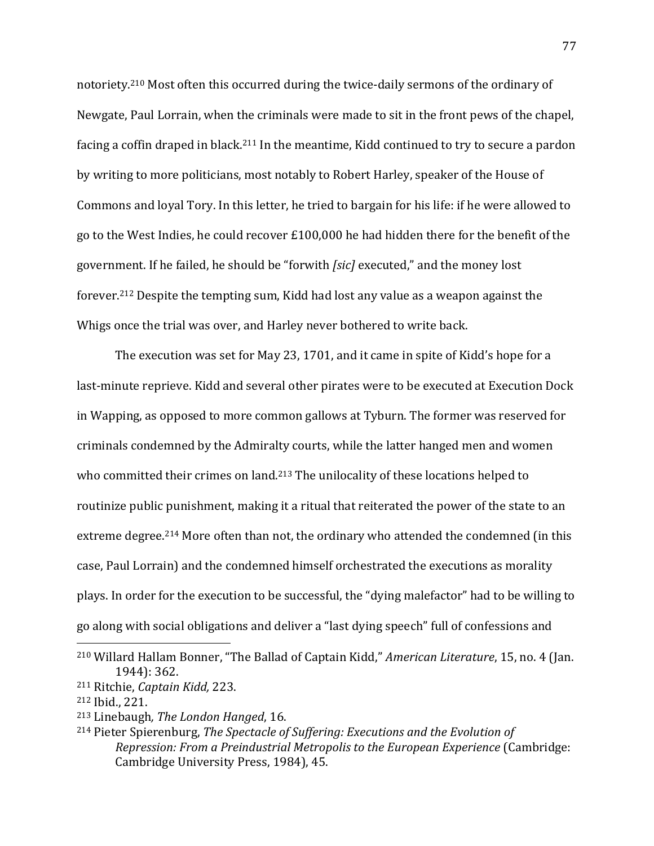notoriety.<sup>210</sup> Most often this occurred during the twice-daily sermons of the ordinary of Newgate, Paul Lorrain, when the criminals were made to sit in the front pews of the chapel, facing a coffin draped in black.<sup>211</sup> In the meantime, Kidd continued to try to secure a pardon by writing to more politicians, most notably to Robert Harley, speaker of the House of Commons and loyal Tory. In this letter, he tried to bargain for his life: if he were allowed to go to the West Indies, he could recover £100,000 he had hidden there for the benefit of the government. If he failed, he should be "forwith *[sic]* executed," and the money lost forever.<sup>212</sup> Despite the tempting sum, Kidd had lost any value as a weapon against the Whigs once the trial was over, and Harley never bothered to write back.

The execution was set for May 23, 1701, and it came in spite of Kidd's hope for a last-minute reprieve. Kidd and several other pirates were to be executed at Execution Dock in Wapping, as opposed to more common gallows at Tyburn. The former was reserved for criminals condemned by the Admiralty courts, while the latter hanged men and women who committed their crimes on land.<sup>213</sup> The unilocality of these locations helped to routinize public punishment, making it a ritual that reiterated the power of the state to an extreme degree.<sup>214</sup> More often than not, the ordinary who attended the condemned (in this case, Paul Lorrain) and the condemned himself orchestrated the executions as morality plays. In order for the execution to be successful, the "dying malefactor" had to be willing to go along with social obligations and deliver a "last dying speech" full of confessions and

<sup>210</sup> Willard Hallam Bonner, "The Ballad of Captain Kidd," *American Literature*, 15, no. 4 (Jan. 1944): 362.

<sup>211</sup> Ritchie, *Captain Kidd,* 223.

<sup>212</sup> Ibid., 221.

<sup>213</sup> Linebaugh*, The London Hanged*, 16.

<sup>214</sup> Pieter Spierenburg, *The Spectacle of Suffering: Executions and the Evolution of Repression: From a Preindustrial Metropolis to the European Experience* (Cambridge: Cambridge University Press, 1984), 45.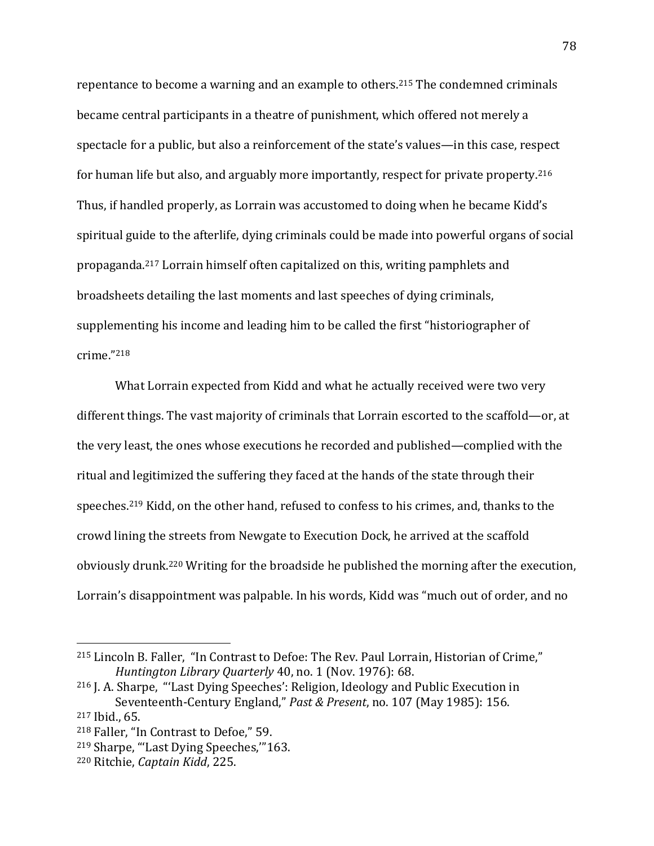repentance to become a warning and an example to others.<sup>215</sup> The condemned criminals became central participants in a theatre of punishment, which offered not merely a spectacle for a public, but also a reinforcement of the state's values—in this case, respect for human life but also, and arguably more importantly, respect for private property.<sup>216</sup> Thus, if handled properly, as Lorrain was accustomed to doing when he became Kidd's spiritual guide to the afterlife, dying criminals could be made into powerful organs of social propaganda.<sup>217</sup> Lorrain himself often capitalized on this, writing pamphlets and broadsheets detailing the last moments and last speeches of dying criminals, supplementing his income and leading him to be called the first "historiographer of crime."<sup>218</sup>

What Lorrain expected from Kidd and what he actually received were two very different things. The vast majority of criminals that Lorrain escorted to the scaffold—or, at the very least, the ones whose executions he recorded and published—complied with the ritual and legitimized the suffering they faced at the hands of the state through their speeches.<sup>219</sup> Kidd, on the other hand, refused to confess to his crimes, and, thanks to the crowd lining the streets from Newgate to Execution Dock, he arrived at the scaffold obviously drunk.<sup>220</sup> Writing for the broadside he published the morning after the execution, Lorrain's disappointment was palpable. In his words, Kidd was "much out of order, and no

<sup>215</sup> Lincoln B. Faller, "In Contrast to Defoe: The Rev. Paul Lorrain, Historian of Crime," *Huntington Library Quarterly* 40, no. 1 (Nov. 1976): 68.

<sup>216</sup> J. A. Sharpe, "'Last Dying Speeches': Religion, Ideology and Public Execution in Seventeenth-Century England," *Past & Present*, no. 107 (May 1985): 156. <sup>217</sup> Ibid., 65.

<sup>218</sup> Faller, "In Contrast to Defoe," 59.

<sup>219</sup> Sharpe, "'Last Dying Speeches,'"163.

<sup>220</sup> Ritchie, *Captain Kidd*, 225.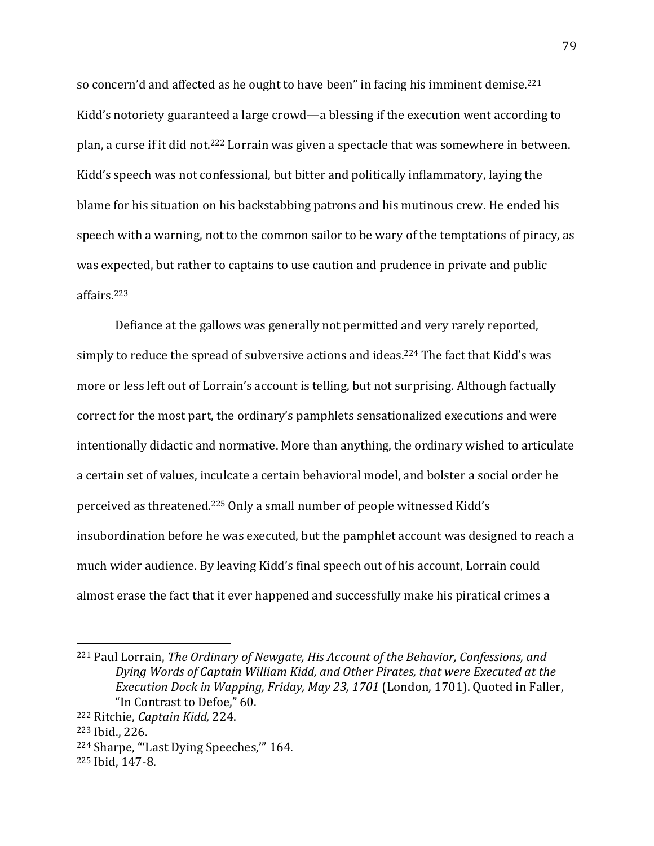so concern'd and affected as he ought to have been" in facing his imminent demise.<sup>221</sup> Kidd's notoriety guaranteed a large crowd—a blessing if the execution went according to plan, a curse if it did not.<sup>222</sup> Lorrain was given a spectacle that was somewhere in between. Kidd's speech was not confessional, but bitter and politically inflammatory, laying the blame for his situation on his backstabbing patrons and his mutinous crew. He ended his speech with a warning, not to the common sailor to be wary of the temptations of piracy, as was expected, but rather to captains to use caution and prudence in private and public affairs.<sup>223</sup>

Defiance at the gallows was generally not permitted and very rarely reported, simply to reduce the spread of subversive actions and ideas.<sup>224</sup> The fact that Kidd's was more or less left out of Lorrain's account is telling, but not surprising. Although factually correct for the most part, the ordinary's pamphlets sensationalized executions and were intentionally didactic and normative. More than anything, the ordinary wished to articulate a certain set of values, inculcate a certain behavioral model, and bolster a social order he perceived as threatened.<sup>225</sup> Only a small number of people witnessed Kidd's insubordination before he was executed, but the pamphlet account was designed to reach a much wider audience. By leaving Kidd's final speech out of his account, Lorrain could almost erase the fact that it ever happened and successfully make his piratical crimes a

<sup>221</sup> Paul Lorrain, *The Ordinary of Newgate, His Account of the Behavior, Confessions, and Dying Words of Captain William Kidd, and Other Pirates, that were Executed at the Execution Dock in Wapping, Friday, May 23, 1701* (London, 1701). Quoted in Faller, "In Contrast to Defoe," 60.

<sup>222</sup> Ritchie, *Captain Kidd,* 224.

<sup>223</sup> Ibid., 226.

<sup>224</sup> Sharpe, "'Last Dying Speeches,'" 164.

<sup>225</sup> Ibid, 147-8.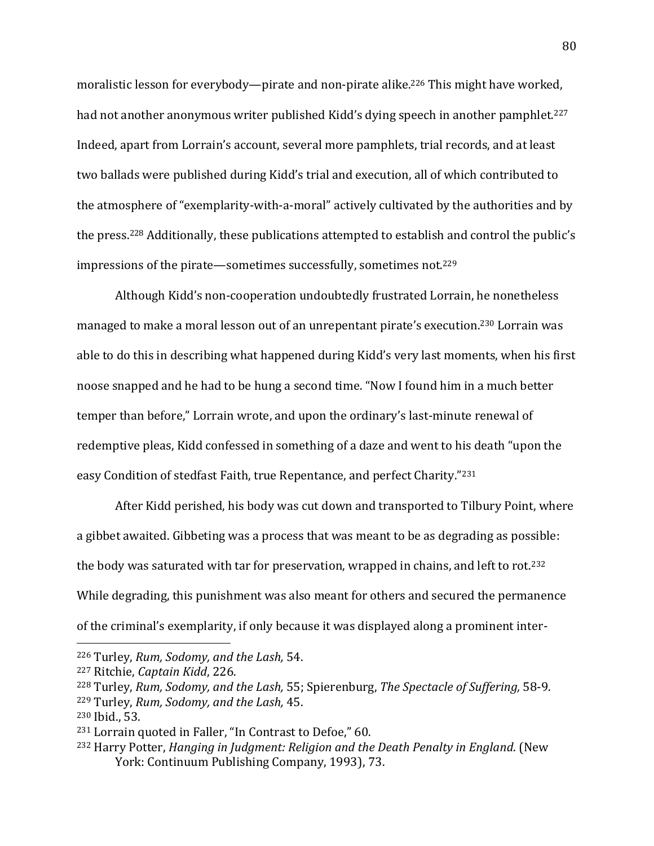moralistic lesson for everybody—pirate and non-pirate alike.<sup>226</sup> This might have worked, had not another anonymous writer published Kidd's dying speech in another pamphlet.<sup>227</sup> Indeed, apart from Lorrain's account, several more pamphlets, trial records, and at least two ballads were published during Kidd's trial and execution, all of which contributed to the atmosphere of "exemplarity-with-a-moral" actively cultivated by the authorities and by the press.<sup>228</sup> Additionally, these publications attempted to establish and control the public's impressions of the pirate—sometimes successfully, sometimes not.<sup>229</sup>

Although Kidd's non-cooperation undoubtedly frustrated Lorrain, he nonetheless managed to make a moral lesson out of an unrepentant pirate's execution.<sup>230</sup> Lorrain was able to do this in describing what happened during Kidd's very last moments, when his first noose snapped and he had to be hung a second time. "Now I found him in a much better temper than before," Lorrain wrote, and upon the ordinary's last-minute renewal of redemptive pleas, Kidd confessed in something of a daze and went to his death "upon the easy Condition of stedfast Faith, true Repentance, and perfect Charity."<sup>231</sup>

After Kidd perished, his body was cut down and transported to Tilbury Point, where a gibbet awaited. Gibbeting was a process that was meant to be as degrading as possible: the body was saturated with tar for preservation, wrapped in chains, and left to rot.<sup>232</sup> While degrading, this punishment was also meant for others and secured the permanence of the criminal's exemplarity, if only because it was displayed along a prominent inter-

<sup>226</sup> Turley, *Rum, Sodomy, and the Lash,* 54.

<sup>227</sup> Ritchie, *Captain Kidd*, 226.

<sup>228</sup> Turley, *Rum, Sodomy, and the Lash,* 55; Spierenburg, *The Spectacle of Suffering,* 58-9. <sup>229</sup> Turley, *Rum, Sodomy, and the Lash,* 45.

<sup>230</sup> Ibid., 53.

<sup>231</sup> Lorrain quoted in Faller, "In Contrast to Defoe," 60.

<sup>232</sup> Harry Potter, *Hanging in Judgment: Religion and the Death Penalty in England*. (New York: Continuum Publishing Company, 1993), 73.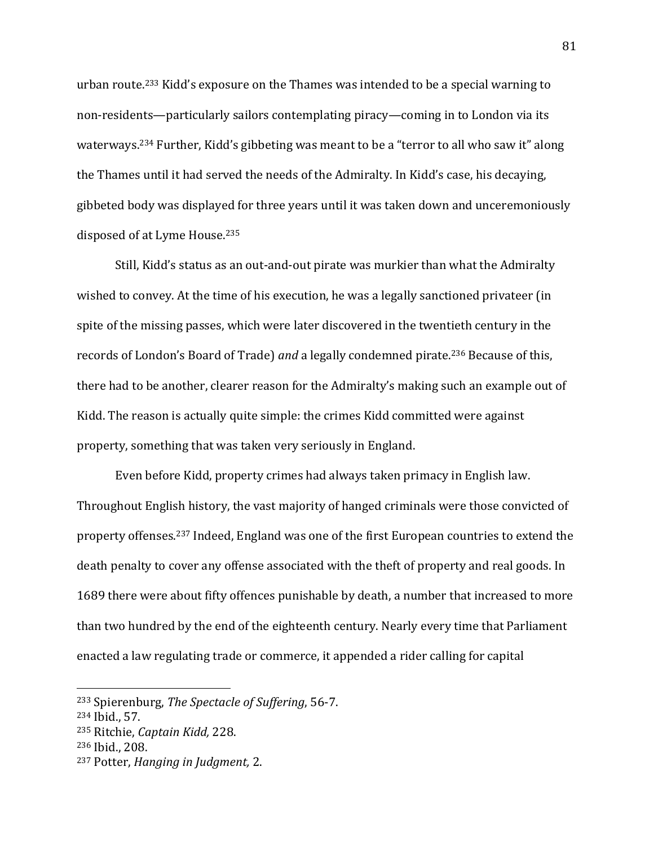urban route.<sup>233</sup> Kidd's exposure on the Thames was intended to be a special warning to non-residents—particularly sailors contemplating piracy—coming in to London via its waterways.<sup>234</sup> Further, Kidd's gibbeting was meant to be a "terror to all who saw it" along the Thames until it had served the needs of the Admiralty. In Kidd's case, his decaying, gibbeted body was displayed for three years until it was taken down and unceremoniously disposed of at Lyme House.<sup>235</sup>

Still, Kidd's status as an out-and-out pirate was murkier than what the Admiralty wished to convey. At the time of his execution, he was a legally sanctioned privateer (in spite of the missing passes, which were later discovered in the twentieth century in the records of London's Board of Trade) *and* a legally condemned pirate.<sup>236</sup> Because of this, there had to be another, clearer reason for the Admiralty's making such an example out of Kidd. The reason is actually quite simple: the crimes Kidd committed were against property, something that was taken very seriously in England.

Even before Kidd, property crimes had always taken primacy in English law. Throughout English history, the vast majority of hanged criminals were those convicted of property offenses.<sup>237</sup> Indeed, England was one of the first European countries to extend the death penalty to cover any offense associated with the theft of property and real goods. In 1689 there were about fifty offences punishable by death, a number that increased to more than two hundred by the end of the eighteenth century. Nearly every time that Parliament enacted a law regulating trade or commerce, it appended a rider calling for capital

<sup>233</sup> Spierenburg, *The Spectacle of Suffering*, 56-7.

<sup>234</sup> Ibid., 57.

<sup>235</sup> Ritchie, *Captain Kidd,* 228.

<sup>236</sup> Ibid., 208.

<sup>237</sup> Potter, *Hanging in Judgment,* 2.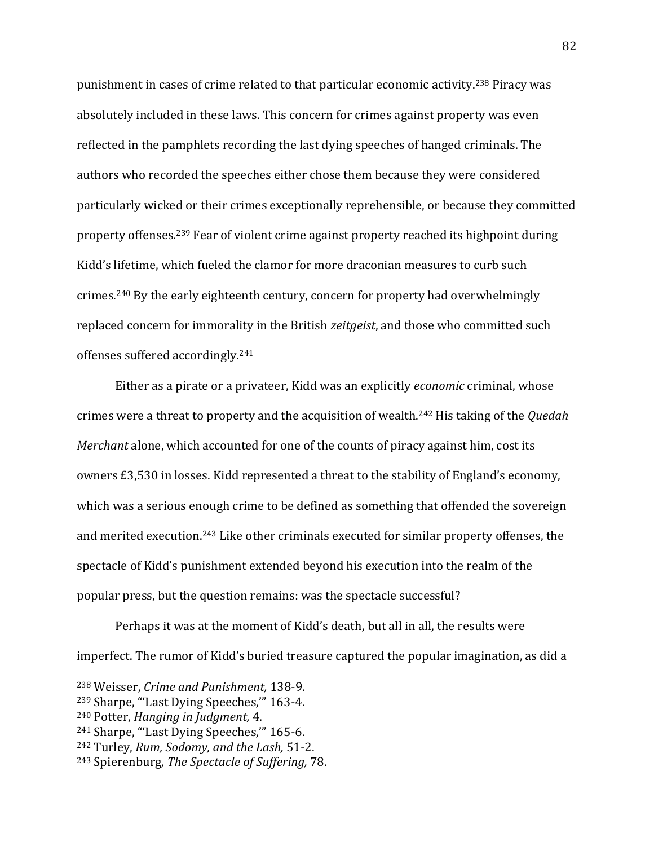punishment in cases of crime related to that particular economic activity.<sup>238</sup> Piracy was absolutely included in these laws. This concern for crimes against property was even reflected in the pamphlets recording the last dying speeches of hanged criminals. The authors who recorded the speeches either chose them because they were considered particularly wicked or their crimes exceptionally reprehensible, or because they committed property offenses.<sup>239</sup> Fear of violent crime against property reached its highpoint during Kidd's lifetime, which fueled the clamor for more draconian measures to curb such crimes.<sup>240</sup> By the early eighteenth century, concern for property had overwhelmingly replaced concern for immorality in the British *zeitgeist*, and those who committed such offenses suffered accordingly.<sup>241</sup>

Either as a pirate or a privateer, Kidd was an explicitly *economic* criminal, whose crimes were a threat to property and the acquisition of wealth.<sup>242</sup> His taking of the *Quedah Merchant* alone, which accounted for one of the counts of piracy against him, cost its owners £3,530 in losses. Kidd represented a threat to the stability of England's economy, which was a serious enough crime to be defined as something that offended the sovereign and merited execution.<sup>243</sup> Like other criminals executed for similar property offenses, the spectacle of Kidd's punishment extended beyond his execution into the realm of the popular press, but the question remains: was the spectacle successful?

Perhaps it was at the moment of Kidd's death, but all in all, the results were imperfect. The rumor of Kidd's buried treasure captured the popular imagination, as did a

<sup>238</sup> Weisser, *Crime and Punishment,* 138-9.

<sup>239</sup> Sharpe, "'Last Dying Speeches,'" 163-4.

<sup>240</sup> Potter, *Hanging in Judgment,* 4.

<sup>241</sup> Sharpe, "'Last Dying Speeches,'" 165-6.

<sup>242</sup> Turley, *Rum, Sodomy, and the Lash,* 51-2.

<sup>243</sup> Spierenburg, *The Spectacle of Suffering,* 78.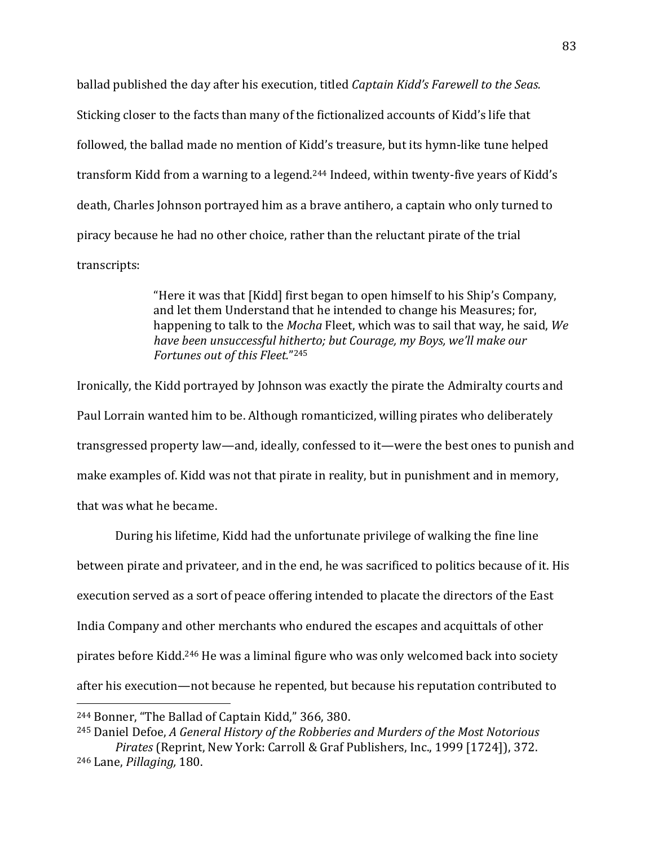ballad published the day after his execution, titled *Captain Kidd's Farewell to the Seas.* Sticking closer to the facts than many of the fictionalized accounts of Kidd's life that followed, the ballad made no mention of Kidd's treasure, but its hymn-like tune helped transform Kidd from a warning to a legend.<sup>244</sup> Indeed, within twenty-five years of Kidd's death, Charles Johnson portrayed him as a brave antihero, a captain who only turned to piracy because he had no other choice, rather than the reluctant pirate of the trial transcripts:

> "Here it was that [Kidd] first began to open himself to his Ship's Company, and let them Understand that he intended to change his Measures; for, happening to talk to the *Mocha* Fleet, which was to sail that way, he said, *We have been unsuccessful hitherto; but Courage, my Boys, we'll make our Fortunes out of this Fleet.*" 245

Ironically, the Kidd portrayed by Johnson was exactly the pirate the Admiralty courts and Paul Lorrain wanted him to be. Although romanticized, willing pirates who deliberately transgressed property law—and, ideally, confessed to it—were the best ones to punish and make examples of. Kidd was not that pirate in reality, but in punishment and in memory, that was what he became.

During his lifetime, Kidd had the unfortunate privilege of walking the fine line between pirate and privateer, and in the end, he was sacrificed to politics because of it. His execution served as a sort of peace offering intended to placate the directors of the East India Company and other merchants who endured the escapes and acquittals of other pirates before Kidd.<sup>246</sup> He was a liminal figure who was only welcomed back into society after his execution—not because he repented, but because his reputation contributed to  $\overline{a}$ 

<sup>244</sup> Bonner, "The Ballad of Captain Kidd," 366, 380.

<sup>245</sup> Daniel Defoe, *A General History of the Robberies and Murders of the Most Notorious Pirates* (Reprint, New York: Carroll & Graf Publishers, Inc., 1999 [1724]), 372. <sup>246</sup> Lane, *Pillaging,* 180.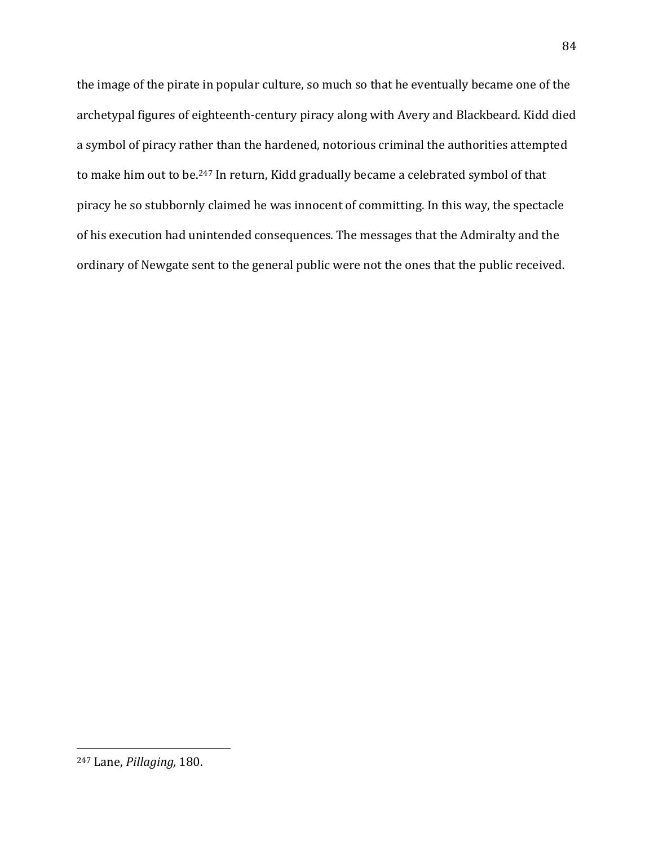the image of the pirate in popular culture, so much so that he eventually became one of the archetypal figures of eighteenth-century piracy along with Avery and Blackbeard. Kidd died a symbol of piracy rather than the hardened, notorious criminal the authorities attempted to make him out to be.<sup>247</sup> In return, Kidd gradually became a celebrated symbol of that piracy he so stubbornly claimed he was innocent of committing. In this way, the spectacle of his execution had unintended consequences. The messages that the Admiralty and the ordinary of Newgate sent to the general public were not the ones that the public received.

<sup>247</sup> Lane, *Pillaging,* 180.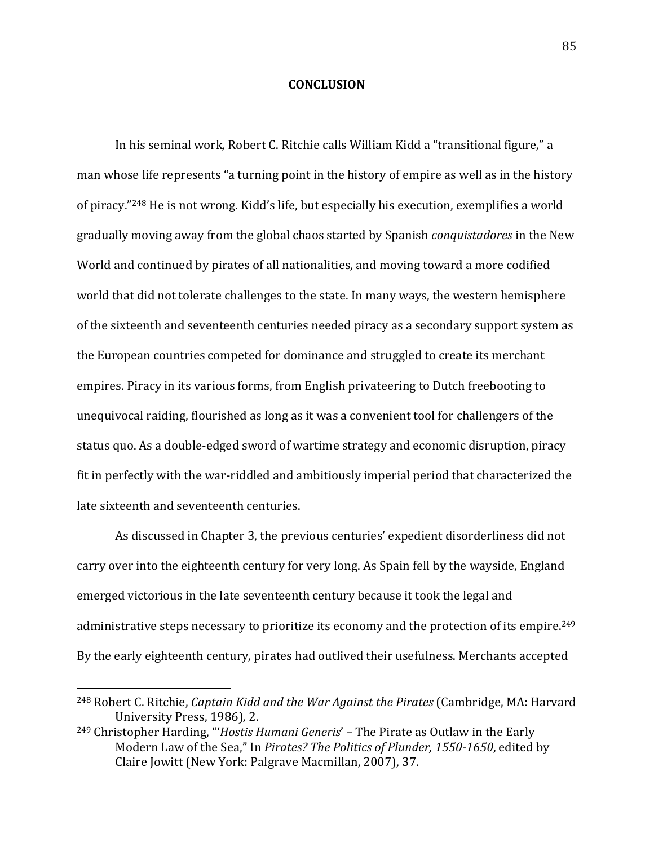## **CONCLUSION**

In his seminal work, Robert C. Ritchie calls William Kidd a "transitional figure," a man whose life represents "a turning point in the history of empire as well as in the history of piracy."<sup>248</sup> He is not wrong. Kidd's life, but especially his execution, exemplifies a world gradually moving away from the global chaos started by Spanish *conquistadores* in the New World and continued by pirates of all nationalities, and moving toward a more codified world that did not tolerate challenges to the state. In many ways, the western hemisphere of the sixteenth and seventeenth centuries needed piracy as a secondary support system as the European countries competed for dominance and struggled to create its merchant empires. Piracy in its various forms, from English privateering to Dutch freebooting to unequivocal raiding, flourished as long as it was a convenient tool for challengers of the status quo. As a double-edged sword of wartime strategy and economic disruption, piracy fit in perfectly with the war-riddled and ambitiously imperial period that characterized the late sixteenth and seventeenth centuries.

As discussed in Chapter 3, the previous centuries' expedient disorderliness did not carry over into the eighteenth century for very long. As Spain fell by the wayside, England emerged victorious in the late seventeenth century because it took the legal and administrative steps necessary to prioritize its economy and the protection of its empire.<sup>249</sup> By the early eighteenth century, pirates had outlived their usefulness. Merchants accepted

<sup>248</sup> Robert C. Ritchie, *Captain Kidd and the War Against the Pirates* (Cambridge, MA: Harvard University Press, 1986)*,* 2.

<sup>249</sup> Christopher Harding, "'*Hostis Humani Generis*' – The Pirate as Outlaw in the Early Modern Law of the Sea," In *Pirates? The Politics of Plunder, 1550-1650*, edited by Claire Jowitt (New York: Palgrave Macmillan, 2007), 37.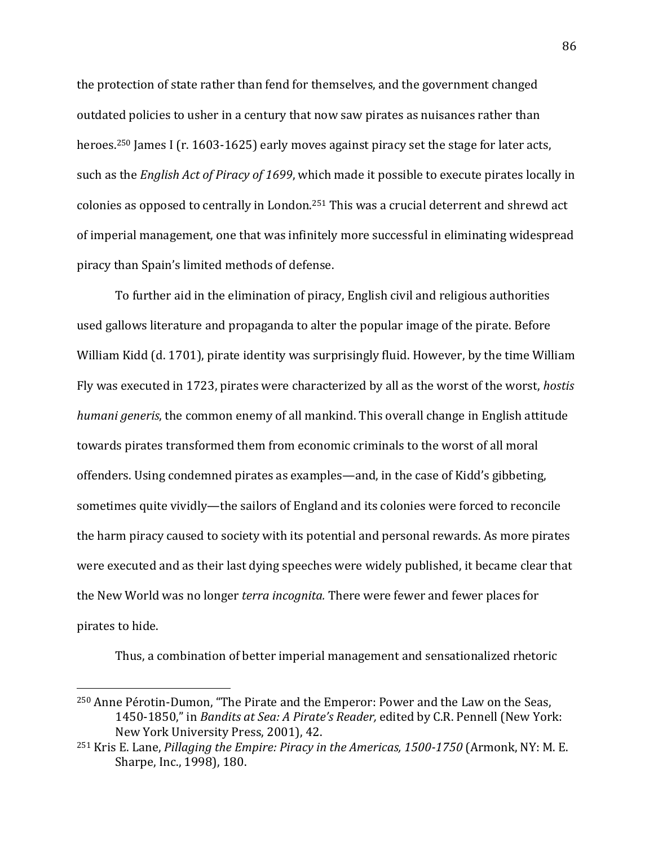the protection of state rather than fend for themselves, and the government changed outdated policies to usher in a century that now saw pirates as nuisances rather than heroes.<sup>250</sup> James I (r. 1603-1625) early moves against piracy set the stage for later acts, such as the *English Act of Piracy of 1699*, which made it possible to execute pirates locally in colonies as opposed to centrally in London.<sup>251</sup> This was a crucial deterrent and shrewd act of imperial management, one that was infinitely more successful in eliminating widespread piracy than Spain's limited methods of defense.

To further aid in the elimination of piracy, English civil and religious authorities used gallows literature and propaganda to alter the popular image of the pirate. Before William Kidd (d. 1701), pirate identity was surprisingly fluid. However, by the time William Fly was executed in 1723, pirates were characterized by all as the worst of the worst, *hostis humani generis*, the common enemy of all mankind. This overall change in English attitude towards pirates transformed them from economic criminals to the worst of all moral offenders. Using condemned pirates as examples—and, in the case of Kidd's gibbeting, sometimes quite vividly—the sailors of England and its colonies were forced to reconcile the harm piracy caused to society with its potential and personal rewards. As more pirates were executed and as their last dying speeches were widely published, it became clear that the New World was no longer *terra incognita.* There were fewer and fewer places for pirates to hide.

Thus, a combination of better imperial management and sensationalized rhetoric

<sup>250</sup> Anne Pérotin-Dumon, "The Pirate and the Emperor: Power and the Law on the Seas, 1450-1850," in *Bandits at Sea: A Pirate's Reader,* edited by C.R. Pennell (New York: New York University Press, 2001), 42.

<sup>251</sup> Kris E. Lane, *Pillaging the Empire: Piracy in the Americas, 1500-1750* (Armonk, NY: M. E. Sharpe, Inc., 1998), 180.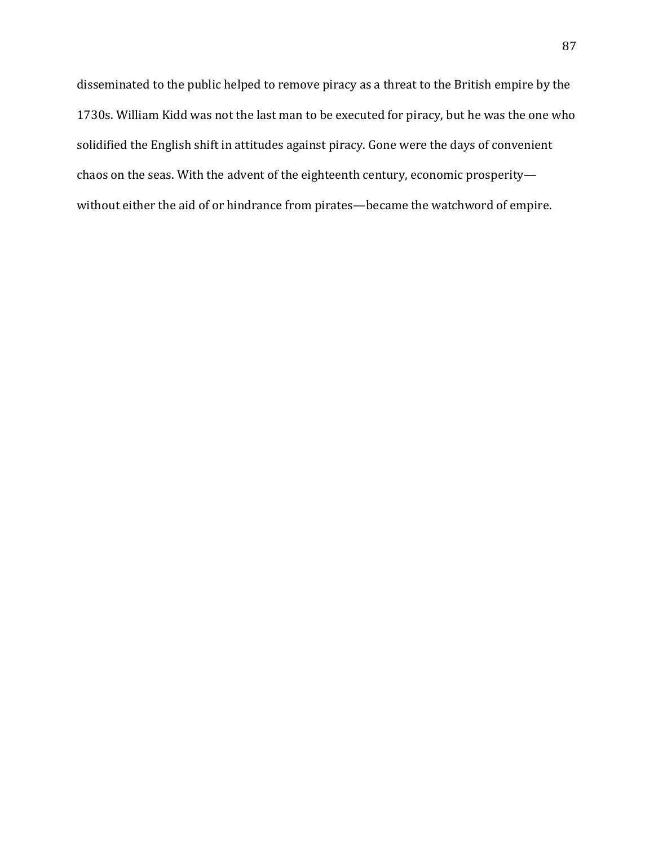disseminated to the public helped to remove piracy as a threat to the British empire by the 1730s. William Kidd was not the last man to be executed for piracy, but he was the one who solidified the English shift in attitudes against piracy. Gone were the days of convenient chaos on the seas. With the advent of the eighteenth century, economic prosperity without either the aid of or hindrance from pirates—became the watchword of empire.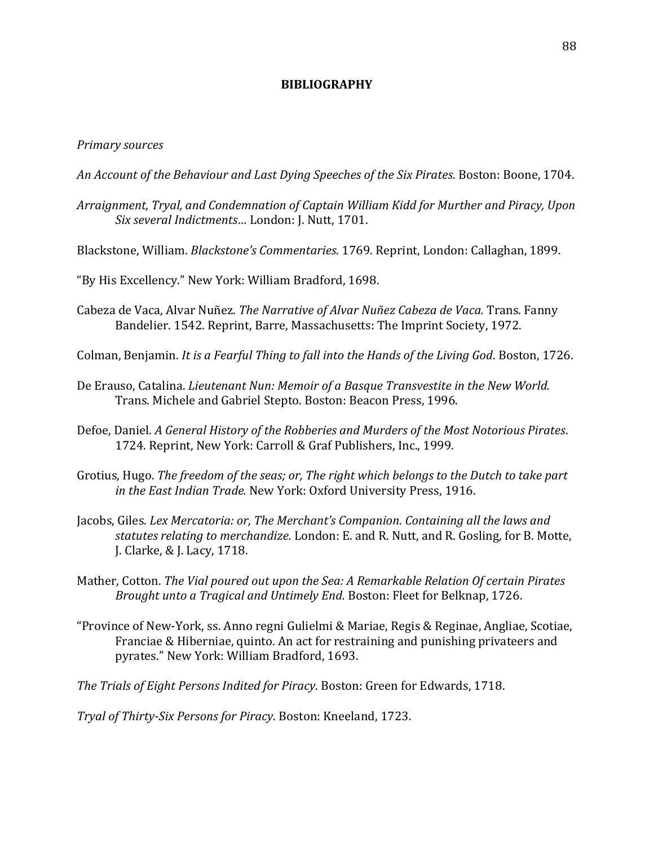## **BIBLIOGRAPHY**

## *Primary sources*

- *An Account of the Behaviour and Last Dying Speeches of the Six Pirates*. Boston: Boone, 1704.
- *Arraignment, Tryal, and Condemnation of Captain William Kidd for Murther and Piracy, Upon Six several Indictments…* London: J. Nutt, 1701.
- Blackstone, William. *Blackstone's Commentaries*. 1769. Reprint, London: Callaghan, 1899.
- "By His Excellency." New York: William Bradford, 1698.
- Cabeza de Vaca, Alvar Nuñez. *The Narrative of Alvar Nuñez Cabeza de Vaca.* Trans. Fanny Bandelier. 1542. Reprint, Barre, Massachusetts: The Imprint Society, 1972.
- Colman, Benjamin. *It is a Fearful Thing to fall into the Hands of the Living God*. Boston, 1726.
- De Erauso, Catalina. *Lieutenant Nun: Memoir of a Basque Transvestite in the New World.* Trans. Michele and Gabriel Stepto. Boston: Beacon Press, 1996.
- Defoe, Daniel. *A General History of the Robberies and Murders of the Most Notorious Pirates*. 1724. Reprint, New York: Carroll & Graf Publishers, Inc., 1999.
- Grotius, Hugo. *The freedom of the seas; or, The right which belongs to the Dutch to take part in the East Indian Trade.* New York: Oxford University Press, 1916.
- Jacobs, Giles. *Lex Mercatoria: or, The Merchant's Companion. Containing all the laws and statutes relating to merchandize.* London: E. and R. Nutt, and R. Gosling, for B. Motte, J. Clarke, & J. Lacy, 1718.
- Mather, Cotton. *The Vial poured out upon the Sea: A Remarkable Relation Of certain Pirates Brought unto a Tragical and Untimely End.* Boston: Fleet for Belknap, 1726.
- "Province of New-York, ss. Anno regni Gulielmi & Mariae, Regis & Reginae, Angliae, Scotiae, Franciae & Hiberniae, quinto. An act for restraining and punishing privateers and pyrates." New York: William Bradford, 1693.
- *The Trials of Eight Persons Indited for Piracy*. Boston: Green for Edwards, 1718.

*Tryal of Thirty-Six Persons for Piracy*. Boston: Kneeland, 1723.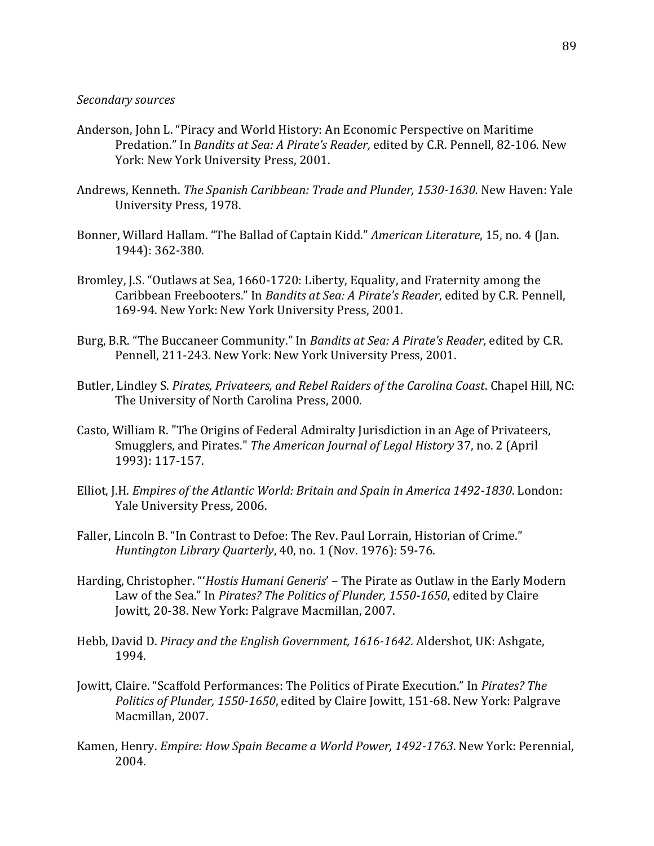## *Secondary sources*

- Anderson, John L. "Piracy and World History: An Economic Perspective on Maritime Predation." In *Bandits at Sea: A Pirate's Reader,* edited by C.R. Pennell, 82-106. New York: New York University Press, 2001.
- Andrews, Kenneth. *The Spanish Caribbean: Trade and Plunder, 1530-1630.* New Haven: Yale University Press, 1978.
- Bonner, Willard Hallam. "The Ballad of Captain Kidd." *American Literature*, 15, no. 4 (Jan. 1944): 362-380.
- Bromley, J.S. "Outlaws at Sea, 1660-1720: Liberty, Equality, and Fraternity among the Caribbean Freebooters." In *Bandits at Sea: A Pirate's Reader*, edited by C.R. Pennell, 169-94. New York: New York University Press, 2001.
- Burg, B.R. "The Buccaneer Community." In *Bandits at Sea: A Pirate's Reader,* edited by C.R. Pennell, 211-243. New York: New York University Press, 2001.
- Butler, Lindley S. *Pirates, Privateers, and Rebel Raiders of the Carolina Coast*. Chapel Hill, NC: The University of North Carolina Press, 2000.
- Casto, William R. "The Origins of Federal Admiralty Jurisdiction in an Age of Privateers, Smugglers, and Pirates." *The American Journal of Legal History* 37, no. 2 (April 1993): 117-157.
- Elliot, J.H. *Empires of the Atlantic World: Britain and Spain in America 1492-1830*. London: Yale University Press, 2006.
- Faller, Lincoln B. "In Contrast to Defoe: The Rev. Paul Lorrain, Historian of Crime." *Huntington Library Quarterly*, 40, no. 1 (Nov. 1976): 59-76.
- Harding, Christopher. "'*Hostis Humani Generis*' The Pirate as Outlaw in the Early Modern Law of the Sea." In *Pirates? The Politics of Plunder, 1550-1650*, edited by Claire Jowitt, 20-38. New York: Palgrave Macmillan, 2007.
- Hebb, David D. *Piracy and the English Government, 1616-1642.* Aldershot, UK: Ashgate, 1994.
- Jowitt, Claire. "Scaffold Performances: The Politics of Pirate Execution." In *Pirates? The Politics of Plunder, 1550-1650*, edited by Claire Jowitt, 151-68. New York: Palgrave Macmillan, 2007.
- Kamen, Henry. *Empire: How Spain Became a World Power, 1492-1763*. New York: Perennial, 2004.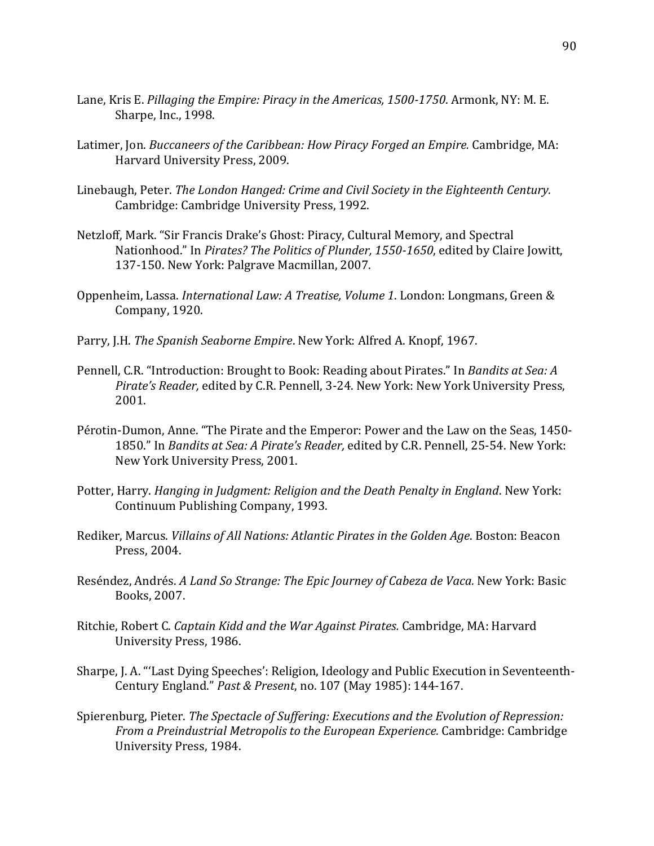- Lane, Kris E. *Pillaging the Empire: Piracy in the Americas, 1500-1750*. Armonk, NY: M. E. Sharpe, Inc., 1998.
- Latimer, Jon. *Buccaneers of the Caribbean: How Piracy Forged an Empire.* Cambridge, MA: Harvard University Press, 2009.
- Linebaugh, Peter. *The London Hanged: Crime and Civil Society in the Eighteenth Century.* Cambridge: Cambridge University Press, 1992.
- Netzloff, Mark. "Sir Francis Drake's Ghost: Piracy, Cultural Memory, and Spectral Nationhood." In *Pirates? The Politics of Plunder, 1550-1650*, edited by Claire Jowitt, 137-150. New York: Palgrave Macmillan, 2007.
- Oppenheim, Lassa. *International Law: A Treatise, Volume 1*. London: Longmans, Green & Company, 1920.
- Parry, J.H. *The Spanish Seaborne Empire*. New York: Alfred A. Knopf, 1967.
- Pennell, C.R. "Introduction: Brought to Book: Reading about Pirates." In *Bandits at Sea: A Pirate's Reader,* edited by C.R. Pennell, 3-24. New York: New York University Press, 2001.
- Pérotin-Dumon, Anne. "The Pirate and the Emperor: Power and the Law on the Seas, 1450- 1850." In *Bandits at Sea: A Pirate's Reader,* edited by C.R. Pennell, 25-54. New York: New York University Press, 2001.
- Potter, Harry. *Hanging in Judgment: Religion and the Death Penalty in England*. New York: Continuum Publishing Company, 1993.
- Rediker, Marcus. *Villains of All Nations: Atlantic Pirates in the Golden Age*. Boston: Beacon Press, 2004.
- Reséndez, Andrés. *A Land So Strange: The Epic Journey of Cabeza de Vaca.* New York: Basic Books, 2007.
- Ritchie, Robert C. *Captain Kidd and the War Against Pirates.* Cambridge, MA: Harvard University Press, 1986.
- Sharpe, J. A. "'Last Dying Speeches': Religion, Ideology and Public Execution in Seventeenth-Century England." *Past & Present*, no. 107 (May 1985): 144-167.
- Spierenburg, Pieter. *The Spectacle of Suffering: Executions and the Evolution of Repression: From a Preindustrial Metropolis to the European Experience.* Cambridge: Cambridge University Press, 1984.